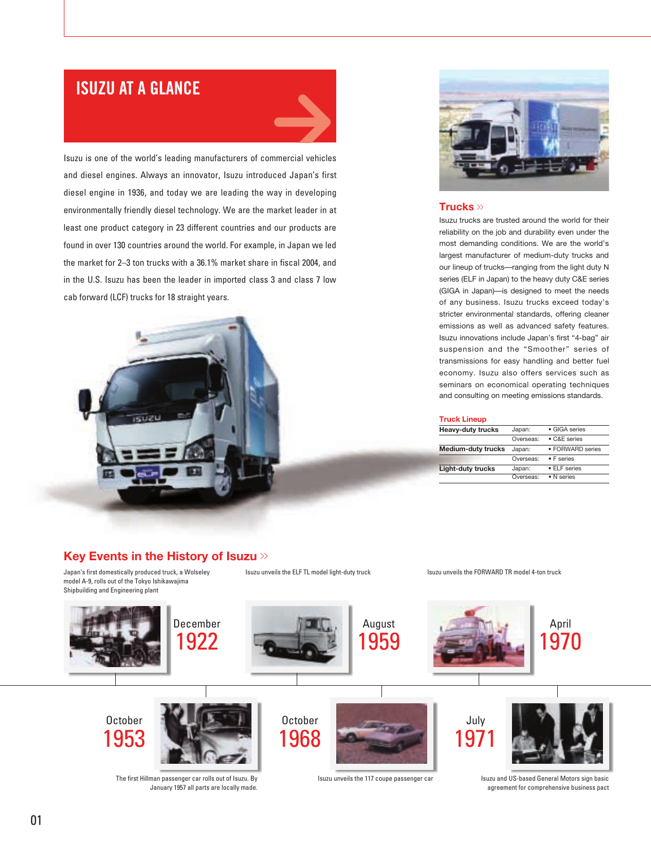### **ISUZU AT A GLANCE**



Isuzu is one of the world's leading manufacturers of commercial vehicles and diesel engines. Always an innovator, Isuzu introduced Japan's first diesel engine in 1936, and today we are leading the way in developing environmentally friendly diesel technology. We are the market leader in at least one product category in 23 different countries and our products are found in over 130 countries around the world. For example, in Japan we led the market for 2–3 ton trucks with a 36.1% market share in fiscal 2004, and in the U.S. Isuzu has been the leader in imported class 3 and class 7 low cab forward (LCF) trucks for 18 straight years.





#### **Trucks** >>

Isuzu trucks are trusted around the world for their reliability on the job and durability even under the most demanding conditions. We are the world's largest manufacturer of medium-duty trucks and our lineup of trucks—ranging from the light duty N series (ELF in Japan) to the heavy duty C&E series (GIGA in Japan)—is designed to meet the needs of any business. Isuzu trucks exceed today's stricter environmental standards, offering cleaner emissions as well as advanced safety features. Isuzu innovations include Japan's first "4-bag" air suspension and the "Smoother" series of transmissions for easy handling and better fuel economy. Isuzu also offers services such as seminars on economical operating techniques and consulting on meeting emissions standards.

#### **Truck Lineup**

| <b>Heavy-duty trucks</b>  | Japan:    | · GIGA series      |
|---------------------------|-----------|--------------------|
|                           | Overseas: | • C&E series       |
| <b>Medium-duty trucks</b> | Japan:    | • FORWARD series   |
|                           | Overseas: | $\bullet$ F series |
| Light-duty trucks         | Japan:    | • ELF series       |
|                           | Overseas: | · N series         |

#### **Key Events in the History of Isuzu** >>

Japan's first domestically produced truck, a Wolseley model A-9, rolls out of the Tokyo Ishikawajima Shipbuilding and Engineering plant

Isuzu unveils the ELF TL model light-duty truck

Isuzu unveils the FORWARD TR model 4-ton truck

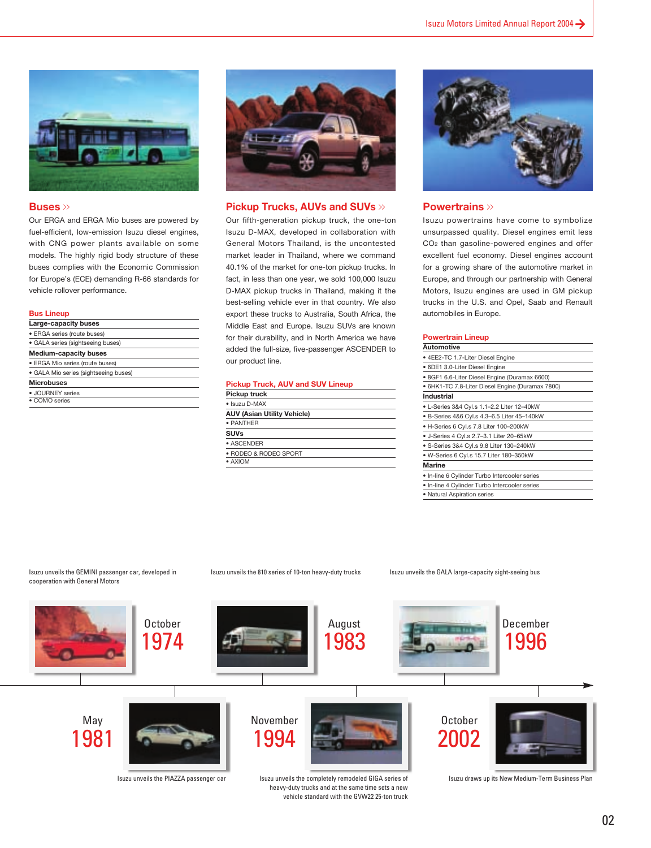

#### **Buses** >>

Our ERGA and ERGA Mio buses are powered by fuel-efficient, low-emission Isuzu diesel engines, with CNG power plants available on some models. The highly rigid body structure of these buses complies with the Economic Commission for Europe's (ECE) demanding R-66 standards for vehicle rollover performance.

#### **Bus Lineup**

| Large-capacity buses                  |  |
|---------------------------------------|--|
| · ERGA series (route buses)           |  |
| • GALA series (sightseeing buses)     |  |
| <b>Medium-capacity buses</b>          |  |
| · ERGA Mio series (route buses)       |  |
| · GALA Mio series (sightseeing buses) |  |
| <b>Microbuses</b>                     |  |
| · JOURNEY series                      |  |
| • COMO series                         |  |



#### **Pickup Trucks, AUVs and SUVs** >>

Our fifth-generation pickup truck, the one-ton Isuzu D-MAX, developed in collaboration with General Motors Thailand, is the uncontested market leader in Thailand, where we command 40.1% of the market for one-ton pickup trucks. In fact, in less than one year, we sold 100,000 Isuzu D-MAX pickup trucks in Thailand, making it the best-selling vehicle ever in that country. We also export these trucks to Australia, South Africa, the Middle East and Europe. Isuzu SUVs are known for their durability, and in North America we have added the full-size, five-passenger ASCENDER to our product line.

#### **Pickup Truck, AUV and SUV Lineup**

| Pickup truck                       |
|------------------------------------|
| · Isuzu D-MAX                      |
| <b>AUV (Asian Utility Vehicle)</b> |
| · PANTHER                          |
| SUVs                               |
| • ASCENDER                         |
| · RODEO & RODEO SPORT              |
| • AXIOM                            |
|                                    |



#### **Powertrains** >>

Isuzu powertrains have come to symbolize unsurpassed quality. Diesel engines emit less CO2 than gasoline-powered engines and offer excellent fuel economy. Diesel engines account for a growing share of the automotive market in Europe, and through our partnership with General Motors, Isuzu engines are used in GM pickup trucks in the U.S. and Opel, Saab and Renault automobiles in Europe.

#### **Powertrain Lineup**

| Automotive                                       |
|--------------------------------------------------|
| • 4EE2-TC 1.7-Liter Diesel Engine                |
| • 6DE1 3.0-Liter Diesel Engine                   |
| • 8GF1 6.6-Liter Diesel Engine (Duramax 6600)    |
| • 6HK1-TC 7.8-Liter Diesel Engine (Duramax 7800) |
| Industrial                                       |
| • L-Series 3&4 Cyl.s 1.1-2.2 Liter 12-40kW       |
| • B-Series 4&6 Cyl.s 4.3-6.5 Liter 45-140kW      |
| • H-Series 6 Cyl.s 7.8 Liter 100-200kW           |
| • J-Series 4 Cyl.s 2.7-3.1 Liter 20-65kW         |
| • S-Series 3&4 Cyl.s 9.8 Liter 130-240kW         |
| • W-Series 6 Cyl.s 15.7 Liter 180-350kW          |
| <b>Marine</b>                                    |
| . In-line 6 Cylinder Turbo Intercooler series    |
| . In-line 4 Cylinder Turbo Intercooler series    |
| • Natural Aspiration series                      |

#### Isuzu unveils the GEMINI passenger car, developed in cooperation with General Motors

#### Isuzu unveils the 810 series of 10-ton heavy-duty trucks

Isuzu unveils the GALA large-capacity sight-seeing bus



heavy-duty trucks and at the same time sets a new vehicle standard with the GVW22 25-ton truck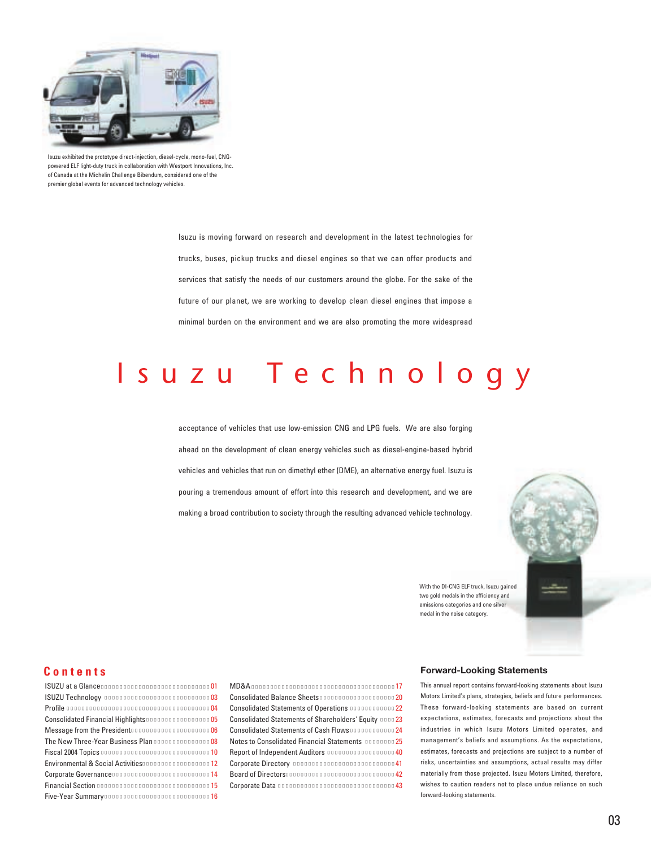

Isuzu exhibited the prototype direct-injection, diesel-cycle, mono-fuel, CNGpowered ELF light-duty truck in collaboration with Westport Innovations, Inc. of Canada at the Michelin Challenge Bibendum, considered one of the premier global events for advanced technology vehicles.

Isuzu is moving forward on research and development in the latest technologies for trucks, buses, pickup trucks and diesel engines so that we can offer products and services that satisfy the needs of our customers around the globe. For the sake of the future of our planet, we are working to develop clean diesel engines that impose a minimal burden on the environment and we are also promoting the more widespread

# suzu Technology

acceptance of vehicles that use low-emission CNG and LPG fuels. We are also forging ahead on the development of clean energy vehicles such as diesel-engine-based hybrid vehicles and vehicles that run on dimethyl ether (DME), an alternative energy fuel. Isuzu is pouring a tremendous amount of effort into this research and development, and we are making a broad contribution to society through the resulting advanced vehicle technology.



With the DI-CNG ELF truck, Isuzu gained two gold medals in the efficiency and emissions categories and one silver medal in the noise category.

### **Contents**

**ISUZU at a Glance** and **1999 1999 1999 1999 1999 1999 1999 1999 1999 1999 1999 1999 1999 1999 1999 1999 1999 1999 1999 1999 1999 1999 1999 1999 1999 1999 1999 1999 1 ISUZU Technology** 63 Profile **1996** Consolidated Financial Highlights **05** Message from the President and the state of  $\overline{06}$ The New Three-Year Business Plan **1988** Fiscal 2004 Topics 10 Environmental & Social Activities 12 Corporate Governance **Example 2018** Financial Section **15** Five-Year Summary 16

#### MD&A 17

- Consolidated Balance Sheets **1998**
- Consolidated Statements of Operations 22
- Consolidated Statements of Shareholders' Equity 23
- Consolidated Statements of Cash Flows 24
- Notes to Consolidated Financial Statements 25
- Report of Independent Auditors 40
- Corporate Directory 41
- Board of Directors and the United States of Australian Annual Australian Australian Australian Australian Australian Australian Australian Australian Australian Australian Australian Australian Australian Australian Austra
	- Corporate Data 43
- 

#### **Forward-Looking Statements**

This annual report contains forward-looking statements about Isuzu Motors Limited's plans, strategies, beliefs and future performances. These forward-looking statements are based on current expectations, estimates, forecasts and projections about the industries in which Isuzu Motors Limited operates, and management's beliefs and assumptions. As the expectations, estimates, forecasts and projections are subject to a number of risks, uncertainties and assumptions, actual results may differ materially from those projected. Isuzu Motors Limited, therefore, wishes to caution readers not to place undue reliance on such forward-looking statements.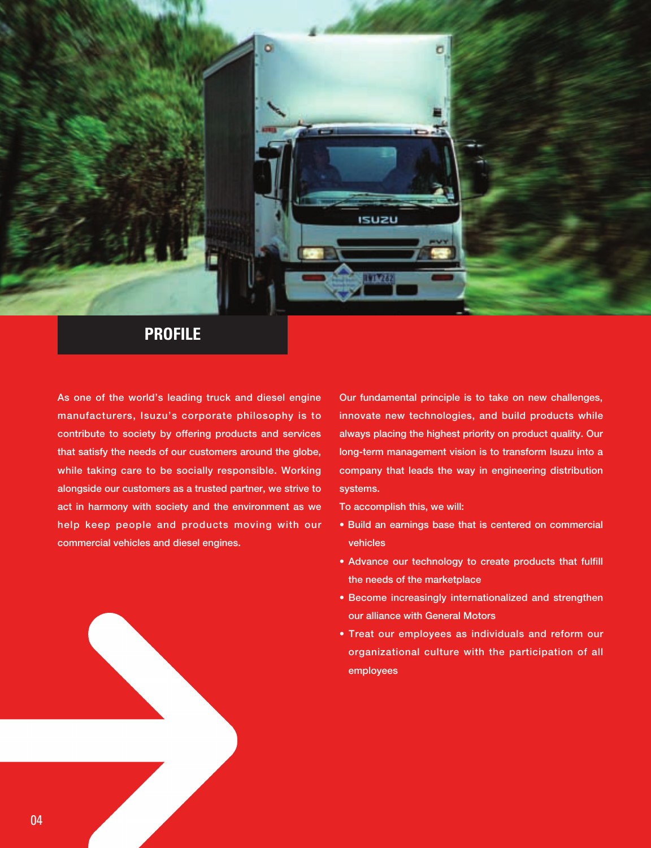

### **PROFILE**

**As one of the world's leading truck and diesel engine manufacturers, Isuzu's corporate philosophy is to contribute to society by offering products and services that satisfy the needs of our customers around the globe, while taking care to be socially responsible. Working alongside our customers as a trusted partner, we strive to act in harmony with society and the environment as we help keep people and products moving with our commercial vehicles and diesel engines.**

**Our fundamental principle is to take on new challenges, innovate new technologies, and build products while always placing the highest priority on product quality. Our long-term management vision is to transform Isuzu into a company that leads the way in engineering distribution systems.**

**To accomplish this, we will:**

- **Build an earnings base that is centered on commercial vehicles**
- **Advance our technology to create products that fulfill the needs of the marketplace**
- **Become increasingly internationalized and strengthen our alliance with General Motors**
- **Treat our employees as individuals and reform our organizational culture with the participation of all employees**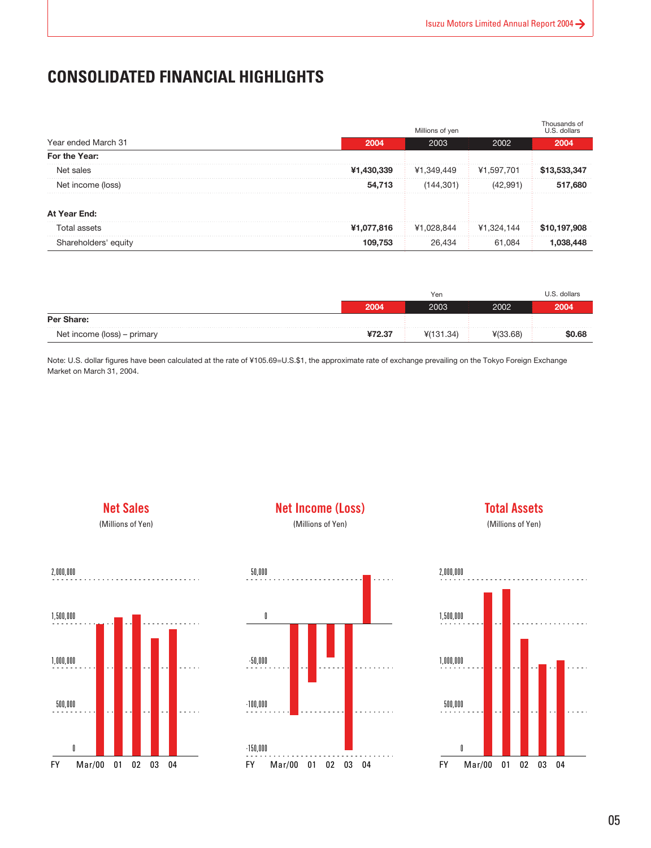### **CONSOLIDATED FINANCIAL HIGHLIGHTS**

|                      |            | Millions of yen |            | Thousands of<br>U.S. dollars |
|----------------------|------------|-----------------|------------|------------------------------|
| Year ended March 31  | 2004       | 2003            | 2002       | 2004                         |
| For the Year:        |            |                 |            |                              |
| Net sales            | ¥1,430,339 | ¥1.349.449      | ¥1.597.701 |                              |
| Net income (loss)    | 54,713     | 144.301)        | (42.991)   | 517.680                      |
| At Year End:         |            |                 |            |                              |
| Total assets         | ¥1,077,816 | ¥1.028.844      | ¥1.324.144 | .908<br>\$10,197.            |
| Shareholders' equity | 109.753    |                 | 61.084     |                              |

|                             |        | Yen       |          | U.S. dollars |
|-----------------------------|--------|-----------|----------|--------------|
|                             | 2004   | 2003      | 2002     | 2004         |
| Per Share:                  |        |           |          |              |
| Net income (loss) – primary | ¥72.37 | 4(131.34) | ¥(33.68) | \$0.68       |

Note: U.S. dollar figures have been calculated at the rate of ¥105.69=U.S.\$1, the approximate rate of exchange prevailing on the Tokyo Foreign Exchange Market on March 31, 2004.

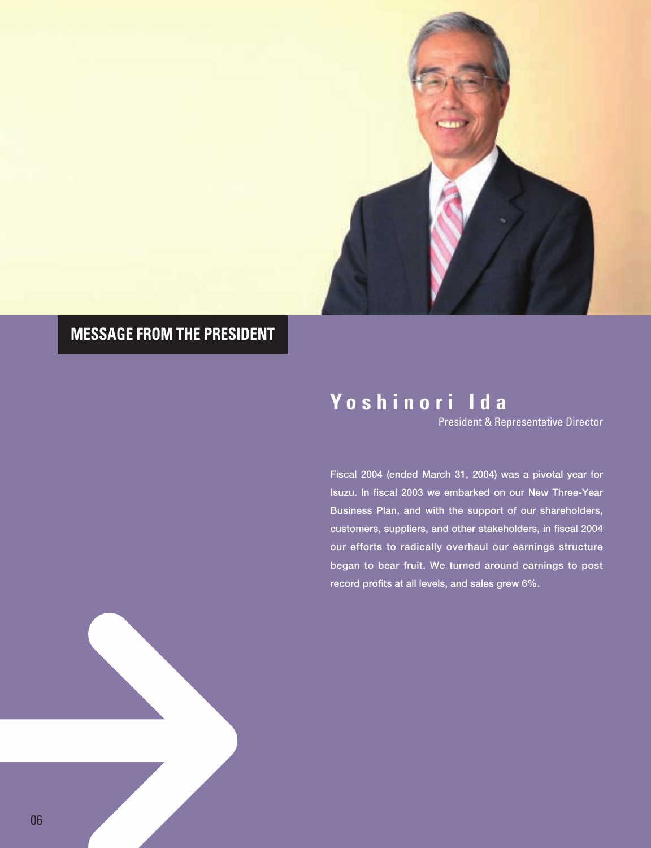

## **MESSAGE FROM THE PRESIDENT**

# **Yoshinori Ida**

President & Representative Director

**Fiscal 2004 (ended March 31, 2004) was a pivotal year for Isuzu. In fiscal 2003 we embarked on our New Three-Year Business Plan, and with the support of our shareholders, customers, suppliers, and other stakeholders, in fiscal 2004 our efforts to radically overhaul our earnings structure began to bear fruit. We turned around earnings to post record profits at all levels, and sales grew 6%.**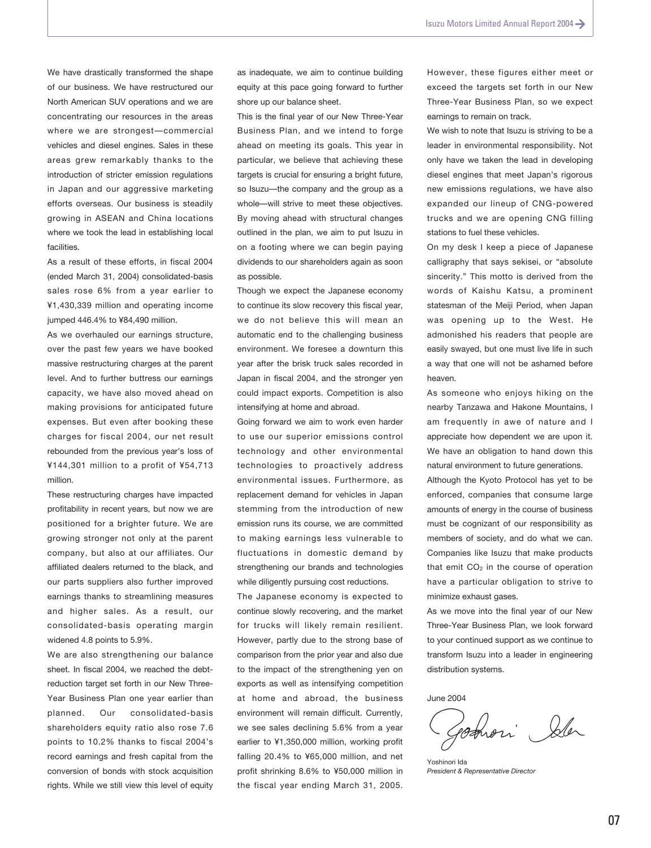We have drastically transformed the shape of our business. We have restructured our North American SUV operations and we are concentrating our resources in the areas where we are strongest—commercial vehicles and diesel engines. Sales in these areas grew remarkably thanks to the introduction of stricter emission regulations in Japan and our aggressive marketing efforts overseas. Our business is steadily growing in ASEAN and China locations where we took the lead in establishing local facilities.

As a result of these efforts, in fiscal 2004 (ended March 31, 2004) consolidated-basis sales rose 6% from a year earlier to ¥1,430,339 million and operating income jumped 446.4% to ¥84,490 million.

As we overhauled our earnings structure, over the past few years we have booked massive restructuring charges at the parent level. And to further buttress our earnings capacity, we have also moved ahead on making provisions for anticipated future expenses. But even after booking these charges for fiscal 2004, our net result rebounded from the previous year's loss of ¥144,301 million to a profit of ¥54,713 million.

These restructuring charges have impacted profitability in recent years, but now we are positioned for a brighter future. We are growing stronger not only at the parent company, but also at our affiliates. Our affiliated dealers returned to the black, and our parts suppliers also further improved earnings thanks to streamlining measures and higher sales. As a result, our consolidated-basis operating margin widened 4.8 points to 5.9%.

We are also strengthening our balance sheet. In fiscal 2004, we reached the debtreduction target set forth in our New Three-Year Business Plan one year earlier than planned. Our consolidated-basis shareholders equity ratio also rose 7.6 points to 10.2% thanks to fiscal 2004's record earnings and fresh capital from the conversion of bonds with stock acquisition rights. While we still view this level of equity

as inadequate, we aim to continue building equity at this pace going forward to further shore up our balance sheet.

This is the final year of our New Three-Year Business Plan, and we intend to forge ahead on meeting its goals. This year in particular, we believe that achieving these targets is crucial for ensuring a bright future, so Isuzu—the company and the group as a whole—will strive to meet these objectives. By moving ahead with structural changes outlined in the plan, we aim to put Isuzu in on a footing where we can begin paying dividends to our shareholders again as soon as possible.

Though we expect the Japanese economy to continue its slow recovery this fiscal year, we do not believe this will mean an automatic end to the challenging business environment. We foresee a downturn this year after the brisk truck sales recorded in Japan in fiscal 2004, and the stronger yen could impact exports. Competition is also intensifying at home and abroad.

Going forward we aim to work even harder to use our superior emissions control technology and other environmental technologies to proactively address environmental issues. Furthermore, as replacement demand for vehicles in Japan stemming from the introduction of new emission runs its course, we are committed to making earnings less vulnerable to fluctuations in domestic demand by strengthening our brands and technologies while diligently pursuing cost reductions.

The Japanese economy is expected to continue slowly recovering, and the market for trucks will likely remain resilient. However, partly due to the strong base of comparison from the prior year and also due to the impact of the strengthening yen on exports as well as intensifying competition at home and abroad, the business environment will remain difficult. Currently, we see sales declining 5.6% from a year earlier to ¥1,350,000 million, working profit falling 20.4% to ¥65,000 million, and net profit shrinking 8.6% to ¥50,000 million in the fiscal year ending March 31, 2005.

However, these figures either meet or exceed the targets set forth in our New Three-Year Business Plan, so we expect earnings to remain on track.

We wish to note that Isuzu is striving to be a leader in environmental responsibility. Not only have we taken the lead in developing diesel engines that meet Japan's rigorous new emissions regulations, we have also expanded our lineup of CNG-powered trucks and we are opening CNG filling stations to fuel these vehicles.

On my desk I keep a piece of Japanese calligraphy that says sekisei, or "absolute sincerity." This motto is derived from the words of Kaishu Katsu, a prominent statesman of the Meiji Period, when Japan was opening up to the West. He admonished his readers that people are easily swayed, but one must live life in such a way that one will not be ashamed before heaven.

As someone who enjoys hiking on the nearby Tanzawa and Hakone Mountains, I am frequently in awe of nature and I appreciate how dependent we are upon it. We have an obligation to hand down this natural environment to future generations. Although the Kyoto Protocol has yet to be

enforced, companies that consume large amounts of energy in the course of business must be cognizant of our responsibility as members of society, and do what we can. Companies like Isuzu that make products that emit CO<sub>2</sub> in the course of operation have a particular obligation to strive to minimize exhaust gases.

As we move into the final year of our New Three-Year Business Plan, we look forward to your continued support as we continue to transform Isuzu into a leader in engineering distribution systems.

June 2004

romori Sler

Yoshinori Ida *President & Representative Director*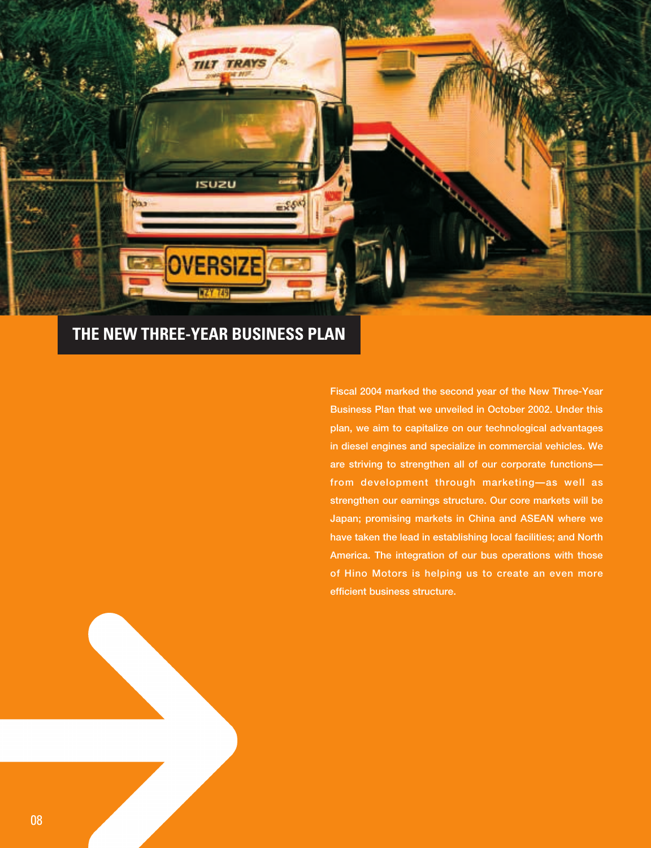

### **THE NEW THREE-YEAR BUSINESS PLAN**

**Fiscal 2004 marked the second year of the New Three-Year Business Plan that we unveiled in October 2002. Under this plan, we aim to capitalize on our technological advantages in diesel engines and specialize in commercial vehicles. We are striving to strengthen all of our corporate functions from development through marketing—as well as strengthen our earnings structure. Our core markets will be Japan; promising markets in China and ASEAN where we have taken the lead in establishing local facilities; and North America. The integration of our bus operations with those of Hino Motors is helping us to create an even more efficient business structure.**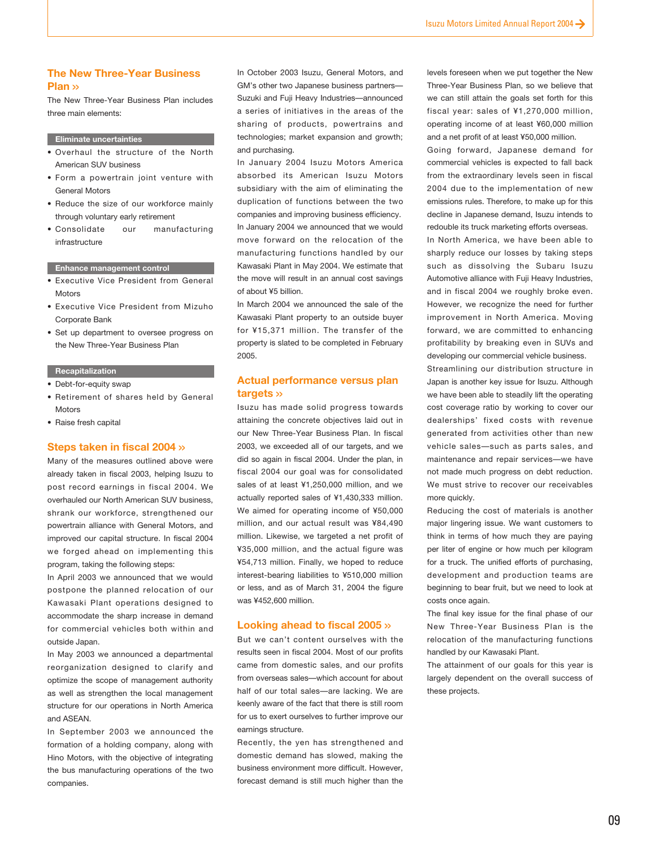#### **The New Three-Year Business Plan >>**

The New Three-Year Business Plan includes three main elements:

#### **Eliminate uncertainties**

- Overhaul the structure of the North American SUV business
- Form a powertrain joint venture with General Motors
- Reduce the size of our workforce mainly through voluntary early retirement
- Consolidate our manufacturing infrastructure

#### **Enhance management control**

- Executive Vice President from General **Motors**
- Executive Vice President from Mizuho Corporate Bank
- Set up department to oversee progress on the New Three-Year Business Plan

#### **Recapitalization**

- Debt-for-equity swap
- Retirement of shares held by General **Motors**
- Raise fresh capital

#### **Steps taken in fiscal 2004 >>**

Many of the measures outlined above were already taken in fiscal 2003, helping Isuzu to post record earnings in fiscal 2004. We overhauled our North American SUV business, shrank our workforce, strengthened our powertrain alliance with General Motors, and improved our capital structure. In fiscal 2004 we forged ahead on implementing this program, taking the following steps:

In April 2003 we announced that we would postpone the planned relocation of our Kawasaki Plant operations designed to accommodate the sharp increase in demand for commercial vehicles both within and outside Japan.

In May 2003 we announced a departmental reorganization designed to clarify and optimize the scope of management authority as well as strengthen the local management structure for our operations in North America and ASEAN.

In September 2003 we announced the formation of a holding company, along with Hino Motors, with the objective of integrating the bus manufacturing operations of the two companies.

In October 2003 Isuzu, General Motors, and GM's other two Japanese business partners— Suzuki and Fuji Heavy Industries—announced a series of initiatives in the areas of the sharing of products, powertrains and technologies; market expansion and growth; and purchasing.

In January 2004 Isuzu Motors America absorbed its American Isuzu Motors subsidiary with the aim of eliminating the duplication of functions between the two companies and improving business efficiency. In January 2004 we announced that we would move forward on the relocation of the manufacturing functions handled by our Kawasaki Plant in May 2004. We estimate that the move will result in an annual cost savings of about ¥5 billion.

In March 2004 we announced the sale of the Kawasaki Plant property to an outside buyer for ¥15,371 million. The transfer of the property is slated to be completed in February 2005.

#### **Actual performance versus plan targets >>**

Isuzu has made solid progress towards attaining the concrete objectives laid out in our New Three-Year Business Plan. In fiscal 2003, we exceeded all of our targets, and we did so again in fiscal 2004. Under the plan, in fiscal 2004 our goal was for consolidated sales of at least ¥1,250,000 million, and we actually reported sales of ¥1,430,333 million. We aimed for operating income of ¥50,000 million, and our actual result was ¥84,490 million. Likewise, we targeted a net profit of ¥35,000 million, and the actual figure was ¥54,713 million. Finally, we hoped to reduce interest-bearing liabilities to ¥510,000 million or less, and as of March 31, 2004 the figure was ¥452,600 million.

#### **Looking ahead to fiscal 2005 >>**

But we can't content ourselves with the results seen in fiscal 2004. Most of our profits came from domestic sales, and our profits from overseas sales—which account for about half of our total sales—are lacking. We are keenly aware of the fact that there is still room for us to exert ourselves to further improve our earnings structure.

Recently, the yen has strengthened and domestic demand has slowed, making the business environment more difficult. However, forecast demand is still much higher than the

levels foreseen when we put together the New Three-Year Business Plan, so we believe that we can still attain the goals set forth for this fiscal year: sales of ¥1,270,000 million, operating income of at least ¥60,000 million and a net profit of at least ¥50,000 million.

Going forward, Japanese demand for commercial vehicles is expected to fall back from the extraordinary levels seen in fiscal 2004 due to the implementation of new emissions rules. Therefore, to make up for this decline in Japanese demand, Isuzu intends to redouble its truck marketing efforts overseas. In North America, we have been able to sharply reduce our losses by taking steps such as dissolving the Subaru Isuzu Automotive alliance with Fuji Heavy Industries,

and in fiscal 2004 we roughly broke even. However, we recognize the need for further improvement in North America. Moving forward, we are committed to enhancing profitability by breaking even in SUVs and developing our commercial vehicle business.

Streamlining our distribution structure in Japan is another key issue for Isuzu. Although we have been able to steadily lift the operating cost coverage ratio by working to cover our dealerships' fixed costs with revenue generated from activities other than new vehicle sales—such as parts sales, and maintenance and repair services—we have not made much progress on debt reduction. We must strive to recover our receivables more quickly.

Reducing the cost of materials is another major lingering issue. We want customers to think in terms of how much they are paying per liter of engine or how much per kilogram for a truck. The unified efforts of purchasing, development and production teams are beginning to bear fruit, but we need to look at costs once again.

The final key issue for the final phase of our New Three-Year Business Plan is the relocation of the manufacturing functions handled by our Kawasaki Plant.

The attainment of our goals for this year is largely dependent on the overall success of these projects.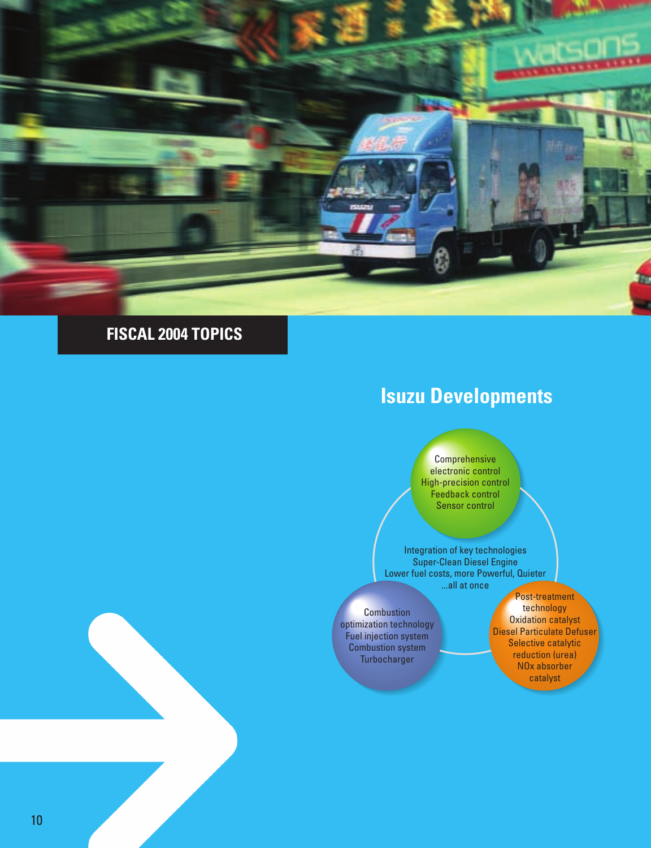

### **FISCAL 2004 TOPICS**

## **Isuzu Developments**

**Comprehensive** electronic control High-precision control Feedback control Sensor control

Integration of key technologies Super-Clean Diesel Engine Lower fuel costs, more Powerful, Quieter ...all at once

**Combustion** optimization technology Fuel injection system Combustion system Turbocharger

Post-treatment technology Oxidation catalyst Diesel Particulate Defuser Selective catalytic reduction (urea) NOx absorber catalyst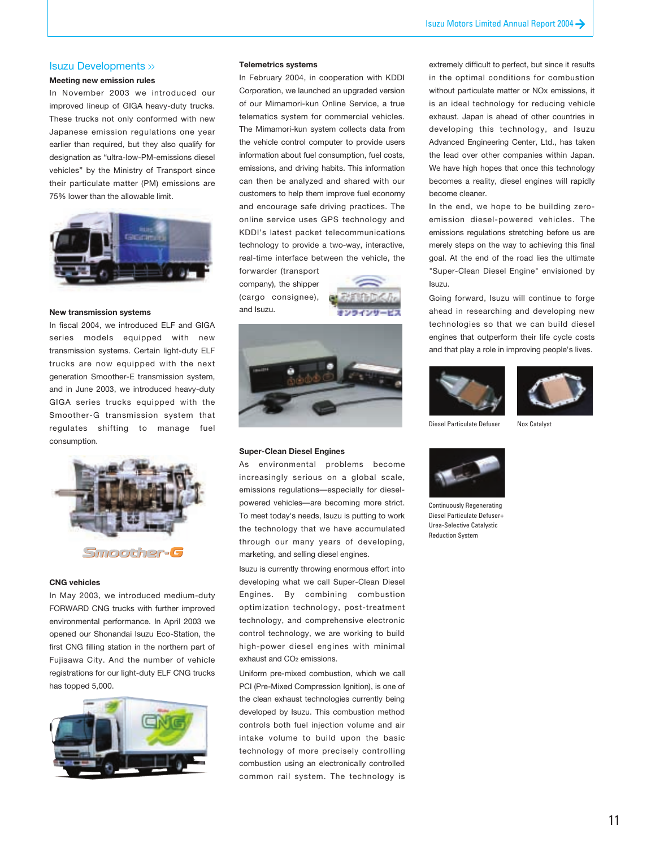#### Isuzu Developments >>

#### **Meeting new emission rules**

In November 2003 we introduced our improved lineup of GIGA heavy-duty trucks. These trucks not only conformed with new Japanese emission regulations one year earlier than required, but they also qualify for designation as "ultra-low-PM-emissions diesel vehicles" by the Ministry of Transport since their particulate matter (PM) emissions are 75% lower than the allowable limit.



#### **New transmission systems**

In fiscal 2004, we introduced ELF and GIGA series models equipped with new transmission systems. Certain light-duty ELF trucks are now equipped with the next generation Smoother-E transmission system, and in June 2003, we introduced heavy-duty GIGA series trucks equipped with the Smoother-G transmission system that regulates shifting to manage fuel consumption.



#### **CNG vehicles**

In May 2003, we introduced medium-duty FORWARD CNG trucks with further improved environmental performance. In April 2003 we opened our Shonandai Isuzu Eco-Station, the first CNG filling station in the northern part of Fujisawa City. And the number of vehicle registrations for our light-duty ELF CNG trucks has topped 5,000.



#### **Telemetrics systems**

In February 2004, in cooperation with KDDI Corporation, we launched an upgraded version of our Mimamori-kun Online Service, a true telematics system for commercial vehicles. The Mimamori-kun system collects data from the vehicle control computer to provide users information about fuel consumption, fuel costs, emissions, and driving habits. This information can then be analyzed and shared with our customers to help them improve fuel economy and encourage safe driving practices. The online service uses GPS technology and KDDI's latest packet telecommunications technology to provide a two-way, interactive, real-time interface between the vehicle, the forwarder (transport

company), the shipper (cargo consignee), and Isuzu.





#### **Super-Clean Diesel Engines**

As environmental problems become increasingly serious on a global scale, emissions regulations—especially for dieselpowered vehicles—are becoming more strict. To meet today's needs, Isuzu is putting to work the technology that we have accumulated through our many years of developing, marketing, and selling diesel engines.

Isuzu is currently throwing enormous effort into developing what we call Super-Clean Diesel Engines. By combining combustion optimization technology, post-treatment technology, and comprehensive electronic control technology, we are working to build high-power diesel engines with minimal exhaust and CO2 emissions.

Uniform pre-mixed combustion, which we call PCI (Pre-Mixed Compression Ignition), is one of the clean exhaust technologies currently being developed by Isuzu. This combustion method controls both fuel injection volume and air intake volume to build upon the basic technology of more precisely controlling combustion using an electronically controlled common rail system. The technology is

extremely difficult to perfect, but since it results in the optimal conditions for combustion without particulate matter or NOx emissions, it is an ideal technology for reducing vehicle exhaust. Japan is ahead of other countries in developing this technology, and Isuzu Advanced Engineering Center, Ltd., has taken the lead over other companies within Japan. We have high hopes that once this technology becomes a reality, diesel engines will rapidly become cleaner.

In the end, we hope to be building zeroemission diesel-powered vehicles. The emissions regulations stretching before us are merely steps on the way to achieving this final goal. At the end of the road lies the ultimate "Super-Clean Diesel Engine" envisioned by Isuzu.

Going forward, Isuzu will continue to forge ahead in researching and developing new technologies so that we can build diesel engines that outperform their life cycle costs and that play a role in improving people's lives.





Diesel Particulate Defuser

Nox Catalyst



Continuously Regenerating Diesel Particulate Defuser+ Urea-Selective Catalystic Reduction System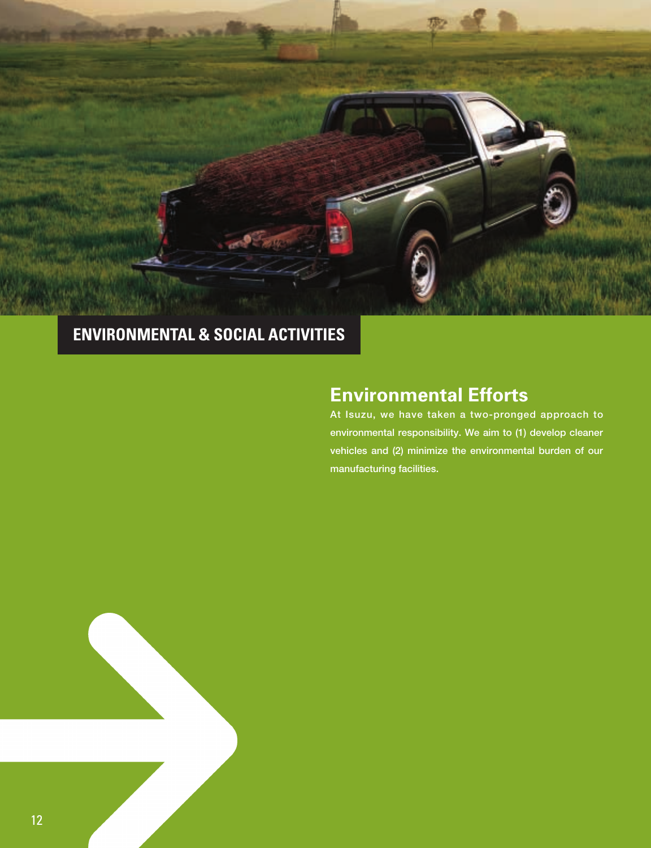

## **ENVIRONMENTAL & SOCIAL ACTIVITIES**

## **Environmental Efforts**

**At Isuzu, we have taken a two-pronged approach to environmental responsibility. We aim to (1) develop cleaner vehicles and (2) minimize the environmental burden of our manufacturing facilities.**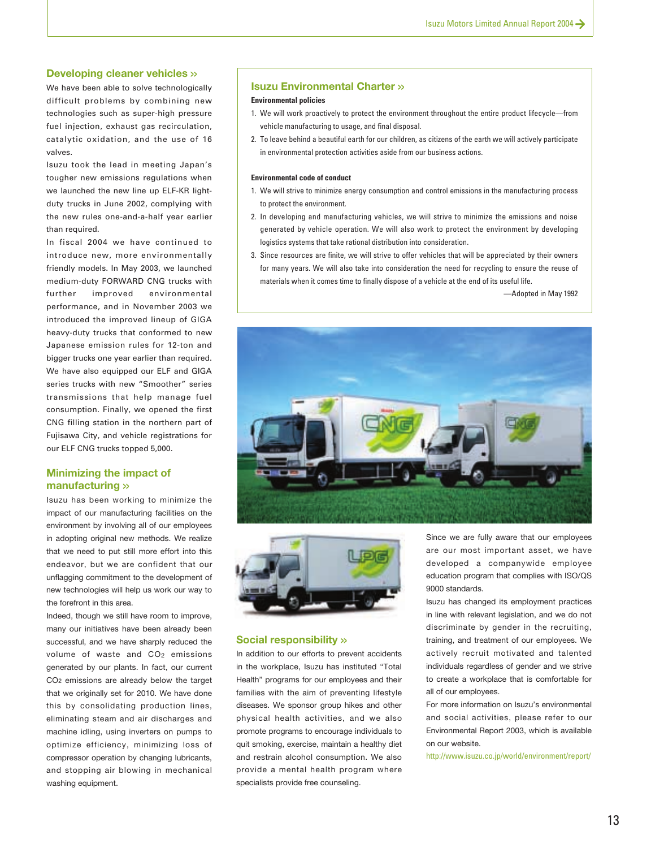#### **Developing cleaner vehicles >>**

We have been able to solve technologically difficult problems by combining new technologies such as super-high pressure fuel injection, exhaust gas recirculation, catalytic oxidation, and the use of 16 valves.

Isuzu took the lead in meeting Japan's tougher new emissions regulations when we launched the new line up ELF-KR lightduty trucks in June 2002, complying with the new rules one-and-a-half year earlier than required.

In fiscal 2004 we have continued to introduce new, more environmentally friendly models. In May 2003, we launched medium-duty FORWARD CNG trucks with further improved environmental performance, and in November 2003 we introduced the improved lineup of GIGA heavy-duty trucks that conformed to new Japanese emission rules for 12-ton and bigger trucks one year earlier than required. We have also equipped our ELF and GIGA series trucks with new "Smoother" series transmissions that help manage fuel consumption. Finally, we opened the first CNG filling station in the northern part of Fujisawa City, and vehicle registrations for our ELF CNG trucks topped 5,000.

#### **Minimizing the impact of manufacturing >>**

Isuzu has been working to minimize the impact of our manufacturing facilities on the environment by involving all of our employees in adopting original new methods. We realize that we need to put still more effort into this endeavor, but we are confident that our unflagging commitment to the development of new technologies will help us work our way to the forefront in this area.

Indeed, though we still have room to improve, many our initiatives have been already been successful, and we have sharply reduced the volume of waste and CO2 emissions generated by our plants. In fact, our current CO2 emissions are already below the target that we originally set for 2010. We have done this by consolidating production lines, eliminating steam and air discharges and machine idling, using inverters on pumps to optimize efficiency, minimizing loss of compressor operation by changing lubricants, and stopping air blowing in mechanical washing equipment.

#### **Isuzu Environmental Charter >>**

#### **Environmental policies**

- 1. We will work proactively to protect the environment throughout the entire product lifecycle—from vehicle manufacturing to usage, and final disposal.
- 2. To leave behind a beautiful earth for our children, as citizens of the earth we will actively participate in environmental protection activities aside from our business actions.

#### **Environmental code of conduct**

- 1. We will strive to minimize energy consumption and control emissions in the manufacturing process to protect the environment.
- 2. In developing and manufacturing vehicles, we will strive to minimize the emissions and noise generated by vehicle operation. We will also work to protect the environment by developing logistics systems that take rational distribution into consideration.
- 3. Since resources are finite, we will strive to offer vehicles that will be appreciated by their owners for many years. We will also take into consideration the need for recycling to ensure the reuse of materials when it comes time to finally dispose of a vehicle at the end of its useful life.

—Adopted in May 1992





#### **Social responsibility >>**

In addition to our efforts to prevent accidents in the workplace, Isuzu has instituted "Total Health" programs for our employees and their families with the aim of preventing lifestyle diseases. We sponsor group hikes and other physical health activities, and we also promote programs to encourage individuals to quit smoking, exercise, maintain a healthy diet and restrain alcohol consumption. We also provide a mental health program where specialists provide free counseling.

Since we are fully aware that our employees are our most important asset, we have developed a companywide employee education program that complies with ISO/QS 9000 standards.

Isuzu has changed its employment practices in line with relevant legislation, and we do not discriminate by gender in the recruiting, training, and treatment of our employees. We actively recruit motivated and talented individuals regardless of gender and we strive to create a workplace that is comfortable for all of our employees.

For more information on Isuzu's environmental and social activities, please refer to our Environmental Report 2003, which is available on our website.

http://www.isuzu.co.jp/world/environment/report/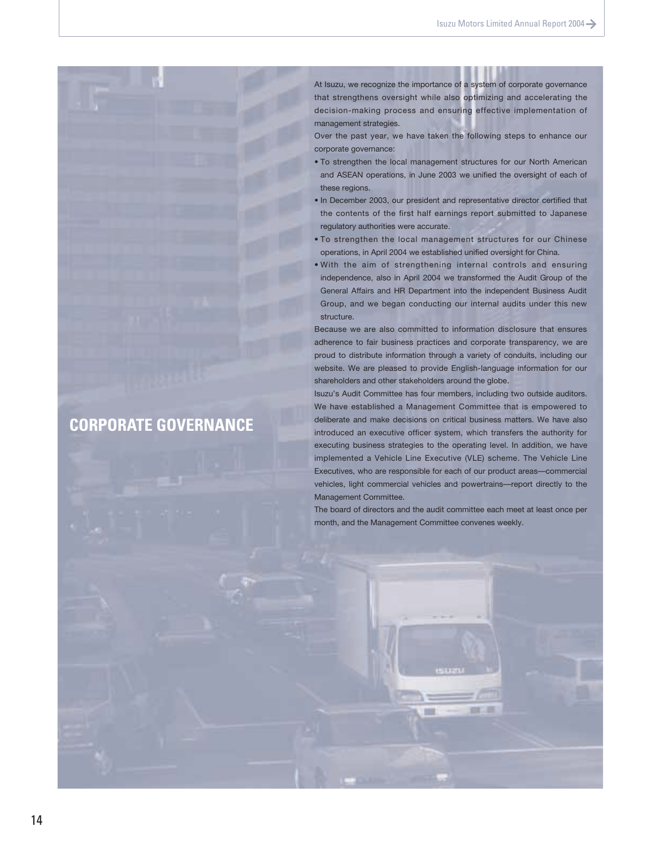At Isuzu, we recognize the importance of a system of corporate governance that strengthens oversight while also optimizing and accelerating the decision-making process and ensuring effective implementation of management strategies.

Over the past year, we have taken the following steps to enhance our corporate governance:

- To strengthen the local management structures for our North American and ASEAN operations, in June 2003 we unified the oversight of each of these regions.
- In December 2003, our president and representative director certified that the contents of the first half earnings report submitted to Japanese regulatory authorities were accurate.
- To strengthen the local management structures for our Chinese operations, in April 2004 we established unified oversight for China.
- With the aim of strengthening internal controls and ensuring independence, also in April 2004 we transformed the Audit Group of the General Affairs and HR Department into the independent Business Audit Group, and we began conducting our internal audits under this new structure.

Because we are also committed to information disclosure that ensures adherence to fair business practices and corporate transparency, we are proud to distribute information through a variety of conduits, including our website. We are pleased to provide English-language information for our shareholders and other stakeholders around the globe.

Isuzu's Audit Committee has four members, including two outside auditors. We have established a Management Committee that is empowered to deliberate and make decisions on critical business matters. We have also introduced an executive officer system, which transfers the authority for executing business strategies to the operating level. In addition, we have implemented a Vehicle Line Executive (VLE) scheme. The Vehicle Line Executives, who are responsible for each of our product areas—commercial vehicles, light commercial vehicles and powertrains—report directly to the Management Committee.

The board of directors and the audit committee each meet at least once per month, and the Management Committee convenes weekly.

### **CORPORATE GOVERNANCE**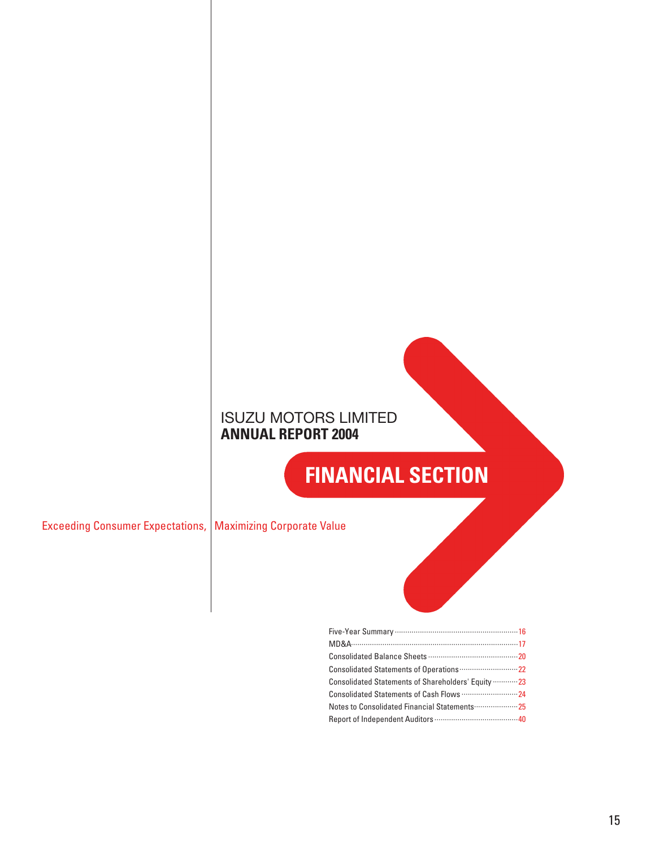### ISUZU MOTORS LIMITED **ANNUAL REPORT 2004**

## **FINANCIAL SECTION**

Exceeding Consumer Expectations, | Maximizing Corporate Value

| Consolidated Statements of Shareholders' Equity  23 |  |
|-----------------------------------------------------|--|
|                                                     |  |
| Notes to Consolidated Financial Statements 25       |  |
|                                                     |  |
|                                                     |  |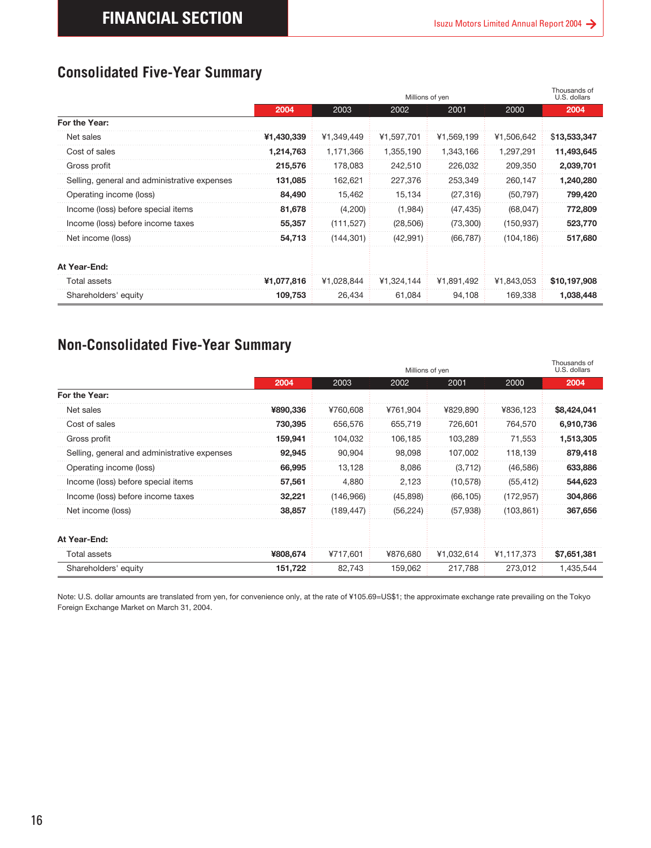|                                              |            |            | Millions of yen |            |            | Thousands of<br>U.S. dollars |
|----------------------------------------------|------------|------------|-----------------|------------|------------|------------------------------|
|                                              | 2004       | 2003       | 2002            | 2001       | 2000       | 2004                         |
| For the Year:                                |            |            |                 |            |            |                              |
| Net sales                                    | ¥1,430,339 | ¥1.349.449 | ¥1.597.701      | ¥1,569,199 | ¥1,506,642 | \$13,533,347                 |
| Cost of sales                                | 1,214,763  | 1,171,366  | 1,355,190       | 1,343,166  | 1,297,291  | 11,493,645                   |
| Gross profit                                 | 215,576    | 178,083    | 242,510         | 226,032    | 209,350    | 2,039,701                    |
| Selling, general and administrative expenses | 131.085    | 162.621    | 227,376         | 253.349    | 260.147    | 1,240,280                    |
| Operating income (loss)                      | 84,490     | 15,462     | 15,134          | (27, 316)  | (50, 797)  | 799,420                      |
| Income (loss) before special items           | 81,678     | (4,200)    | (1,984)         | (47, 435)  | (68,047)   | 772,809                      |
| Income (loss) before income taxes            | 55,357     | (111, 527) | (28, 506)       | (73,300)   | (150, 937) | 523,770                      |
| Net income (loss)                            | 54,713     | (144, 301) | (42,991)        | (66, 787)  | (104, 186) | 517,680                      |
| At Year-End:                                 |            |            |                 |            |            |                              |
| <b>Total assets</b>                          | ¥1,077,816 | ¥1.028.844 | ¥1,324,144      | ¥1.891.492 | ¥1,843,053 | \$10,197,908                 |
| Shareholders' equity                         | 109,753    | 26,434     | 61,084          | 94,108     | 169.338    | 1,038,448                    |

### **Non-Consolidated Five-Year Summary**

<span id="page-15-0"></span>

| For the Year:<br>Net sales                   |            |            | Millions of yen         |            |            | U.S. dollars         |
|----------------------------------------------|------------|------------|-------------------------|------------|------------|----------------------|
|                                              | 2004       | 2003       | 2002                    | 2001       | 2000       | 2004                 |
|                                              |            |            |                         |            |            |                      |
|                                              | ¥1,430,339 | ¥1,349,449 | ¥1,597,701              | ¥1,569,199 | ¥1,506,642 | \$13,533,347         |
| Cost of sales                                | 1,214,763  | 1,171,366  | 1,355,190               | 1,343,166  | 1,297,291  | 11,493,645           |
| Gross profit                                 | 215,576    | 178,083    | 242,510                 | 226,032    | 209,350    | 2,039,701            |
| Selling, general and administrative expenses | 131,085    | 162,621    | 227,376                 | 253,349    | 260,147    | 1,240,280            |
| Operating income (loss)                      | 84,490     | 15,462     | 15,134                  | (27, 316)  | (50, 797)  | 799,420              |
| Income (loss) before special items           | 81,678     | (4,200)    | (1,984)                 | (47, 435)  | (68, 047)  | 772,809              |
| Income (loss) before income taxes            | 55,357     | (111, 527) | (28, 506)               | (73, 300)  | (150, 937) | 523,770              |
| Net income (loss)                            | 54,713     | (144, 301) | (42, 991)               | (66, 787)  | (104, 186) | 517,680              |
| At Year-End:                                 |            |            |                         |            |            |                      |
| <b>Total assets</b>                          | ¥1,077,816 | ¥1,028,844 | ¥1,324,144              | ¥1,891,492 | ¥1,843,053 | \$10,197,908         |
| Shareholders' equity                         | 109,753    | 26,434     | 61,084                  | 94,108     | 169,338    | 1,038,448            |
|                                              | 2004       | 2003       | Millions of yen<br>2002 | 2001       | 2000       | U.S. dollars<br>2004 |
| For the Year:                                |            |            |                         |            |            |                      |
| Net sales                                    | ¥890,336   | ¥760,608   | ¥761,904                | ¥829,890   | ¥836,123   | \$8,424,041          |
| Cost of sales                                | 730,395    | 656,576    | 655,719                 | 726,601    | 764,570    | 6,910,736            |
| Gross profit                                 | 159,941    | 104,032    | 106,185                 | 103,289    | 71,553     | 1,513,305            |
| Selling, general and administrative expenses | 92,945     | 90,904     | 98,098                  | 107,002    | 118,139    | 879,418              |
| Operating income (loss)                      | 66,995     | 13,128     | 8,086                   | (3, 712)   | (46, 586)  | 633,886              |
|                                              | 57,561     | 4,880      | 2,123                   | (10, 578)  | (55, 412)  | 544,623              |
| Income (loss) before special items           |            |            |                         |            |            |                      |
| Income (loss) before income taxes            | 32,221     | (146,966)  | (45, 898)               | (66, 105)  | (172, 957) |                      |
| Net income (loss)                            | 38,857     | (189, 447) | (56, 224)               | (57, 938)  | (103, 861) | 304,866<br>367,656   |
| At Year-End:                                 |            |            |                         |            |            |                      |
| Total assets                                 | ¥808,674   | ¥717,601   | ¥876,680                | ¥1,032,614 | ¥1,117,373 | \$7,651,381          |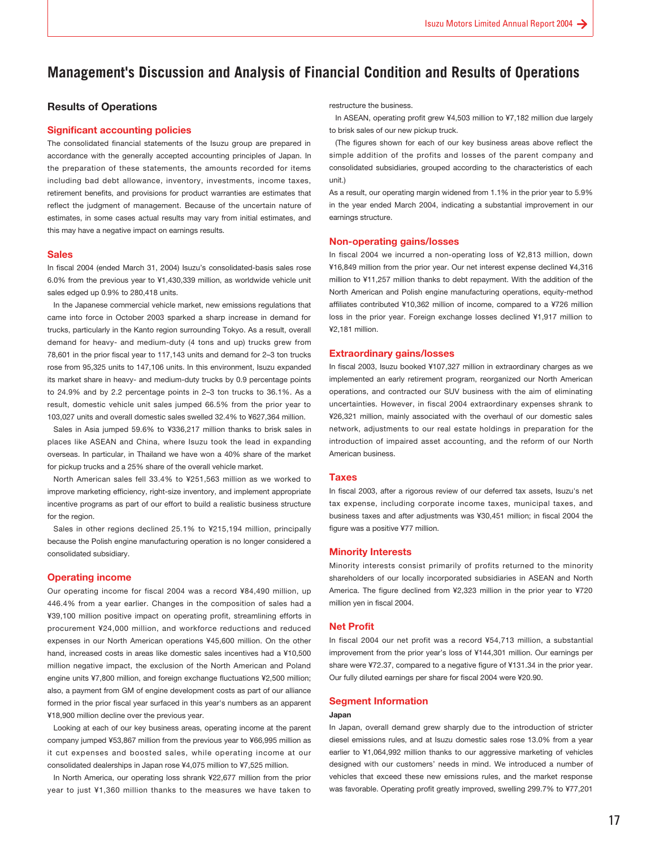### <span id="page-16-0"></span>**Management's Discussion and Analysis of Financial Condition and Results of Operations**

#### **Results of Operations**

#### **Significant accounting policies**

The consolidated financial statements of the Isuzu group are prepared in accordance with the generally accepted accounting principles of Japan. In the preparation of these statements, the amounts recorded for items including bad debt allowance, inventory, investments, income taxes, retirement benefits, and provisions for product warranties are estimates that reflect the judgment of management. Because of the uncertain nature of estimates, in some cases actual results may vary from initial estimates, and this may have a negative impact on earnings results.

#### **Sales**

In fiscal 2004 (ended March 31, 2004) Isuzu's consolidated-basis sales rose 6.0% from the previous year to ¥1,430,339 million, as worldwide vehicle unit sales edged up 0.9% to 280,418 units.

In the Japanese commercial vehicle market, new emissions regulations that came into force in October 2003 sparked a sharp increase in demand for trucks, particularly in the Kanto region surrounding Tokyo. As a result, overall demand for heavy- and medium-duty (4 tons and up) trucks grew from 78,601 in the prior fiscal year to 117,143 units and demand for 2–3 ton trucks rose from 95,325 units to 147,106 units. In this environment, Isuzu expanded its market share in heavy- and medium-duty trucks by 0.9 percentage points to 24.9% and by 2.2 percentage points in 2–3 ton trucks to 36.1%. As a result, domestic vehicle unit sales jumped 66.5% from the prior year to 103,027 units and overall domestic sales swelled 32.4% to ¥627,364 million.

Sales in Asia jumped 59.6% to ¥336,217 million thanks to brisk sales in places like ASEAN and China, where Isuzu took the lead in expanding overseas. In particular, in Thailand we have won a 40% share of the market for pickup trucks and a 25% share of the overall vehicle market.

North American sales fell 33.4% to ¥251,563 million as we worked to improve marketing efficiency, right-size inventory, and implement appropriate incentive programs as part of our effort to build a realistic business structure for the region.

Sales in other regions declined 25.1% to ¥215,194 million, principally because the Polish engine manufacturing operation is no longer considered a consolidated subsidiary.

#### **Operating income**

Our operating income for fiscal 2004 was a record ¥84,490 million, up 446.4% from a year earlier. Changes in the composition of sales had a ¥39,100 million positive impact on operating profit, streamlining efforts in procurement ¥24,000 million, and workforce reductions and reduced expenses in our North American operations ¥45,600 million. On the other hand, increased costs in areas like domestic sales incentives had a ¥10,500 million negative impact, the exclusion of the North American and Poland engine units ¥7,800 million, and foreign exchange fluctuations ¥2,500 million; also, a payment from GM of engine development costs as part of our alliance formed in the prior fiscal year surfaced in this year's numbers as an apparent ¥18,900 million decline over the previous year.

Looking at each of our key business areas, operating income at the parent company jumped ¥53,867 million from the previous year to ¥66,995 million as it cut expenses and boosted sales, while operating income at our consolidated dealerships in Japan rose ¥4,075 million to ¥7,525 million.

In North America, our operating loss shrank ¥22,677 million from the prior year to just ¥1,360 million thanks to the measures we have taken to restructure the business.

In ASEAN, operating profit grew ¥4,503 million to ¥7,182 million due largely to brisk sales of our new pickup truck.

(The figures shown for each of our key business areas above reflect the simple addition of the profits and losses of the parent company and consolidated subsidiaries, grouped according to the characteristics of each unit.)

As a result, our operating margin widened from 1.1% in the prior year to 5.9% in the year ended March 2004, indicating a substantial improvement in our earnings structure.

#### **Non-operating gains/losses**

In fiscal 2004 we incurred a non-operating loss of ¥2,813 million, down ¥16,849 million from the prior year. Our net interest expense declined ¥4,316 million to ¥11,257 million thanks to debt repayment. With the addition of the North American and Polish engine manufacturing operations, equity-method affiliates contributed ¥10,362 million of income, compared to a ¥726 million loss in the prior year. Foreign exchange losses declined ¥1,917 million to ¥2,181 million.

#### **Extraordinary gains/losses**

In fiscal 2003, Isuzu booked ¥107,327 million in extraordinary charges as we implemented an early retirement program, reorganized our North American operations, and contracted our SUV business with the aim of eliminating uncertainties. However, in fiscal 2004 extraordinary expenses shrank to ¥26,321 million, mainly associated with the overhaul of our domestic sales network, adjustments to our real estate holdings in preparation for the introduction of impaired asset accounting, and the reform of our North American business.

#### **Taxes**

In fiscal 2003, after a rigorous review of our deferred tax assets, Isuzu's net tax expense, including corporate income taxes, municipal taxes, and business taxes and after adjustments was ¥30,451 million; in fiscal 2004 the figure was a positive ¥77 million.

#### **Minority Interests**

Minority interests consist primarily of profits returned to the minority shareholders of our locally incorporated subsidiaries in ASEAN and North America. The figure declined from ¥2,323 million in the prior year to ¥720 million yen in fiscal 2004.

#### **Net Profit**

In fiscal 2004 our net profit was a record ¥54,713 million, a substantial improvement from the prior year's loss of ¥144,301 million. Our earnings per share were ¥72.37, compared to a negative figure of ¥131.34 in the prior year. Our fully diluted earnings per share for fiscal 2004 were ¥20.90.

#### **Segment Information**

#### **Japan**

In Japan, overall demand grew sharply due to the introduction of stricter diesel emissions rules, and at Isuzu domestic sales rose 13.0% from a year earlier to ¥1,064,992 million thanks to our aggressive marketing of vehicles designed with our customers' needs in mind. We introduced a number of vehicles that exceed these new emissions rules, and the market response was favorable. Operating profit greatly improved, swelling 299.7% to ¥77,201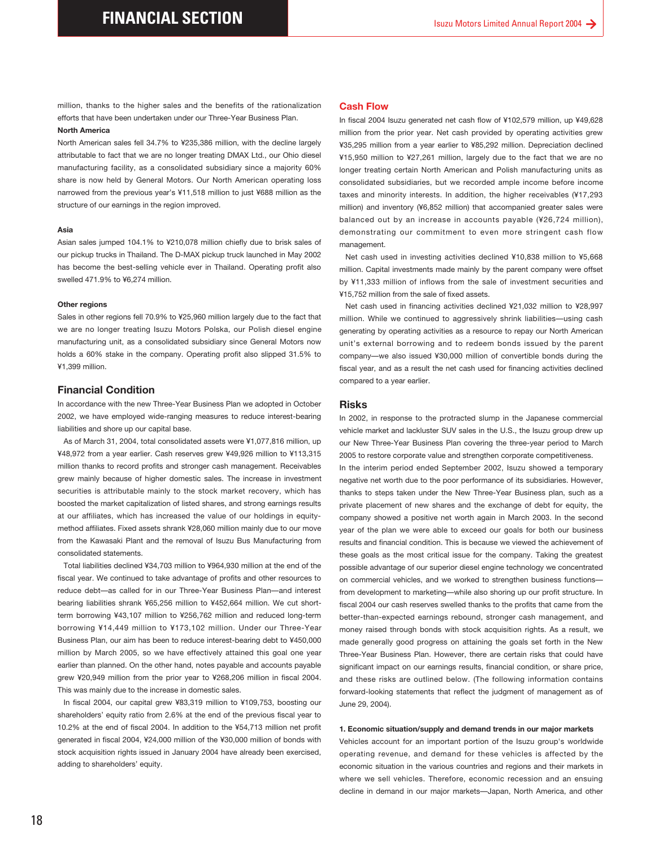efforts that have been undertaken under our Three-Year Business Plan.

#### **North America**

North American sales fell 34.7% to ¥235,386 million, with the decline largely attributable to fact that we are no longer treating DMAX Ltd., our Ohio diesel manufacturing facility, as a consolidated subsidiary since a majority 60% share is now held by General Motors. Our North American operating loss narrowed from the previous year's ¥11,518 million to just ¥688 million as the structure of our earnings in the region improved.

#### **Asia**

Asian sales jumped 104.1% to ¥210,078 million chiefly due to brisk sales of our pickup trucks in Thailand. The D-MAX pickup truck launched in May 2002 has become the best-selling vehicle ever in Thailand. Operating profit also swelled 471.9% to ¥6,274 million.

#### **Other regions**

Sales in other regions fell 70.9% to ¥25,960 million largely due to the fact that we are no longer treating Isuzu Motors Polska, our Polish diesel engine manufacturing unit, as a consolidated subsidiary since General Motors now holds a 60% stake in the company. Operating profit also slipped 31.5% to ¥1,399 million.

#### **Financial Condition**

In accordance with the new Three-Year Business Plan we adopted in October 2002, we have employed wide-ranging measures to reduce interest-bearing liabilities and shore up our capital base.

As of March 31, 2004, total consolidated assets were ¥1,077,816 million, up ¥48,972 from a year earlier. Cash reserves grew ¥49,926 million to ¥113,315 million thanks to record profits and stronger cash management. Receivables grew mainly because of higher domestic sales. The increase in investment securities is attributable mainly to the stock market recovery, which has boosted the market capitalization of listed shares, and strong earnings results at our affiliates, which has increased the value of our holdings in equitymethod affiliates. Fixed assets shrank ¥28,060 million mainly due to our move from the Kawasaki Plant and the removal of Isuzu Bus Manufacturing from consolidated statements.

million, thanks to the higher sales and the benefits of the rationalization<br>million, thanks to the higher sales and the benefits of the rationalization<br>North America.<br>
North America and the Nixt Street Watchen Street Bure Total liabilities declined ¥34,703 million to ¥964,930 million at the end of the fiscal year. We continued to take advantage of profits and other resources to reduce debt—as called for in our Three-Year Business Plan—and interest bearing liabilities shrank ¥65,256 million to ¥452,664 million. We cut shortterm borrowing ¥43,107 million to ¥256,762 million and reduced long-term borrowing ¥14,449 million to ¥173,102 million. Under our Three-Year Business Plan, our aim has been to reduce interest-bearing debt to ¥450,000 million by March 2005, so we have effectively attained this goal one year earlier than planned. On the other hand, notes payable and accounts payable grew ¥20,949 million from the prior year to ¥268,206 million in fiscal 2004. This was mainly due to the increase in domestic sales.

In fiscal 2004, our capital grew ¥83,319 million to ¥109,753, boosting our shareholders' equity ratio from 2.6% at the end of the previous fiscal year to 10.2% at the end of fiscal 2004. In addition to the ¥54,713 million net profit generated in fiscal 2004, ¥24,000 million of the ¥30,000 million of bonds with stock acquisition rights issued in January 2004 have already been exercised, adding to shareholders' equity.

#### **Cash Flow**

In fiscal 2004 Isuzu generated net cash flow of ¥102,579 million, up ¥49,628 million from the prior year. Net cash provided by operating activities grew ¥35,295 million from a year earlier to ¥85,292 million. Depreciation declined ¥15,950 million to ¥27,261 million, largely due to the fact that we are no longer treating certain North American and Polish manufacturing units as consolidated subsidiaries, but we recorded ample income before income taxes and minority interests. In addition, the higher receivables (¥17,293 million) and inventory (¥6,852 million) that accompanied greater sales were balanced out by an increase in accounts payable (¥26,724 million), demonstrating our commitment to even more stringent cash flow management.

Net cash used in investing activities declined ¥10,838 million to ¥5,668 million. Capital investments made mainly by the parent company were offset by ¥11,333 million of inflows from the sale of investment securities and ¥15,752 million from the sale of fixed assets.

Net cash used in financing activities declined ¥21,032 million to ¥28,997 million. While we continued to aggressively shrink liabilities—using cash generating by operating activities as a resource to repay our North American unit's external borrowing and to redeem bonds issued by the parent company—we also issued ¥30,000 million of convertible bonds during the fiscal year, and as a result the net cash used for financing activities declined compared to a year earlier.

#### **Risks**

In 2002, in response to the protracted slump in the Japanese commercial vehicle market and lackluster SUV sales in the U.S., the Isuzu group drew up our New Three-Year Business Plan covering the three-year period to March 2005 to restore corporate value and strengthen corporate competitiveness. In the interim period ended September 2002, Isuzu showed a temporary negative net worth due to the poor performance of its subsidiaries. However, thanks to steps taken under the New Three-Year Business plan, such as a private placement of new shares and the exchange of debt for equity, the company showed a positive net worth again in March 2003. In the second year of the plan we were able to exceed our goals for both our business results and financial condition. This is because we viewed the achievement of these goals as the most critical issue for the company. Taking the greatest possible advantage of our superior diesel engine technology we concentrated on commercial vehicles, and we worked to strengthen business functions from development to marketing—while also shoring up our profit structure. In fiscal 2004 our cash reserves swelled thanks to the profits that came from the better-than-expected earnings rebound, stronger cash management, and money raised through bonds with stock acquisition rights. As a result, we made generally good progress on attaining the goals set forth in the New Three-Year Business Plan. However, there are certain risks that could have significant impact on our earnings results, financial condition, or share price, and these risks are outlined below. (The following information contains forward-looking statements that reflect the judgment of management as of June 29, 2004).

#### **1. Economic situation/supply and demand trends in our major markets**

Vehicles account for an important portion of the Isuzu group's worldwide operating revenue, and demand for these vehicles is affected by the economic situation in the various countries and regions and their markets in where we sell vehicles. Therefore, economic recession and an ensuing decline in demand in our major markets—Japan, North America, and other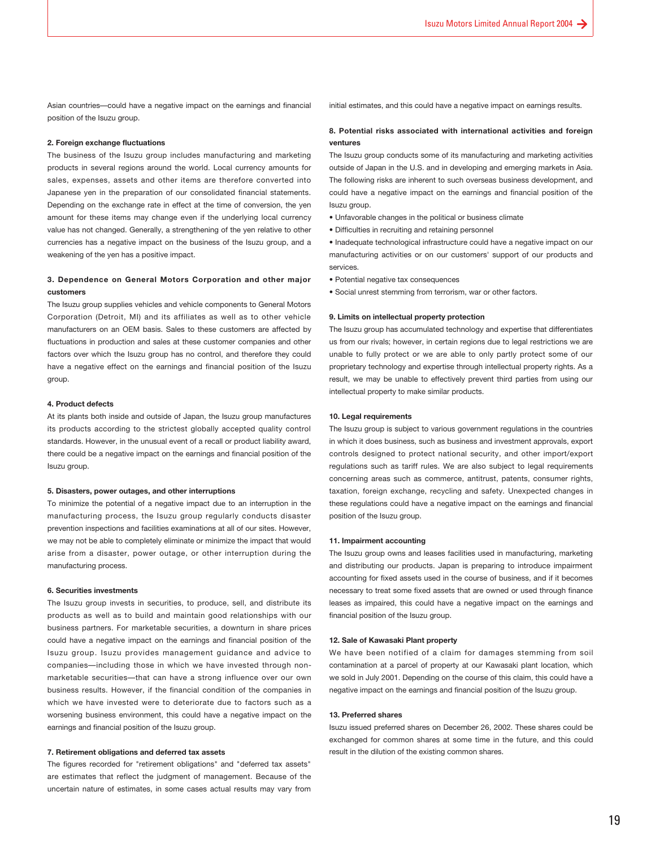Asian countries—could have a negative impact on the earnings and financial position of the Isuzu group.

#### **2. Foreign exchange fluctuations**

The business of the Isuzu group includes manufacturing and marketing products in several regions around the world. Local currency amounts for sales, expenses, assets and other items are therefore converted into Japanese yen in the preparation of our consolidated financial statements. Depending on the exchange rate in effect at the time of conversion, the yen amount for these items may change even if the underlying local currency value has not changed. Generally, a strengthening of the yen relative to other currencies has a negative impact on the business of the Isuzu group, and a weakening of the yen has a positive impact.

#### **3. Dependence on General Motors Corporation and other major customers**

The Isuzu group supplies vehicles and vehicle components to General Motors Corporation (Detroit, MI) and its affiliates as well as to other vehicle manufacturers on an OEM basis. Sales to these customers are affected by fluctuations in production and sales at these customer companies and other factors over which the Isuzu group has no control, and therefore they could have a negative effect on the earnings and financial position of the Isuzu group.

#### **4. Product defects**

At its plants both inside and outside of Japan, the Isuzu group manufactures its products according to the strictest globally accepted quality control standards. However, in the unusual event of a recall or product liability award, there could be a negative impact on the earnings and financial position of the Isuzu group.

#### **5. Disasters, power outages, and other interruptions**

To minimize the potential of a negative impact due to an interruption in the manufacturing process, the Isuzu group regularly conducts disaster prevention inspections and facilities examinations at all of our sites. However, we may not be able to completely eliminate or minimize the impact that would arise from a disaster, power outage, or other interruption during the manufacturing process.

#### **6. Securities investments**

The Isuzu group invests in securities, to produce, sell, and distribute its products as well as to build and maintain good relationships with our business partners. For marketable securities, a downturn in share prices could have a negative impact on the earnings and financial position of the Isuzu group. Isuzu provides management guidance and advice to companies—including those in which we have invested through nonmarketable securities—that can have a strong influence over our own business results. However, if the financial condition of the companies in which we have invested were to deteriorate due to factors such as a worsening business environment, this could have a negative impact on the earnings and financial position of the Isuzu group.

#### **7. Retirement obligations and deferred tax assets**

The figures recorded for "retirement obligations" and "deferred tax assets" are estimates that reflect the judgment of management. Because of the uncertain nature of estimates, in some cases actual results may vary from

initial estimates, and this could have a negative impact on earnings results.

#### **8. Potential risks associated with international activities and foreign ventures**

The Isuzu group conducts some of its manufacturing and marketing activities outside of Japan in the U.S. and in developing and emerging markets in Asia. The following risks are inherent to such overseas business development, and could have a negative impact on the earnings and financial position of the Isuzu group.

- Unfavorable changes in the political or business climate
- Difficulties in recruiting and retaining personnel

• Inadequate technological infrastructure could have a negative impact on our manufacturing activities or on our customers' support of our products and services.

- Potential negative tax consequences
- Social unrest stemming from terrorism, war or other factors.

#### **9. Limits on intellectual property protection**

The Isuzu group has accumulated technology and expertise that differentiates us from our rivals; however, in certain regions due to legal restrictions we are unable to fully protect or we are able to only partly protect some of our proprietary technology and expertise through intellectual property rights. As a result, we may be unable to effectively prevent third parties from using our intellectual property to make similar products.

#### **10. Legal requirements**

The Isuzu group is subject to various government regulations in the countries in which it does business, such as business and investment approvals, export controls designed to protect national security, and other import/export regulations such as tariff rules. We are also subject to legal requirements concerning areas such as commerce, antitrust, patents, consumer rights, taxation, foreign exchange, recycling and safety. Unexpected changes in these regulations could have a negative impact on the earnings and financial position of the Isuzu group.

#### **11. Impairment accounting**

The Isuzu group owns and leases facilities used in manufacturing, marketing and distributing our products. Japan is preparing to introduce impairment accounting for fixed assets used in the course of business, and if it becomes necessary to treat some fixed assets that are owned or used through finance leases as impaired, this could have a negative impact on the earnings and financial position of the Isuzu group.

#### **12. Sale of Kawasaki Plant property**

We have been notified of a claim for damages stemming from soil contamination at a parcel of property at our Kawasaki plant location, which we sold in July 2001. Depending on the course of this claim, this could have a negative impact on the earnings and financial position of the Isuzu group.

#### **13. Preferred shares**

Isuzu issued preferred shares on December 26, 2002. These shares could be exchanged for common shares at some time in the future, and this could result in the dilution of the existing common shares.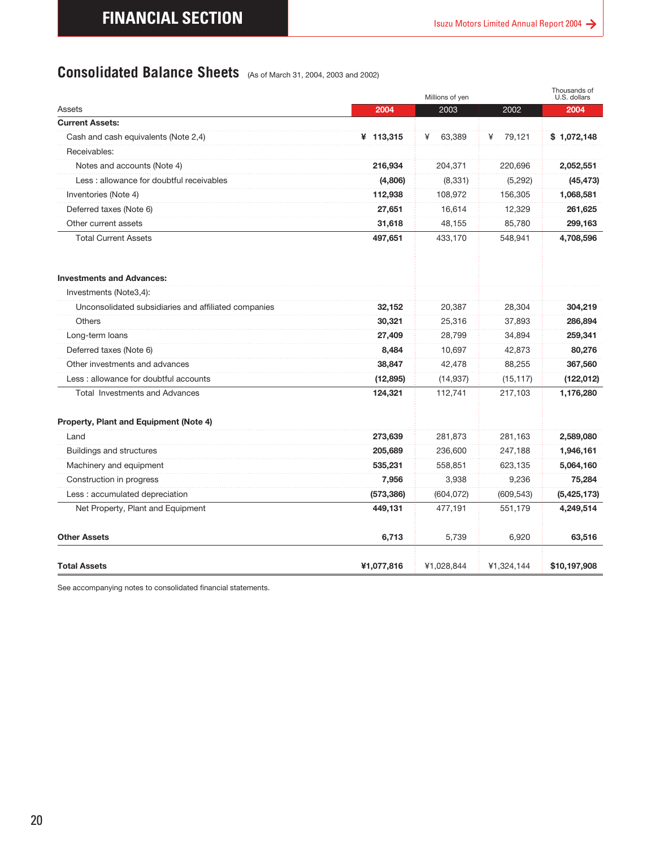### <span id="page-19-0"></span>**Consolidated Balance Sheets** (As of March 31, 2004, 2003 and 2002)

|                                                      |            | Millions of yen |             | Thousands of<br>U.S. dollars |
|------------------------------------------------------|------------|-----------------|-------------|------------------------------|
| Assets                                               | 2004       | 2003            | 2002        | 2004                         |
| <b>Current Assets:</b>                               |            |                 |             |                              |
| Cash and cash equivalents (Note 2,4)                 | ¥ 113,315  | 63,389<br>¥     | 79,121<br>¥ | \$1,072,148                  |
| Receivables:                                         |            |                 |             |                              |
| Notes and accounts (Note 4)                          | 216,934    | 204,371         | 220,696     | 2,052,551                    |
| Less : allowance for doubtful receivables            | (4,806)    | (8, 331)        | (5, 292)    | (45, 473)                    |
| Inventories (Note 4)                                 | 112,938    | 108,972         | 156,305     | 1,068,581                    |
| Deferred taxes (Note 6)                              | 27,651     | 16,614          | 12,329      | 261,625                      |
| Other current assets                                 | 31,618     | 48,155          | 85,780      | 299,163                      |
| <b>Total Current Assets</b>                          | 497,651    | 433,170         | 548,941     | 4,708,596                    |
| <b>Investments and Advances:</b>                     |            |                 |             |                              |
| Investments (Note3,4):                               |            |                 |             |                              |
| Unconsolidated subsidiaries and affiliated companies | 32,152     | 20,387          | 28,304      | 304,219                      |
| Others                                               | 30,321     | 25,316          | 37,893      | 286,894                      |
| Long-term loans                                      | 27,409     | 28,799          | 34,894      | 259,341                      |
| Deferred taxes (Note 6)                              | 8,484      | 10,697          | 42,873      | 80,276                       |
| Other investments and advances                       | 38,847     | 42,478          | 88,255      | 367,560                      |
| Less: allowance for doubtful accounts                | (12, 895)  | (14, 937)       | (15, 117)   | (122, 012)                   |
| <b>Total Investments and Advances</b>                | 124,321    | 112,741         | 217,103     | 1,176,280                    |
| Property, Plant and Equipment (Note 4)               |            |                 |             |                              |
| Land                                                 | 273,639    | 281,873         | 281,163     | 2,589,080                    |
| Buildings and structures                             | 205,689    | 236,600         | 247,188     | 1,946,161                    |
| Machinery and equipment                              | 535,231    | 558,851         | 623,135     | 5,064,160                    |
| Construction in progress                             | 7,956      | 3,938           | 9,236       | 75,284                       |
| Less : accumulated depreciation                      | (573, 386) | (604, 072)      | (609, 543)  | (5,425,173)                  |
| Net Property, Plant and Equipment                    | 449,131    | 477,191         | 551,179     | 4,249,514                    |
| <b>Other Assets</b>                                  | 6,713      | 5,739           | 6,920       | 63,516                       |
| <b>Total Assets</b>                                  |            |                 |             |                              |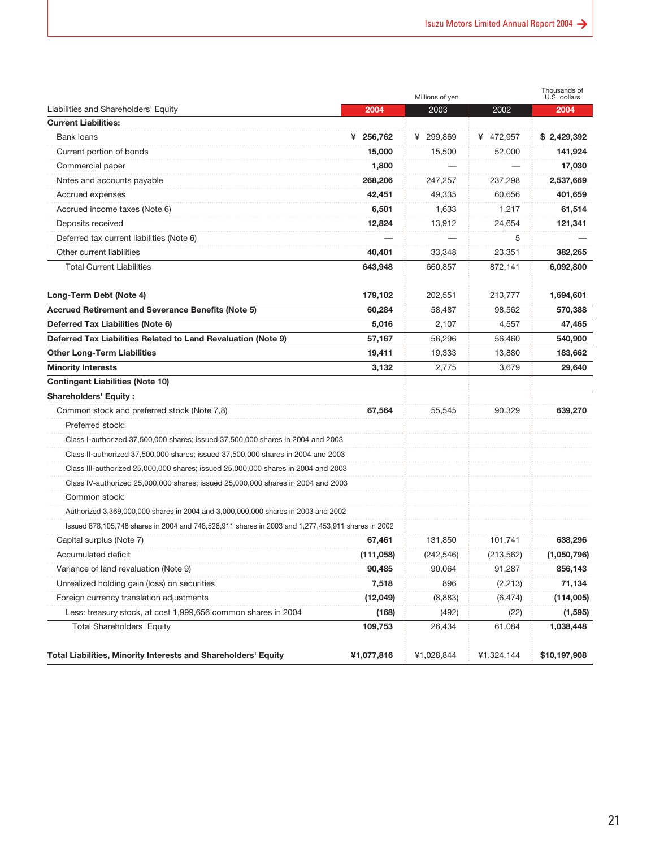|                                                                                                   |            | Millions of yen |            | Thousands of<br>U.S. dollars |
|---------------------------------------------------------------------------------------------------|------------|-----------------|------------|------------------------------|
| Liabilities and Shareholders' Equity                                                              | 2004       | 2003            | 2002       | 2004                         |
| <b>Current Liabilities:</b>                                                                       |            |                 |            |                              |
| Bank loans                                                                                        | ¥ 256,762  | ¥ 299,869       | ¥ 472,957  | \$2,429,392                  |
| Current portion of bonds                                                                          | 15,000     | 15,500          | 52,000     | 141,924                      |
| Commercial paper                                                                                  | 1,800      |                 |            | 17,030                       |
| Notes and accounts payable                                                                        | 268,206    | 247,257         | 237,298    | 2,537,669                    |
| Accrued expenses                                                                                  | 42,451     | 49,335          | 60,656     | 401,659                      |
| Accrued income taxes (Note 6)                                                                     | 6,501      | 1,633           | 1,217      | 61,514                       |
| Deposits received                                                                                 | 12,824     | 13,912          | 24,654     | 121,341                      |
| Deferred tax current liabilities (Note 6)                                                         |            |                 | 5          |                              |
| Other current liabilities                                                                         | 40,401     | 33,348          | 23,351     | 382,265                      |
| <b>Total Current Liabilities</b>                                                                  | 643,948    | 660,857         | 872,141    | 6,092,800                    |
| Long-Term Debt (Note 4)                                                                           | 179,102    | 202,551         | 213,777    | 1,694,601                    |
| Accrued Retirement and Severance Benefits (Note 5)                                                | 60,284     | 58,487          | 98,562     | 570,388                      |
| Deferred Tax Liabilities (Note 6)                                                                 | 5,016      | 2,107           | 4,557      | 47,465                       |
| Deferred Tax Liabilities Related to Land Revaluation (Note 9)                                     | 57,167     | 56,296          | 56,460     | 540,900                      |
| <b>Other Long-Term Liabilities</b>                                                                | 19,411     | 19,333          | 13,880     | 183,662                      |
| <b>Minority Interests</b>                                                                         | 3,132      | 2,775           | 3,679      | 29,640                       |
| <b>Contingent Liabilities (Note 10)</b>                                                           |            |                 |            |                              |
| <b>Shareholders' Equity:</b>                                                                      |            |                 |            |                              |
| Common stock and preferred stock (Note 7,8)                                                       | 67,564     | 55,545          | 90,329     | 639,270                      |
| Preferred stock:                                                                                  |            |                 |            |                              |
| Class I-authorized 37,500,000 shares; issued 37,500,000 shares in 2004 and 2003                   |            |                 |            |                              |
| Class II-authorized 37,500,000 shares; issued 37,500,000 shares in 2004 and 2003                  |            |                 |            |                              |
| Class III-authorized 25,000,000 shares; issued 25,000,000 shares in 2004 and 2003                 |            |                 |            |                              |
| Class IV-authorized 25,000,000 shares; issued 25,000,000 shares in 2004 and 2003                  |            |                 |            |                              |
| Common stock:                                                                                     |            |                 |            |                              |
| Authorized 3,369,000,000 shares in 2004 and 3,000,000,000 shares in 2003 and 2002                 |            |                 |            |                              |
| Issued 878,105,748 shares in 2004 and 748,526,911 shares in 2003 and 1,277,453,911 shares in 2002 |            |                 |            |                              |
| Capital surplus (Note 7)                                                                          | 67,461     | 131,850         | 101,741    | 638,296                      |
| Accumulated deficit                                                                               | (111,058)  | (242, 546)      | (213, 562) | (1,050,796)                  |
| Variance of land revaluation (Note 9)                                                             | 90,485     | 90,064          | 91,287     | 856,143                      |
| Unrealized holding gain (loss) on securities                                                      | 7,518      | 896             | (2, 213)   | 71,134                       |
| Foreign currency translation adjustments                                                          | (12,049)   | (8,883)         | (6, 474)   | (114,005)                    |
| Less: treasury stock, at cost 1,999,656 common shares in 2004                                     | (168)      | (492)           | (22)       | (1, 595)                     |
| Total Shareholders' Equity                                                                        | 109,753    | 26,434          | 61,084     | 1,038,448                    |
| <b>Total Liabilities, Minority Interests and Shareholders' Equity</b>                             | ¥1,077,816 | ¥1,028,844      | ¥1,324,144 | \$10,197,908                 |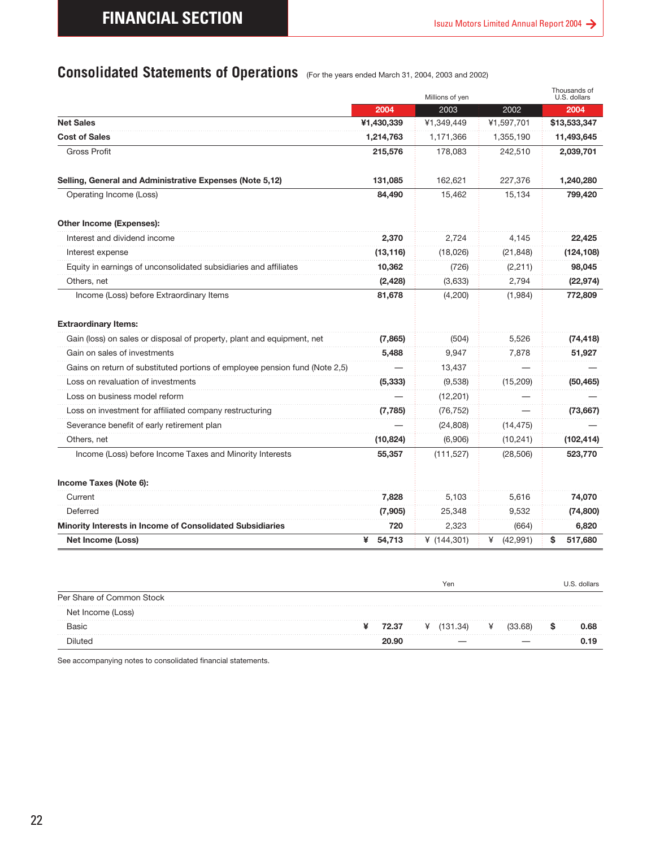### <span id="page-21-0"></span>**Consolidated Statements of Operations** (For the years ended March 31, 2004, 2003 and 2002)

|                                                                             | 2004                | 2003                  | 2002                   | 2004                                          |
|-----------------------------------------------------------------------------|---------------------|-----------------------|------------------------|-----------------------------------------------|
| <b>Net Sales</b>                                                            | ¥1,430,339          | ¥1,349,449            | ¥1,597,701             | \$13,533,347                                  |
| <b>Cost of Sales</b>                                                        | 1,214,763           | 1,171,366             | 1,355,190              | 11,493,645                                    |
| <b>Gross Profit</b>                                                         | 215,576             | 178,083               | 242,510                | 2,039,701                                     |
| Selling, General and Administrative Expenses (Note 5,12)                    | 131,085             | 162,621               | 227,376                | 1,240,280                                     |
| Operating Income (Loss)                                                     | 84,490              | 15.462                | 15,134                 | 799,420                                       |
| Other Income (Expenses):                                                    |                     |                       |                        |                                               |
| Interest and dividend income                                                | 2,370               | 2,724                 | 4,145                  | 22,425                                        |
| Interest expense                                                            | (13, 116)           | (18,026)              | (21, 848)              | (124, 108)                                    |
| Equity in earnings of unconsolidated subsidiaries and affiliates            | 10,362              | (726)                 | (2,211)                | 98,045                                        |
| Others, net                                                                 | (2, 428)            | (3,633)               | 2,794                  | (22, 974)                                     |
| Income (Loss) before Extraordinary Items                                    | 81,678              | (4,200)               | (1,984)                | 772,809                                       |
| <b>Extraordinary Items:</b>                                                 |                     |                       |                        |                                               |
| Gain (loss) on sales or disposal of property, plant and equipment, net      | (7,865)             | (504)                 | 5,526                  | (74, 418)                                     |
| Gain on sales of investments                                                | 5,488               | 9,947                 | 7,878                  | 51,927                                        |
| Gains on return of substituted portions of employee pension fund (Note 2,5) |                     | 13,437                |                        |                                               |
| oss on revaluation of investments                                           | (5, 333)            | (9,538)               | (15, 209)              | (50, 465)                                     |
| Loss on business model reform                                               |                     | (12, 201)             |                        |                                               |
|                                                                             |                     | (76, 752)             |                        | (73, 667)                                     |
|                                                                             |                     |                       |                        |                                               |
| Loss on investment for affiliated company restructuring                     | (7, 785)            |                       |                        |                                               |
| Severance benefit of early retirement plan                                  |                     | (24, 808)             | (14, 475)              |                                               |
| Others, net<br>Income (Loss) before Income Taxes and Minority Interests     | (10, 824)<br>55,357 | (6,906)<br>(111, 527) | (10, 241)<br>(28, 506) | (102, 414)<br>523,770                         |
| Income Taxes (Note 6):<br>Current                                           | 7,828               | 5,103                 | 5,616                  |                                               |
| Deferred                                                                    | (7,905)             | 25,348                | 9,532                  |                                               |
| Minority Interests in Income of Consolidated Subsidiaries                   | 720                 | 2,323                 | (664)                  |                                               |
| Net Income (Loss)                                                           | ¥<br>54,713         | ¥ $(144, 301)$        | ¥<br>(42, 991)         | 74,070<br>(74, 800)<br>6,820<br>\$<br>517,680 |
|                                                                             |                     |                       |                        |                                               |
|                                                                             |                     | Yen                   |                        |                                               |
| Per Share of Common Stock                                                   |                     |                       |                        |                                               |
| Net Income (Loss)                                                           |                     |                       |                        |                                               |
| Basic<br>Diluted                                                            | ¥<br>72.37<br>20.90 | $\angle$ (131.34)     | ¥<br>(33.68)           | U.S. dollars<br>0.68<br>\$<br>0.19            |

|                           |   |       |   | Yen      |         | dollars |
|---------------------------|---|-------|---|----------|---------|---------|
| Per Share of Common Stock |   |       |   |          |         |         |
| Net Income (Loss)         |   |       |   |          |         |         |
| <b>Basic</b>              | ¥ | 72.37 | ¥ | (131.34) | (33.68) | 0.68    |
| hatı ıliC                 |   | 20.90 |   |          |         | .19     |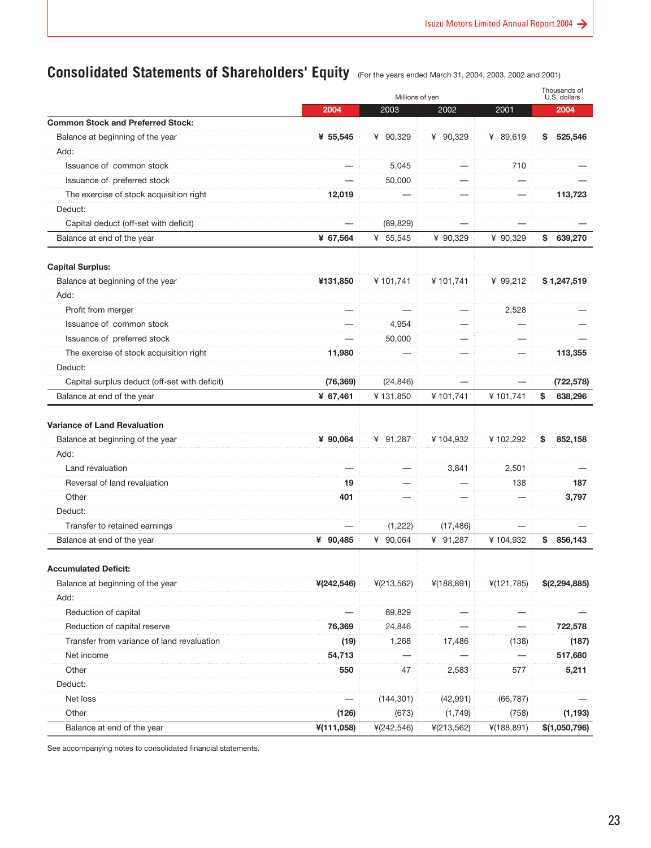### <span id="page-22-0"></span>**Consolidated Statements of Shareholders' Equity** (For the years ended March 31, 2004, 2003, 2002 and 2001)

|                                               |            | Millions of yen |            |            | Thousands of<br>U.S. dollars |
|-----------------------------------------------|------------|-----------------|------------|------------|------------------------------|
|                                               | 2004       | 2003            | 2002       | 2001       | 2004                         |
| <b>Common Stock and Preferred Stock:</b>      |            |                 |            |            |                              |
| Balance at beginning of the year              | ¥ 55,545   | ¥ 90,329        | ¥ 90,329   | ¥ 89,619   | 525,546<br>\$                |
| Add:                                          |            |                 |            |            |                              |
| Issuance of common stock                      |            | 5,045           |            | 710        |                              |
| Issuance of preferred stock                   |            | 50,000          |            |            |                              |
| The exercise of stock acquisition right       | 12,019     |                 |            |            | 113,723                      |
| Deduct:                                       |            |                 |            |            |                              |
| Capital deduct (off-set with deficit)         |            | (89, 829)       |            |            |                              |
| Balance at end of the year                    | ¥ 67,564   | ¥ 55,545        | ¥ 90,329   | ¥ 90,329   | \$<br>639,270                |
| <b>Capital Surplus:</b>                       |            |                 |            |            |                              |
| Balance at beginning of the year              | ¥131,850   | ¥101,741        | ¥101,741   | ¥ 99,212   | \$1,247,519                  |
| Add:                                          |            |                 |            |            |                              |
| Profit from merger                            |            |                 |            | 2,528      |                              |
| Issuance of common stock                      |            | 4,954           |            |            |                              |
| Issuance of preferred stock                   |            | 50,000          |            |            |                              |
| The exercise of stock acquisition right       | 11,980     |                 |            |            | 113,355                      |
| Deduct:                                       |            |                 |            |            |                              |
| Capital surplus deduct (off-set with deficit) | (76, 369)  | (24, 846)       |            |            | (722, 578)                   |
| Balance at end of the year                    | ¥ 67,461   | ¥131,850        | ¥101,741   | ¥101.741   | \$<br>638,296                |
| <b>Variance of Land Revaluation</b>           |            |                 |            |            |                              |
| Balance at beginning of the year              | ¥ 90,064   | ¥ 91,287        | ¥104,932   | ¥102,292   | \$<br>852,158                |
| Add:                                          |            |                 |            |            |                              |
| Land revaluation                              |            |                 | 3,841      | 2,501      |                              |
| Reversal of land revaluation                  | 19         |                 |            | 138        | 187                          |
| Other                                         | 401        |                 |            |            | 3,797                        |
| Deduct:                                       |            |                 |            |            |                              |
| Transfer to retained earnings                 |            | (1,222)         | (17, 486)  |            |                              |
| Balance at end of the year                    | ¥ 90,485   | ¥<br>90,064     | ¥ 91,287   | ¥104,932   | \$<br>856,143                |
| <b>Accumulated Deficit:</b>                   |            |                 |            |            |                              |
| Balance at beginning of the year              | ¥(242,546) | 4(213,562)      | ¥(188,891) | 4(121,785) | \$(2,294,885)                |
| Add:                                          |            |                 |            |            |                              |
| Reduction of capital                          |            | 89,829          |            |            |                              |
| Reduction of capital reserve                  | 76,369     | 24,846          |            |            | 722,578                      |
| Transfer from variance of land revaluation    | (19)       | 1,268           | 17,486     | (138)      | (187)                        |
| Net income                                    | 54,713     |                 |            |            | 517,680                      |
| Other                                         | 550        | 47              | 2,583      | 577        | 5,211                        |
| Deduct:                                       |            |                 |            |            |                              |
| Net loss                                      |            | (144, 301)      | (42, 991)  | (66, 787)  |                              |
| Other                                         | (126)      | (673)           | (1,749)    | (758)      | (1, 193)                     |
| Balance at end of the year                    | ¥(111,058) | 4(242, 546)     | 4(213,562) | ¥(188,891) | \$(1,050,796)                |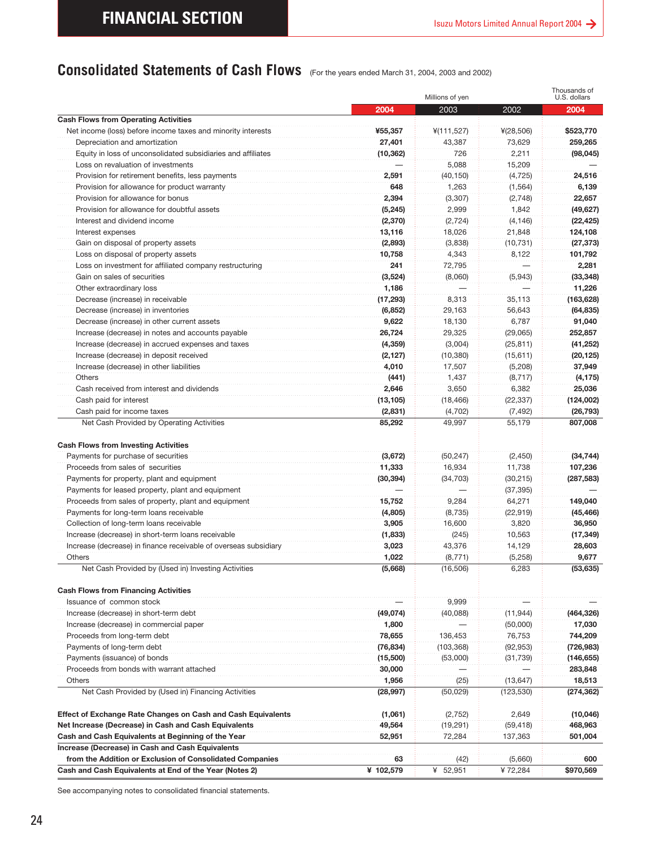### <span id="page-23-0"></span>**Consolidated Statements of Cash Flows** (For the years ended March 31, 2004, 2003 and 2002)

|                                                                                                                                                     |                                        | Millions of yen                          |                                         | Thousands of<br>U.S. dollars                                                                                                              |
|-----------------------------------------------------------------------------------------------------------------------------------------------------|----------------------------------------|------------------------------------------|-----------------------------------------|-------------------------------------------------------------------------------------------------------------------------------------------|
|                                                                                                                                                     | 2004                                   | 2003                                     | 2002                                    | 2004                                                                                                                                      |
| <b>Cash Flows from Operating Activities</b>                                                                                                         |                                        |                                          |                                         |                                                                                                                                           |
| Net income (loss) before income taxes and minority interests                                                                                        | ¥55,357                                | 4(111, 527)                              | ¥(28,506)                               | \$523,770                                                                                                                                 |
| Depreciation and amortization                                                                                                                       | 27,401                                 | 43,387                                   | 73,629                                  | 259,265                                                                                                                                   |
| Equity in loss of unconsolidated subsidiaries and affiliates                                                                                        | (10, 362)                              | 726                                      | 2,211                                   | (98, 045)                                                                                                                                 |
| Loss on revaluation of investments                                                                                                                  |                                        | 5,088                                    | 15,209                                  |                                                                                                                                           |
| Provision for retirement benefits, less payments                                                                                                    | 2,591                                  | (40, 150)                                | (4, 725)                                | 24,516                                                                                                                                    |
| Provision for allowance for product warranty                                                                                                        | 648                                    | 1,263                                    | (1, 564)                                | 6,139                                                                                                                                     |
| Provision for allowance for bonus                                                                                                                   | 2,394                                  | (3, 307)                                 | (2,748)                                 | 22,657                                                                                                                                    |
| Provision for allowance for doubtful assets                                                                                                         | (5, 245)                               | 2,999                                    | 1,842                                   | (49, 627)                                                                                                                                 |
| Interest and dividend income                                                                                                                        | (2, 370)                               | (2, 724)                                 | (4, 146)                                | (22, 425)                                                                                                                                 |
| Interest expenses                                                                                                                                   | 13,116                                 | 18,026                                   | 21,848                                  | 124,108                                                                                                                                   |
| Gain on disposal of property assets                                                                                                                 | (2,893)                                | (3,838)                                  | (10, 731)                               | (27, 373)                                                                                                                                 |
| Loss on disposal of property assets                                                                                                                 | 10,758                                 | 4,343                                    | 8,122                                   | 101,792                                                                                                                                   |
| Loss on investment for affiliated company restructuring                                                                                             | 241                                    | 72,795                                   |                                         | 2,281                                                                                                                                     |
| Gain on sales of securities                                                                                                                         | (3,524)                                | (8,060)                                  | (5,943)                                 | (33, 348)                                                                                                                                 |
| Other extraordinary loss                                                                                                                            | 1,186                                  |                                          |                                         | 11,226                                                                                                                                    |
| Decrease (increase) in receivable                                                                                                                   | (17, 293)                              | 8,313                                    | 35,113                                  | (163, 628)                                                                                                                                |
| Decrease (increase) in inventories                                                                                                                  | (6, 852)                               | 29,163                                   | 56,643                                  | (64, 835)                                                                                                                                 |
| Decrease (increase) in other current assets                                                                                                         | 9,622                                  | 18,130                                   | 6,787                                   | 91,040                                                                                                                                    |
| Increase (decrease) in notes and accounts payable                                                                                                   | 26,724                                 | 29,325                                   | (29,065)                                | 252,857                                                                                                                                   |
| Increase (decrease) in accrued expenses and taxes                                                                                                   | (4, 359)                               | (3,004)                                  | (25, 811)                               | (41, 252)                                                                                                                                 |
| Increase (decrease) in deposit received                                                                                                             | (2, 127)                               | (10, 380)                                | (15,611)                                | (20, 125)                                                                                                                                 |
| Increase (decrease) in other liabilities                                                                                                            | 4,010                                  | 17,507                                   | (5,208)                                 | 37,949                                                                                                                                    |
| Others                                                                                                                                              | (441)                                  | 1,437                                    | (8,717)                                 | (4, 175)                                                                                                                                  |
| Cash received from interest and dividends                                                                                                           | 2,646                                  | 3,650                                    | 6,382                                   | 25,036                                                                                                                                    |
| Cash paid for interest                                                                                                                              | (13, 105)                              | (18, 466)                                | (22, 337)                               | (124,002)                                                                                                                                 |
|                                                                                                                                                     |                                        |                                          |                                         |                                                                                                                                           |
| Cash paid for income taxes<br>Net Cash Provided by Operating Activities<br>Payments for purchase of securities<br>Proceeds from sales of securities | (2,831)<br>85,292<br>(3,672)<br>11,333 | (4,702)<br>49,997<br>(50, 247)<br>16,934 | (7, 492)<br>55,179<br>(2,450)<br>11,738 |                                                                                                                                           |
| Payments for property, plant and equipment<br>Payments for leased property, plant and equipment                                                     | (30, 394)                              | (34, 703)                                | (30, 215)<br>(37, 395)                  | (26, 793)<br>807,008<br>(34, 744)<br>107,236<br>(287,583)                                                                                 |
| Proceeds from sales of property, plant and equipment                                                                                                | 15,752                                 | 9,284                                    | 64,271                                  |                                                                                                                                           |
| Payments for long-term loans receivable                                                                                                             | (4,805)                                | (8,735)                                  | (22, 919)                               | 149,040<br>(45, 466)                                                                                                                      |
| Collection of long-term loans receivable                                                                                                            | 3,905                                  | 16,600                                   | 3,820                                   | 36,950                                                                                                                                    |
| Increase (decrease) in short-term loans receivable                                                                                                  | (1,833)                                | (245)                                    | 10,563                                  | (17, 349)                                                                                                                                 |
| Increase (decrease) in finance receivable of overseas subsidiary                                                                                    | 3,023                                  | 43,376                                   | 14,129                                  |                                                                                                                                           |
| Others                                                                                                                                              | 1,022                                  | (8,771)                                  | (5,258)                                 |                                                                                                                                           |
| Net Cash Provided by (Used in) Investing Activities                                                                                                 | (5,668)                                | (16, 506)                                | 6,283                                   |                                                                                                                                           |
|                                                                                                                                                     |                                        |                                          |                                         |                                                                                                                                           |
| Issuance of common stock                                                                                                                            |                                        | 9,999                                    |                                         |                                                                                                                                           |
| Increase (decrease) in short-term debt                                                                                                              | (49,074)                               | (40, 088)                                | (11, 944)                               |                                                                                                                                           |
| Increase (decrease) in commercial paper                                                                                                             | 1,800                                  |                                          | (50,000)                                |                                                                                                                                           |
| Proceeds from long-term debt                                                                                                                        | 78,655                                 | 136,453                                  | 76,753                                  |                                                                                                                                           |
| Payments of long-term debt                                                                                                                          | (76, 834)                              | (103, 368)                               | (92, 953)                               |                                                                                                                                           |
| Payments (issuance) of bonds                                                                                                                        | (15,500)                               | (53,000)                                 | (31, 739)                               |                                                                                                                                           |
| Proceeds from bonds with warrant attached                                                                                                           | 30,000                                 |                                          |                                         |                                                                                                                                           |
| Others<br>Net Cash Provided by (Used in) Financing Activities                                                                                       | 1,956<br>(28, 997)                     | (25)<br>(50, 029)                        | (13, 647)<br>(123, 530)                 |                                                                                                                                           |
| <b>Cash Flows from Investing Activities</b><br><b>Cash Flows from Financing Activities</b>                                                          |                                        |                                          |                                         |                                                                                                                                           |
| <b>Effect of Exchange Rate Changes on Cash and Cash Equivalents</b>                                                                                 | (1,061)                                | (2, 752)                                 | 2,649                                   | 28,603<br>9,677<br>(53, 635)<br>(464, 326)<br>17,030<br>744,209<br>(726, 983)<br>(146, 655)<br>283,848<br>18,513<br>(274,362)<br>(10,046) |
| Net Increase (Decrease) in Cash and Cash Equivalents                                                                                                | 49,564                                 | (19, 291)                                | (59, 418)                               |                                                                                                                                           |
| Cash and Cash Equivalents at Beginning of the Year                                                                                                  | 52,951                                 | 72,284                                   | 137,363                                 |                                                                                                                                           |
| Increase (Decrease) in Cash and Cash Equivalents                                                                                                    |                                        |                                          |                                         |                                                                                                                                           |
| from the Addition or Exclusion of Consolidated Companies<br>Cash and Cash Equivalents at End of the Year (Notes 2)                                  | 63<br>¥ 102,579                        | (42)<br>¥ 52,951                         | (5,660)<br>¥72,284                      | 468,963<br>501,004<br>\$970,569                                                                                                           |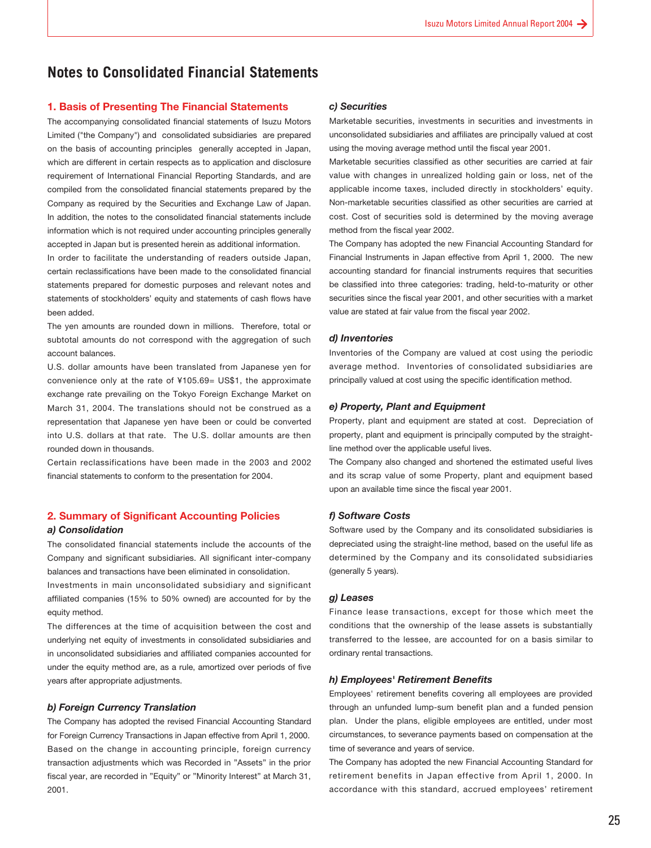### <span id="page-24-0"></span>**Notes to Consolidated Financial Statements**

#### **1. Basis of Presenting The Financial Statements**

The accompanying consolidated financial statements of Isuzu Motors Limited ("the Company") and consolidated subsidiaries are prepared on the basis of accounting principles generally accepted in Japan, which are different in certain respects as to application and disclosure requirement of International Financial Reporting Standards, and are compiled from the consolidated financial statements prepared by the Company as required by the Securities and Exchange Law of Japan. In addition, the notes to the consolidated financial statements include information which is not required under accounting principles generally accepted in Japan but is presented herein as additional information.

In order to facilitate the understanding of readers outside Japan, certain reclassifications have been made to the consolidated financial statements prepared for domestic purposes and relevant notes and statements of stockholders' equity and statements of cash flows have been added.

The yen amounts are rounded down in millions. Therefore, total or subtotal amounts do not correspond with the aggregation of such account balances.

U.S. dollar amounts have been translated from Japanese yen for convenience only at the rate of ¥105.69= US\$1, the approximate exchange rate prevailing on the Tokyo Foreign Exchange Market on March 31, 2004. The translations should not be construed as a representation that Japanese yen have been or could be converted into U.S. dollars at that rate. The U.S. dollar amounts are then rounded down in thousands.

Certain reclassifications have been made in the 2003 and 2002 financial statements to conform to the presentation for 2004.

#### **2. Summary of Significant Accounting Policies** *a) Consolidation*

The consolidated financial statements include the accounts of the Company and significant subsidiaries. All significant inter-company balances and transactions have been eliminated in consolidation.

Investments in main unconsolidated subsidiary and significant affiliated companies (15% to 50% owned) are accounted for by the equity method.

The differences at the time of acquisition between the cost and underlying net equity of investments in consolidated subsidiaries and in unconsolidated subsidiaries and affiliated companies accounted for under the equity method are, as a rule, amortized over periods of five years after appropriate adjustments.

#### *b) Foreign Currency Translation*

The Company has adopted the revised Financial Accounting Standard for Foreign Currency Transactions in Japan effective from April 1, 2000. Based on the change in accounting principle, foreign currency transaction adjustments which was Recorded in "Assets" in the prior fiscal year, are recorded in "Equity" or "Minority Interest" at March 31, 2001.

#### *c) Securities*

Marketable securities, investments in securities and investments in unconsolidated subsidiaries and affiliates are principally valued at cost using the moving average method until the fiscal year 2001.

Marketable securities classified as other securities are carried at fair value with changes in unrealized holding gain or loss, net of the applicable income taxes, included directly in stockholders' equity. Non-marketable securities classified as other securities are carried at cost. Cost of securities sold is determined by the moving average method from the fiscal year 2002.

The Company has adopted the new Financial Accounting Standard for Financial Instruments in Japan effective from April 1, 2000. The new accounting standard for financial instruments requires that securities be classified into three categories: trading, held-to-maturity or other securities since the fiscal year 2001, and other securities with a market value are stated at fair value from the fiscal year 2002.

#### *d) Inventories*

Inventories of the Company are valued at cost using the periodic average method. Inventories of consolidated subsidiaries are principally valued at cost using the specific identification method.

#### *e) Property, Plant and Equipment*

Property, plant and equipment are stated at cost. Depreciation of property, plant and equipment is principally computed by the straightline method over the applicable useful lives.

The Company also changed and shortened the estimated useful lives and its scrap value of some Property, plant and equipment based upon an available time since the fiscal year 2001.

#### *f) Software Costs*

Software used by the Company and its consolidated subsidiaries is depreciated using the straight-line method, based on the useful life as determined by the Company and its consolidated subsidiaries (generally 5 years).

#### *g) Leases*

Finance lease transactions, except for those which meet the conditions that the ownership of the lease assets is substantially transferred to the lessee, are accounted for on a basis similar to ordinary rental transactions.

#### *h) Employees' Retirement Benefits*

Employees' retirement benefits covering all employees are provided through an unfunded lump-sum benefit plan and a funded pension plan. Under the plans, eligible employees are entitled, under most circumstances, to severance payments based on compensation at the time of severance and years of service.

The Company has adopted the new Financial Accounting Standard for retirement benefits in Japan effective from April 1, 2000. In accordance with this standard, accrued employees' retirement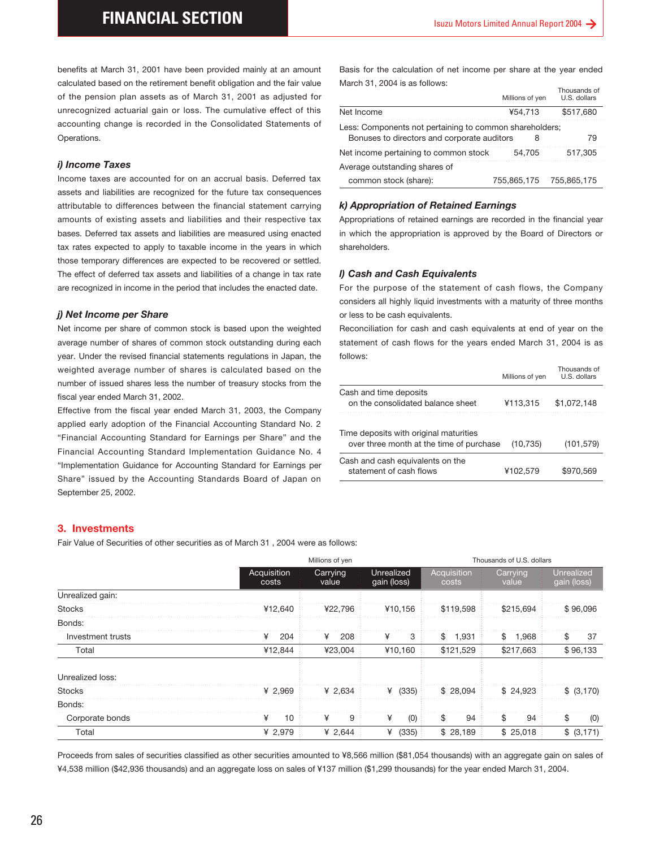#### *i) Income Taxes*

#### *j) Net Income per Share*

Basis for the calculation of net income per share at the year ended March 31, 2004 is as follows:  $T<sub>1</sub>$  and  $T<sub>2</sub>$ 

|                                                         | Millions of yen | THUUSAHUS UI<br>U.S. dollars |
|---------------------------------------------------------|-----------------|------------------------------|
| Net Income                                              | ¥54.713         | \$517,680                    |
| Less: Components not pertaining to common shareholders; |                 |                              |
| Bonuses to directors and corporate auditors             |                 | 79                           |
| Net income pertaining to common stock                   | 54.705          | 517.305                      |
| Average outstanding shares of                           |                 |                              |
| common stock (share):                                   | 755.865.175     | 755.865.175                  |

#### *k) Appropriation of Retained Earnings*

#### *l) Cash and Cash Equivalents*

|                                                                                    | Millions of yen | Thousands of<br>U.S. dollars |
|------------------------------------------------------------------------------------|-----------------|------------------------------|
| Cash and time deposits<br>on the consolidated balance sheet                        | ¥113,315        | \$1.072.148                  |
| Time deposits with original maturities<br>over three month at the time of purchase | (10, 735)       | (101, 579)                   |
| Cash and cash equivalents on the<br>statement of cash flows                        | ¥102.579        | \$970.569                    |

#### **3. Investments**

| calculated based on the retirement benefit obligation and the fair value                                                            |             |                 |                                             |                    |                                                                                                                                        | Thousands of            |
|-------------------------------------------------------------------------------------------------------------------------------------|-------------|-----------------|---------------------------------------------|--------------------|----------------------------------------------------------------------------------------------------------------------------------------|-------------------------|
| of the pension plan assets as of March 31, 2001 as adjusted for                                                                     |             |                 |                                             |                    | Millions of yen                                                                                                                        | U.S. dollars            |
| unrecognized actuarial gain or loss. The cumulative effect of this                                                                  |             | Net Income      |                                             |                    | ¥54,713                                                                                                                                | \$517,680               |
| accounting change is recorded in the Consolidated Statements of<br>Operations.                                                      |             |                 | Bonuses to directors and corporate auditors |                    | Less: Components not pertaining to common shareholders;<br>8                                                                           | 79                      |
|                                                                                                                                     |             |                 | Net income pertaining to common stock       |                    | 54,705                                                                                                                                 | 517,305                 |
| <i>i) Income Taxes</i>                                                                                                              |             |                 | Average outstanding shares of               |                    |                                                                                                                                        |                         |
| Income taxes are accounted for on an accrual basis. Deferred tax                                                                    |             |                 | common stock (share):                       |                    | 755,865,175                                                                                                                            | 755,865,175             |
| assets and liabilities are recognized for the future tax consequences                                                               |             |                 |                                             |                    |                                                                                                                                        |                         |
| attributable to differences between the financial statement carrying                                                                |             |                 | k) Appropriation of Retained Earnings       |                    |                                                                                                                                        |                         |
| amounts of existing assets and liabilities and their respective tax                                                                 |             |                 |                                             |                    | Appropriations of retained earnings are recorded in the financial year                                                                 |                         |
| bases. Deferred tax assets and liabilities are measured using enacted                                                               |             |                 |                                             |                    | in which the appropriation is approved by the Board of Directors or                                                                    |                         |
| tax rates expected to apply to taxable income in the years in which                                                                 |             | shareholders.   |                                             |                    |                                                                                                                                        |                         |
| those temporary differences are expected to be recovered or settled.                                                                |             |                 |                                             |                    |                                                                                                                                        |                         |
| The effect of deferred tax assets and liabilities of a change in tax rate                                                           |             |                 | I) Cash and Cash Equivalents                |                    |                                                                                                                                        |                         |
| are recognized in income in the period that includes the enacted date.                                                              |             |                 |                                             |                    | For the purpose of the statement of cash flows, the Company                                                                            |                         |
|                                                                                                                                     |             |                 |                                             |                    | considers all highly liquid investments with a maturity of three months                                                                |                         |
| j) Net Income per Share                                                                                                             |             |                 | or less to be cash equivalents.             |                    |                                                                                                                                        |                         |
| Net income per share of common stock is based upon the weighted<br>average number of shares of common stock outstanding during each |             |                 |                                             |                    | Reconciliation for cash and cash equivalents at end of year on the<br>statement of cash flows for the years ended March 31, 2004 is as |                         |
| year. Under the revised financial statements regulations in Japan, the                                                              |             | follows:        |                                             |                    |                                                                                                                                        |                         |
| weighted average number of shares is calculated based on the                                                                        |             |                 |                                             |                    |                                                                                                                                        | Thousands of            |
| number of issued shares less the number of treasury stocks from the                                                                 |             |                 |                                             |                    | Millions of yen                                                                                                                        | U.S. dollars            |
|                                                                                                                                     |             |                 | Cash and time deposits                      |                    |                                                                                                                                        |                         |
|                                                                                                                                     |             |                 | on the consolidated balance sheet           |                    | ¥113,315                                                                                                                               | \$1,072,148             |
| fiscal year ended March 31, 2002.                                                                                                   |             |                 |                                             |                    |                                                                                                                                        |                         |
| Effective from the fiscal year ended March 31, 2003, the Company                                                                    |             |                 |                                             |                    |                                                                                                                                        |                         |
| applied early adoption of the Financial Accounting Standard No. 2                                                                   |             |                 | Time deposits with original maturities      |                    |                                                                                                                                        |                         |
| "Financial Accounting Standard for Earnings per Share" and the                                                                      |             |                 | over three month at the time of purchase    |                    | (10, 735)                                                                                                                              |                         |
| Financial Accounting Standard Implementation Guidance No. 4                                                                         |             |                 | Cash and cash equivalents on the            |                    |                                                                                                                                        |                         |
| "Implementation Guidance for Accounting Standard for Earnings per<br>Share" issued by the Accounting Standards Board of Japan on    |             |                 | statement of cash flows                     |                    | ¥102,579                                                                                                                               |                         |
| September 25, 2002.                                                                                                                 |             |                 |                                             |                    |                                                                                                                                        |                         |
| 3. Investments                                                                                                                      |             |                 |                                             |                    |                                                                                                                                        | (101, 579)<br>\$970,569 |
| Fair Value of Securities of other securities as of March 31, 2004 were as follows:                                                  |             |                 |                                             |                    |                                                                                                                                        |                         |
|                                                                                                                                     |             | Millions of yen |                                             |                    | Thousands of U.S. dollars                                                                                                              |                         |
|                                                                                                                                     | Acquisition | Carrying        | Unrealized                                  | Acquisition        | Carrying                                                                                                                               | Unrealized              |
|                                                                                                                                     | costs       | value           | gain (loss)                                 | costs              | value                                                                                                                                  | gain (loss)             |
| Unrealized gain:                                                                                                                    | ¥12.640     |                 |                                             |                    |                                                                                                                                        |                         |
| <b>Stocks</b>                                                                                                                       |             | ¥22,796         | ¥10,156                                     | \$119,598          | \$215,694                                                                                                                              | \$96,096                |
| Bonds:<br>Investment trusts                                                                                                         | 204<br>¥    | ¥<br>208        | 3<br>¥                                      | \$                 | 1,968<br>\$                                                                                                                            | \$<br>37                |
| Total                                                                                                                               | ¥12,844     | ¥23,004         | ¥10,160                                     | 1,931<br>\$121,529 | \$217,663                                                                                                                              |                         |
|                                                                                                                                     |             |                 |                                             |                    |                                                                                                                                        |                         |
| Unrealized loss:                                                                                                                    |             |                 |                                             |                    |                                                                                                                                        | \$96,133                |
| <b>Stocks</b>                                                                                                                       | ¥ 2,969     | ¥ 2,634         | ¥ $(335)$                                   | \$28,094           | \$24,923                                                                                                                               | \$ (3,170)              |
| Bonds:<br>Corporate bonds                                                                                                           | ¥<br>10     | ¥<br>9          | ¥<br>(0)                                    | \$<br>94           | \$<br>94                                                                                                                               | \$<br>(0)               |
|                                                                                                                                     |             |                 |                                             |                    |                                                                                                                                        |                         |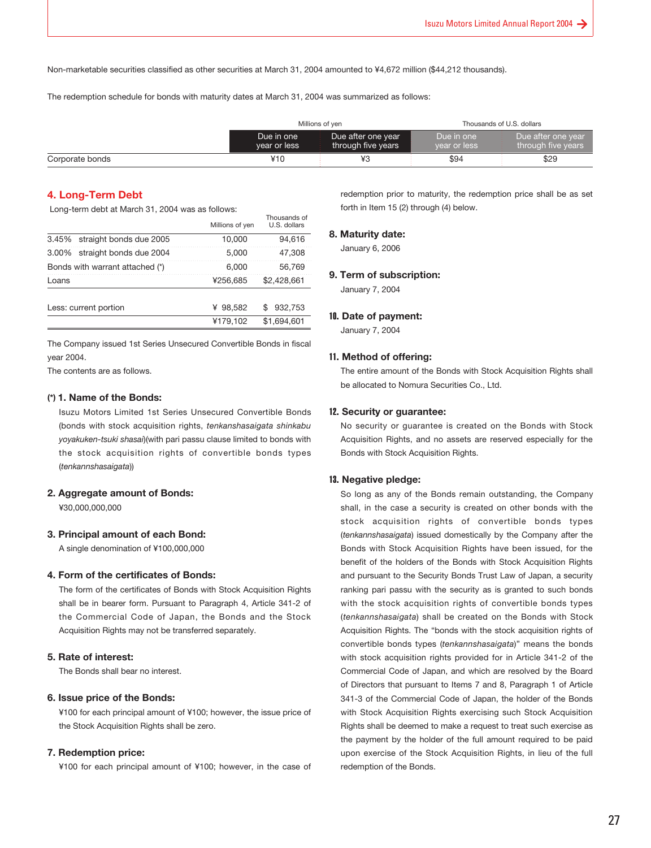Non-marketable securities classified as other securities at March 31, 2004 amounted to ¥4,672 million (\$44,212 thousands).

The redemption schedule for bonds with maturity dates at March 31, 2004 was summarized as follows:

|                 | Millions of ven            |                                          |                            | Thousands of U.S. dollars                |
|-----------------|----------------------------|------------------------------------------|----------------------------|------------------------------------------|
|                 | Due in one<br>year or less | Due after one year<br>through five years | Due in one<br>year or less | Due after one year<br>through five years |
| Corporate bonds | ¥10                        | ¥3                                       | \$94                       | \$29                                     |

#### **4. Long-Term Debt**

Long-term debt at March 31, 2004 was as follows:

|                                 | Millions of yen | Thousands of<br>U.S. dollars |
|---------------------------------|-----------------|------------------------------|
| 3.45% straight bonds due 2005   | 10.000          | 94.616                       |
| 3.00% straight bonds due 2004   | 5.000           | 47,308                       |
| Bonds with warrant attached (*) | 6.000           | 56.769                       |
| Loans                           | ¥256.685        | \$2.428.661                  |
| Less: current portion           | ¥ 98.582        | 932.753                      |
|                                 | ¥179,102        | \$1.694.601                  |
|                                 |                 |                              |

The Company issued 1st Series Unsecured Convertible Bonds in fiscal year 2004.

The contents are as follows.

#### **(\*) 1. Name of the Bonds:**

Isuzu Motors Limited 1st Series Unsecured Convertible Bonds (bonds with stock acquisition rights, *tenkanshasaigata shinkabu yoyakuken-tsuki shasai*)(with pari passu clause limited to bonds with the stock acquisition rights of convertible bonds types (*tenkannshasaigata*))

#### **2. Aggregate amount of Bonds:**

¥30,000,000,000

#### **3. Principal amount of each Bond:**

A single denomination of ¥100,000,000

#### **4. Form of the certificates of Bonds:**

The form of the certificates of Bonds with Stock Acquisition Rights shall be in bearer form. Pursuant to Paragraph 4, Article 341-2 of the Commercial Code of Japan, the Bonds and the Stock Acquisition Rights may not be transferred separately.

#### **5. Rate of interest:**

The Bonds shall bear no interest.

#### **6. Issue price of the Bonds:**

¥100 for each principal amount of ¥100; however, the issue price of the Stock Acquisition Rights shall be zero.

#### **7. Redemption price:**

¥100 for each principal amount of ¥100; however, in the case of

redemption prior to maturity, the redemption price shall be as set forth in Item 15 (2) through (4) below.

#### **8. Maturity date:**

January 6, 2006

#### **9. Term of subscription:**

January 7, 2004

#### 10**. Date of payment:**

January 7, 2004

#### 11**. Method of offering:**

The entire amount of the Bonds with Stock Acquisition Rights shall be allocated to Nomura Securities Co., Ltd.

#### 12**. Security or guarantee:**

No security or guarantee is created on the Bonds with Stock Acquisition Rights, and no assets are reserved especially for the Bonds with Stock Acquisition Rights.

#### 13**. Negative pledge:**

So long as any of the Bonds remain outstanding, the Company shall, in the case a security is created on other bonds with the stock acquisition rights of convertible bonds types (*tenkannshasaigata*) issued domestically by the Company after the Bonds with Stock Acquisition Rights have been issued, for the benefit of the holders of the Bonds with Stock Acquisition Rights and pursuant to the Security Bonds Trust Law of Japan, a security ranking pari passu with the security as is granted to such bonds with the stock acquisition rights of convertible bonds types (*tenkannshasaigata*) shall be created on the Bonds with Stock Acquisition Rights. The "bonds with the stock acquisition rights of convertible bonds types (*tenkannshasaigata*)" means the bonds with stock acquisition rights provided for in Article 341-2 of the Commercial Code of Japan, and which are resolved by the Board of Directors that pursuant to Items 7 and 8, Paragraph 1 of Article 341-3 of the Commercial Code of Japan, the holder of the Bonds with Stock Acquisition Rights exercising such Stock Acquisition Rights shall be deemed to make a request to treat such exercise as the payment by the holder of the full amount required to be paid upon exercise of the Stock Acquisition Rights, in lieu of the full redemption of the Bonds.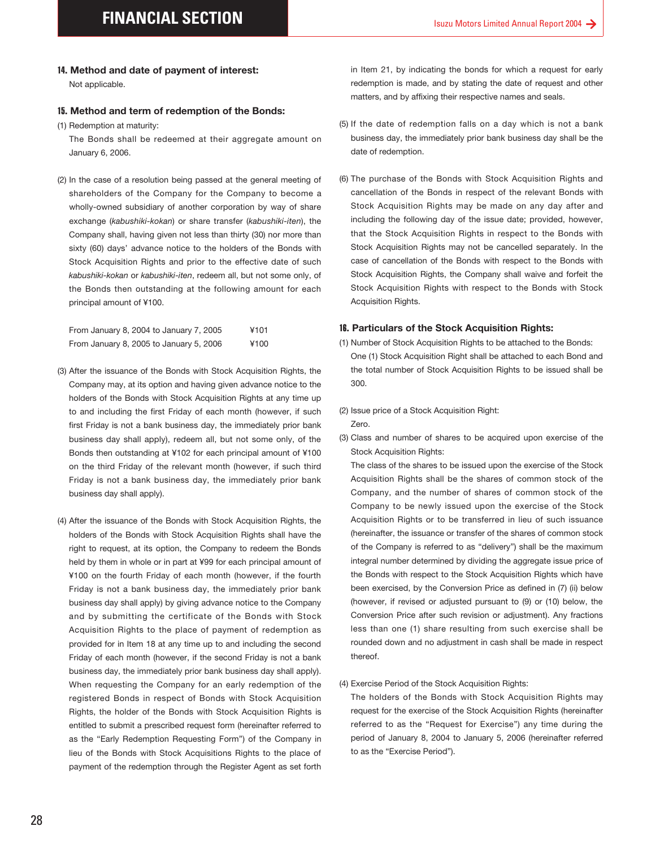Not applicable.

#### 15**. Method and term of redemption of the Bonds:**

(1) Redemption at maturity:

(2) In the case of a resolution being passed at the general meeting of shareholders of the Company for the Company to become a wholly-owned subsidiary of another corporation by way of share exchange (*kabushiki-kokan*) or share transfer (*kabushiki-iten*), the Company shall, having given not less than thirty (30) nor more than sixty (60) days' advance notice to the holders of the Bonds with Stock Acquisition Rights and prior to the effective date of such *kabushiki-kokan* or *kabushiki-iten*, redeem all, but not some only, of the Bonds then outstanding at the following amount for each principal amount of ¥100.

| From January 8, 2004 to January 7, 2005 | ¥101 |
|-----------------------------------------|------|
| From January 8, 2005 to January 5, 2006 | ¥100 |

- (3) After the issuance of the Bonds with Stock Acquisition Rights, the Company may, at its option and having given advance notice to the holders of the Bonds with Stock Acquisition Rights at any time up to and including the first Friday of each month (however, if such first Friday is not a bank business day, the immediately prior bank business day shall apply), redeem all, but not some only, of the Bonds then outstanding at ¥102 for each principal amount of ¥100 on the third Friday of the relevant month (however, if such third Friday is not a bank business day, the immediately prior bank business day shall apply).
- **14. Method and date of payment of interest:**<br>
Not applicable.<br> **15. Method and term of redemption of the B**<br> **16. Method and term of redemption of the B**<br>
(1) Redomption at maturity:<br>
The Bonds stall be redeemed at their (4) After the issuance of the Bonds with Stock Acquisition Rights, the holders of the Bonds with Stock Acquisition Rights shall have the right to request, at its option, the Company to redeem the Bonds held by them in whole or in part at ¥99 for each principal amount of ¥100 on the fourth Friday of each month (however, if the fourth Friday is not a bank business day, the immediately prior bank business day shall apply) by giving advance notice to the Company and by submitting the certificate of the Bonds with Stock Acquisition Rights to the place of payment of redemption as provided for in Item 18 at any time up to and including the second Friday of each month (however, if the second Friday is not a bank business day, the immediately prior bank business day shall apply). When requesting the Company for an early redemption of the registered Bonds in respect of Bonds with Stock Acquisition Rights, the holder of the Bonds with Stock Acquisition Rights is entitled to submit a prescribed request form (hereinafter referred to as the "Early Redemption Requesting Form") of the Company in lieu of the Bonds with Stock Acquisitions Rights to the place of payment of the redemption through the Register Agent as set forth

in Item 21, by indicating the bonds for which a request for early redemption is made, and by stating the date of request and other matters, and by affixing their respective names and seals.

- (5) If the date of redemption falls on a day which is not a bank business day, the immediately prior bank business day shall be the date of redemption.
- (6) The purchase of the Bonds with Stock Acquisition Rights and cancellation of the Bonds in respect of the relevant Bonds with Stock Acquisition Rights may be made on any day after and including the following day of the issue date; provided, however, that the Stock Acquisition Rights in respect to the Bonds with Stock Acquisition Rights may not be cancelled separately. In the case of cancellation of the Bonds with respect to the Bonds with Stock Acquisition Rights, the Company shall waive and forfeit the Stock Acquisition Rights with respect to the Bonds with Stock Acquisition Rights.

#### 16**. Particulars of the Stock Acquisition Rights:**

- (1) Number of Stock Acquisition Rights to be attached to the Bonds: One (1) Stock Acquisition Right shall be attached to each Bond and the total number of Stock Acquisition Rights to be issued shall be 300.
- (2) Issue price of a Stock Acquisition Right: Zero.
- (3) Class and number of shares to be acquired upon exercise of the Stock Acquisition Rights:

The class of the shares to be issued upon the exercise of the Stock Acquisition Rights shall be the shares of common stock of the Company, and the number of shares of common stock of the Company to be newly issued upon the exercise of the Stock Acquisition Rights or to be transferred in lieu of such issuance (hereinafter, the issuance or transfer of the shares of common stock of the Company is referred to as "delivery") shall be the maximum integral number determined by dividing the aggregate issue price of the Bonds with respect to the Stock Acquisition Rights which have been exercised, by the Conversion Price as defined in (7) (ii) below (however, if revised or adjusted pursuant to (9) or (10) below, the Conversion Price after such revision or adjustment). Any fractions less than one (1) share resulting from such exercise shall be rounded down and no adjustment in cash shall be made in respect thereof.

#### (4) Exercise Period of the Stock Acquisition Rights:

The holders of the Bonds with Stock Acquisition Rights may request for the exercise of the Stock Acquisition Rights (hereinafter referred to as the "Request for Exercise") any time during the period of January 8, 2004 to January 5, 2006 (hereinafter referred to as the "Exercise Period").

The Bonds shall be redeemed at their aggregate amount on January 6, 2006.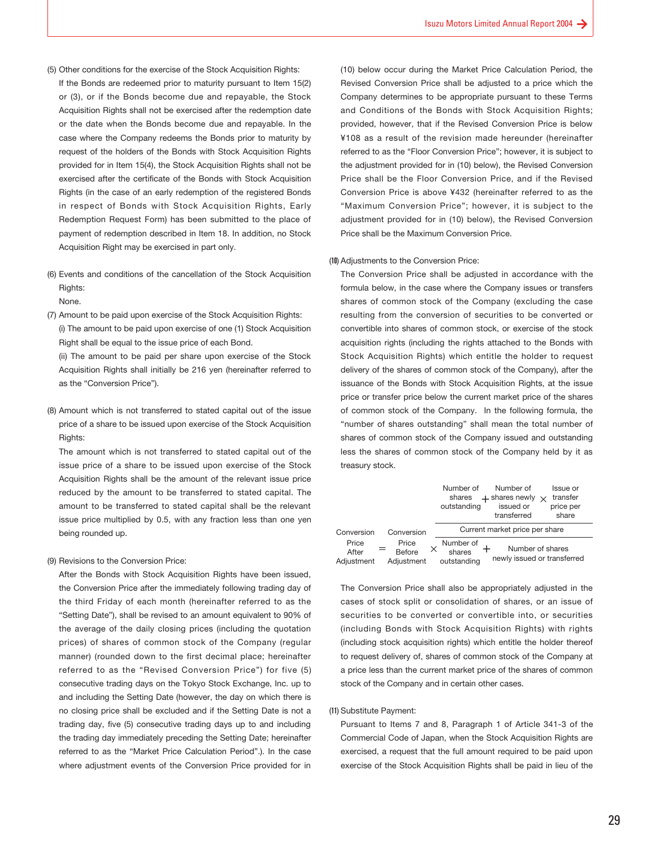- (5) Other conditions for the exercise of the Stock Acquisition Rights:
- If the Bonds are redeemed prior to maturity pursuant to Item 15(2) or (3), or if the Bonds become due and repayable, the Stock Acquisition Rights shall not be exercised after the redemption date or the date when the Bonds become due and repayable. In the case where the Company redeems the Bonds prior to maturity by request of the holders of the Bonds with Stock Acquisition Rights provided for in Item 15(4), the Stock Acquisition Rights shall not be exercised after the certificate of the Bonds with Stock Acquisition Rights (in the case of an early redemption of the registered Bonds in respect of Bonds with Stock Acquisition Rights, Early Redemption Request Form) has been submitted to the place of payment of redemption described in Item 18. In addition, no Stock Acquisition Right may be exercised in part only.
- (6) Events and conditions of the cancellation of the Stock Acquisition Rights:

None.

(7) Amount to be paid upon exercise of the Stock Acquisition Rights: (i) The amount to be paid upon exercise of one (1) Stock Acquisition Right shall be equal to the issue price of each Bond.

(ii) The amount to be paid per share upon exercise of the Stock Acquisition Rights shall initially be 216 yen (hereinafter referred to as the "Conversion Price").

(8) Amount which is not transferred to stated capital out of the issue price of a share to be issued upon exercise of the Stock Acquisition Rights:

The amount which is not transferred to stated capital out of the issue price of a share to be issued upon exercise of the Stock Acquisition Rights shall be the amount of the relevant issue price reduced by the amount to be transferred to stated capital. The amount to be transferred to stated capital shall be the relevant issue price multiplied by 0.5, with any fraction less than one yen being rounded up.

#### (9) Revisions to the Conversion Price:

After the Bonds with Stock Acquisition Rights have been issued, the Conversion Price after the immediately following trading day of the third Friday of each month (hereinafter referred to as the "Setting Date"), shall be revised to an amount equivalent to 90% of the average of the daily closing prices (including the quotation prices) of shares of common stock of the Company (regular manner) (rounded down to the first decimal place; hereinafter referred to as the "Revised Conversion Price") for five (5) consecutive trading days on the Tokyo Stock Exchange, Inc. up to and including the Setting Date (however, the day on which there is no closing price shall be excluded and if the Setting Date is not a trading day, five (5) consecutive trading days up to and including the trading day immediately preceding the Setting Date; hereinafter referred to as the "Market Price Calculation Period".). In the case where adjustment events of the Conversion Price provided for in

(10) below occur during the Market Price Calculation Period, the Revised Conversion Price shall be adjusted to a price which the Company determines to be appropriate pursuant to these Terms and Conditions of the Bonds with Stock Acquisition Rights; provided, however, that if the Revised Conversion Price is below ¥108 as a result of the revision made hereunder (hereinafter referred to as the "Floor Conversion Price"; however, it is subject to the adjustment provided for in (10) below), the Revised Conversion Price shall be the Floor Conversion Price, and if the Revised Conversion Price is above ¥432 (hereinafter referred to as the "Maximum Conversion Price"; however, it is subject to the adjustment provided for in (10) below), the Revised Conversion Price shall be the Maximum Conversion Price.

#### (10) Adjustments to the Conversion Price:

The Conversion Price shall be adjusted in accordance with the formula below, in the case where the Company issues or transfers shares of common stock of the Company (excluding the case resulting from the conversion of securities to be converted or convertible into shares of common stock, or exercise of the stock acquisition rights (including the rights attached to the Bonds with Stock Acquisition Rights) which entitle the holder to request delivery of the shares of common stock of the Company), after the issuance of the Bonds with Stock Acquisition Rights, at the issue price or transfer price below the current market price of the shares of common stock of the Company. In the following formula, the "number of shares outstanding" shall mean the total number of shares of common stock of the Company issued and outstanding less the shares of common stock of the Company held by it as treasury stock.

|                              |                               | Number of<br>Number of<br>Issue or<br>$+$ shares newly $\times$<br>transfer<br>shares<br>issued or<br>price per<br>outstanding<br>share<br>transferred |
|------------------------------|-------------------------------|--------------------------------------------------------------------------------------------------------------------------------------------------------|
| Conversion                   | Conversion                    | Current market price per share                                                                                                                         |
| Price<br>After<br>Adjustment | Price<br>Before<br>Adiustment | Number of<br>Number of shares<br>shares<br>newly issued or transferred<br>outstanding                                                                  |

The Conversion Price shall also be appropriately adjusted in the cases of stock split or consolidation of shares, or an issue of securities to be converted or convertible into, or securities (including Bonds with Stock Acquisition Rights) with rights (including stock acquisition rights) which entitle the holder thereof to request delivery of, shares of common stock of the Company at a price less than the current market price of the shares of common stock of the Company and in certain other cases.

#### (11) Substitute Payment:

Pursuant to Items 7 and 8, Paragraph 1 of Article 341-3 of the Commercial Code of Japan, when the Stock Acquisition Rights are exercised, a request that the full amount required to be paid upon exercise of the Stock Acquisition Rights shall be paid in lieu of the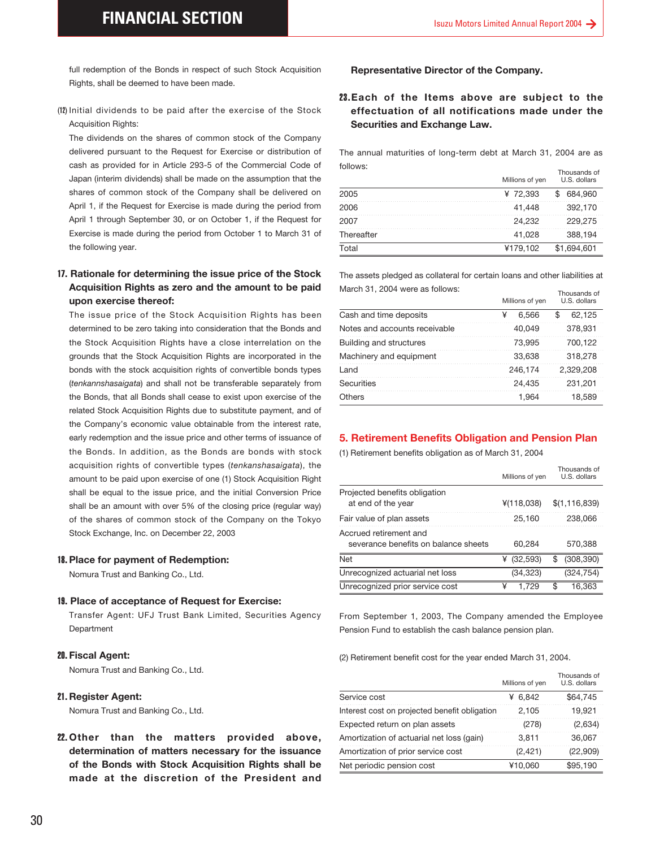Rights, shall be deemed to have been made.

(12) Initial dividends to be paid after the exercise of the Stock Acquisition Rights:

The dividends on the shares of common stock of the Company delivered pursuant to the Request for Exercise or distribution of cash as provided for in Article 293-5 of the Commercial Code of Japan (interim dividends) shall be made on the assumption that the shares of common stock of the Company shall be delivered on April 1, if the Request for Exercise is made during the period from April 1 through September 30, or on October 1, if the Request for Exercise is made during the period from October 1 to March 31 of the following year.

#### 17**. Rationale for determining the issue price of the Stock Acquisition Rights as zero and the amount to be paid upon exercise thereof:**

In fredemption of the Bonds in respect of such Stock Acquisition<br>
Nights, shall be deemed to have been made.<br>
(B) initial dividends to be paid after the exercise of the Stock<br>
Acquisition Rights.<br>
The dividends of the sha The issue price of the Stock Acquisition Rights has been determined to be zero taking into consideration that the Bonds and the Stock Acquisition Rights have a close interrelation on the grounds that the Stock Acquisition Rights are incorporated in the bonds with the stock acquisition rights of convertible bonds types (*tenkannshasaigata*) and shall not be transferable separately from the Bonds, that all Bonds shall cease to exist upon exercise of the related Stock Acquisition Rights due to substitute payment, and of the Company's economic value obtainable from the interest rate, early redemption and the issue price and other terms of issuance of the Bonds. In addition, as the Bonds are bonds with stock acquisition rights of convertible types (*tenkanshasaigata*), the amount to be paid upon exercise of one (1) Stock Acquisition Right shall be equal to the issue price, and the initial Conversion Price shall be an amount with over 5% of the closing price (regular way) of the shares of common stock of the Company on the Tokyo Stock Exchange, Inc. on December 22, 2003

#### 18**. Place for payment of Redemption:**

Nomura Trust and Banking Co., Ltd.

#### 19**. Place of acceptance of Request for Exercise:**

Transfer Agent: UFJ Trust Bank Limited, Securities Agency Department

#### 20**. Fiscal Agent:**

Nomura Trust and Banking Co., Ltd.

#### 21**. Register Agent:**

Nomura Trust and Banking Co., Ltd.

22**.Other than the matters provided above, determination of matters necessary for the issuance of the Bonds with Stock Acquisition Rights shall be made at the discretion of the President and**

#### **Representative Director of the Company.**

#### 23**.Each of the Items above are subject to the effectuation of all notifications made under the Securities and Exchange Law.**

The annual maturities of long-term debt at March 31, 2004 are as follows:

|            | Millions of yen | Thousands of<br>U.S. dollars |  |  |
|------------|-----------------|------------------------------|--|--|
| 2005       | ¥ 72.393        | 684,960                      |  |  |
| 2006       | 41.448          | 392,170                      |  |  |
| 2007       | 24,232          | 229.275                      |  |  |
| Thereafter | 41.028          | 388,194                      |  |  |
| Total      | ¥179,102        | \$1.694.601                  |  |  |
|            |                 |                              |  |  |

The assets pledged as collateral for certain loans and other liabilities at March 31, 2004 were as follows: Thousands of

|                               | Millions of yen |         | U.S. dollars |           |
|-------------------------------|-----------------|---------|--------------|-----------|
| Cash and time deposits        | ¥               | 6.566   | ß.           | 62.125    |
| Notes and accounts receivable |                 | 40.049  |              | 378.931   |
| Building and structures       |                 | 73.995  |              | 700.122   |
| Machinery and equipment       |                 | 33.638  |              | 318,278   |
| I and                         |                 | 246.174 |              | 2.329.208 |
| <b>Securities</b>             |                 | 24.435  |              | 231.201   |
| Others                        |                 | 1.964   |              | 18.589    |

#### **5. Retirement Benefits Obligation and Pension Plan**

(1) Retirement benefits obligation as of March 31, 2004

|                                                                | Millions of yen | Thousands of<br>U.S. dollars |
|----------------------------------------------------------------|-----------------|------------------------------|
| Projected benefits obligation<br>at end of the year            | ¥(118,038)      | \$(1, 116, 839)              |
| Fair value of plan assets                                      | 25,160          | 238,066                      |
| Accrued retirement and<br>severance benefits on balance sheets | 60.284          | 570.388                      |
| <b>Net</b>                                                     | ¥ $(32,593)$    | \$<br>(308.390)              |
| Unrecognized actuarial net loss                                | (34, 323)       | (324, 754)                   |
| Unrecognized prior service cost                                | 1.729           | 16.363                       |

From September 1, 2003, The Company amended the Employee Pension Fund to establish the cash balance pension plan.

(2) Retirement benefit cost for the year ended March 31, 2004.

|                                               | Millions of yen | Thousands of<br>U.S. dollars |
|-----------------------------------------------|-----------------|------------------------------|
| Service cost                                  | ¥ 6.842         | \$64,745                     |
| Interest cost on projected benefit obligation | 2.105           | 19.921                       |
| Expected return on plan assets                | (278)           | (2,634)                      |
| Amortization of actuarial net loss (gain)     | 3.811           | 36.067                       |
| Amortization of prior service cost            | (2,421)         | (22,909)                     |
| Net periodic pension cost                     | ¥10,060         | \$95,190                     |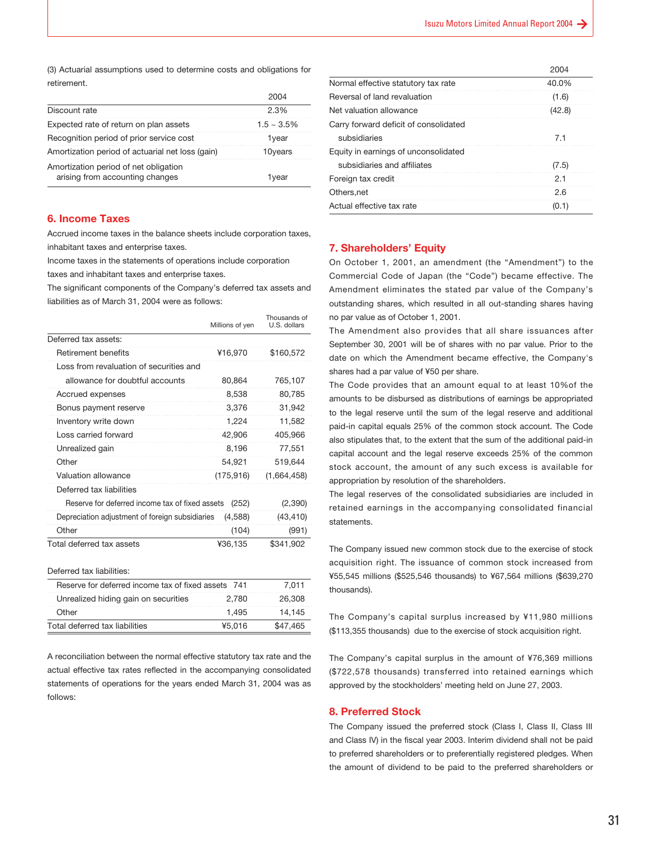(3) Actuarial assumptions used to determine costs and obligations for retirement.

| Discount rate                                                            | 2.3%             |
|--------------------------------------------------------------------------|------------------|
| Expected rate of return on plan assets                                   | $1.5 \sim 3.5\%$ |
| Recognition period of prior service cost                                 | 1vear            |
| Amortization period of actuarial net loss (gain)                         | 10years          |
| Amortization period of net obligation<br>arising from accounting changes | 1vear            |
|                                                                          |                  |

#### **6. Income Taxes**

Accrued income taxes in the balance sheets include corporation taxes, inhabitant taxes and enterprise taxes.

Income taxes in the statements of operations include corporation

taxes and inhabitant taxes and enterprise taxes.

The significant components of the Company's deferred tax assets and liabilities as of March 31, 2004 were as follows:

|                                                 | Millions of yen | Thousands of<br>U.S. dollars |
|-------------------------------------------------|-----------------|------------------------------|
| Deferred tax assets:                            |                 |                              |
| Retirement benefits                             | ¥16,970         | \$160,572                    |
| Loss from revaluation of securities and         |                 |                              |
| allowance for doubtful accounts                 | 80,864          | 765,107                      |
| Accrued expenses                                | 8,538           | 80,785                       |
| Bonus payment reserve                           | 3,376           | 31,942                       |
| Inventory write down                            | 1,224           | 11,582                       |
| Loss carried forward                            | 42,906          | 405,966                      |
| Unrealized gain                                 | 8,196           | 77,551                       |
| Other                                           | 54,921          | 519,644                      |
| Valuation allowance                             | (175, 916)      | (1,664,458)                  |
| Deferred tax liabilities                        |                 |                              |
| Reserve for deferred income tax of fixed assets | (252)           | (2,390)                      |
| Depreciation adjustment of foreign subsidiaries | (4,588)         | (43, 410)                    |
| Other                                           | (104)           | (991)                        |
| Total deferred tax assets                       | ¥36,135         | \$341,902                    |
| Deferred tax liabilities:                       |                 |                              |
| Reserve for deferred income tax of fixed assets | 741             | 7,011                        |

| <u>INCSCIVE IUI UCICIICU IIIUUIIIC IAA UI IIACU ASSCIS II T</u> |        | 1.011    |
|-----------------------------------------------------------------|--------|----------|
| Unrealized hiding gain on securities                            | 2.780  | 26,308   |
| Other                                                           | 1.495  | 14.145   |
| Total deferred tax liabilities                                  | ¥5.016 | \$47.465 |
|                                                                 |        |          |

A reconciliation between the normal effective statutory tax rate and the actual effective tax rates reflected in the accompanying consolidated statements of operations for the years ended March 31, 2004 was as follows:

|                                       | 2004   |
|---------------------------------------|--------|
| Normal effective statutory tax rate   | 40.0%  |
| Reversal of land revaluation          | (1.6)  |
| Net valuation allowance               | (42.8) |
| Carry forward deficit of consolidated |        |
| subsidiaries                          | 7.1    |
| Equity in earnings of unconsolidated  |        |
| subsidiaries and affiliates           | (7.5)  |
| Foreign tax credit                    | 2.1    |
| Others.net                            | 2.6    |
| Actual effective tax rate             | (0.1)  |

#### **7. Shareholders' Equity**

On October 1, 2001, an amendment (the "Amendment") to the Commercial Code of Japan (the "Code") became effective. The Amendment eliminates the stated par value of the Company's outstanding shares, which resulted in all out-standing shares having no par value as of October 1, 2001.

The Amendment also provides that all share issuances after September 30, 2001 will be of shares with no par value. Prior to the date on which the Amendment became effective, the Company's shares had a par value of ¥50 per share.

The Code provides that an amount equal to at least 10%of the amounts to be disbursed as distributions of earnings be appropriated to the legal reserve until the sum of the legal reserve and additional paid-in capital equals 25% of the common stock account. The Code also stipulates that, to the extent that the sum of the additional paid-in capital account and the legal reserve exceeds 25% of the common stock account, the amount of any such excess is available for appropriation by resolution of the shareholders.

The legal reserves of the consolidated subsidiaries are included in retained earnings in the accompanying consolidated financial statements.

The Company issued new common stock due to the exercise of stock acquisition right. The issuance of common stock increased from ¥55,545 millions (\$525,546 thousands) to ¥67,564 millions (\$639,270 thousands).

The Company's capital surplus increased by ¥11,980 millions (\$113,355 thousands) due to the exercise of stock acquisition right.

The Company's capital surplus in the amount of ¥76,369 millions (\$722,578 thousands) transferred into retained earnings which approved by the stockholders' meeting held on June 27, 2003.

#### **8. Preferred Stock**

The Company issued the preferred stock (Class I, Class II, Class III and Class IV) in the fiscal year 2003. Interim dividend shall not be paid to preferred shareholders or to preferentially registered pledges. When the amount of dividend to be paid to the preferred shareholders or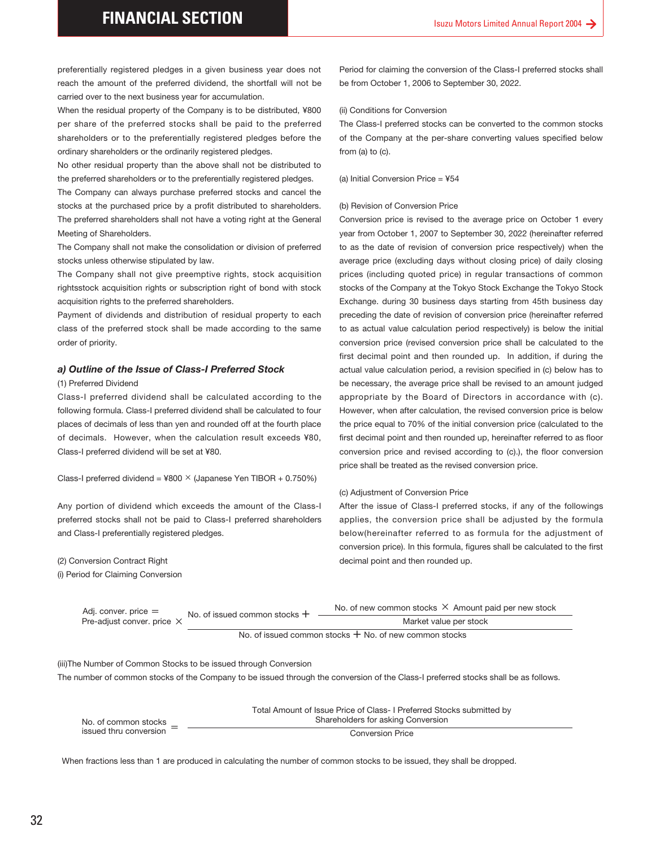preferentially registered pledges in a given business year does not reach the amount of the preferred dividend, the shortfall will not be carried over to the next business year for accumulation.

When the residual property of the Company is to be distributed, ¥800 per share of the preferred stocks shall be paid to the preferred shareholders or to the preferentially registered pledges before the ordinary shareholders or the ordinarily registered pledges.

No other residual property than the above shall not be distributed to the preferred shareholders or to the preferentially registered pledges.

The Company can always purchase preferred stocks and cancel the stocks at the purchased price by a profit distributed to shareholders. The preferred shareholders shall not have a voting right at the General Meeting of Shareholders.

The Company shall not make the consolidation or division of preferred stocks unless otherwise stipulated by law.

The Company shall not give preemptive rights, stock acquisition rightsstock acquisition rights or subscription right of bond with stock acquisition rights to the preferred shareholders.

Payment of dividends and distribution of residual property to each class of the preferred stock shall be made according to the same order of priority.

#### *a) Outline of the Issue of Class-I Preferred Stock*

#### (1) Preferred Dividend

Class-I preferred dividend shall be calculated according to the following formula. Class-I preferred dividend shall be calculated to four places of decimals of less than yen and rounded off at the fourth place of decimals. However, when the calculation result exceeds ¥80, Class-I preferred dividend will be set at ¥80.

Class-I preferred dividend =  $4800 \times$  (Japanese Yen TIBOR + 0.750%)

Any portion of dividend which exceeds the amount of the Class-I preferred stocks shall not be paid to Class-I preferred shareholders and Class-I preferentially registered pledges.

(2) Conversion Contract Right

(i) Period for Claiming Conversion

Period for claiming the conversion of the Class-I preferred stocks shall be from October 1, 2006 to September 30, 2022.

#### (ii) Conditions for Conversion

The Class-I preferred stocks can be converted to the common stocks of the Company at the per-share converting values specified below from (a) to (c).

#### (a) Initial Conversion Price = ¥54

#### (b) Revision of Conversion Price

Conversion price is revised to the average price on October 1 every year from October 1, 2007 to September 30, 2022 (hereinafter referred to as the date of revision of conversion price respectively) when the average price (excluding days without closing price) of daily closing prices (including quoted price) in regular transactions of common stocks of the Company at the Tokyo Stock Exchange the Tokyo Stock Exchange. during 30 business days starting from 45th business day preceding the date of revision of conversion price (hereinafter referred to as actual value calculation period respectively) is below the initial conversion price (revised conversion price shall be calculated to the first decimal point and then rounded up. In addition, if during the actual value calculation period, a revision specified in (c) below has to be necessary, the average price shall be revised to an amount judged appropriate by the Board of Directors in accordance with (c). However, when after calculation, the revised conversion price is below the price equal to 70% of the initial conversion price (calculated to the first decimal point and then rounded up, hereinafter referred to as floor conversion price and revised according to (c).), the floor conversion price shall be treated as the revised conversion price.

#### (c) Adjustment of Conversion Price

After the issue of Class-I preferred stocks, if any of the followings applies, the conversion price shall be adjusted by the formula below(hereinafter referred to as formula for the adjustment of conversion price). In this formula, figures shall be calculated to the first decimal point and then rounded up.

No. of issued common stocks  $+$  No. of new common stocks  $\times$  Amount paid per new stock Pre-adjust conver. price  $\times$  Market value per stock Adj. conver. price = No. of issued common stocks  $+$ 

No. of issued common stocks  $+$  No. of new common stocks

The number of common stocks of the Company to be issued through the conversion of the Class-I preferred stocks shall be as follows.

| (iii)The Number of Common Stocks to be issued through Conversion |                                                                                                                            |
|------------------------------------------------------------------|----------------------------------------------------------------------------------------------------------------------------|
|                                                                  | The number of common stocks of the Company to be issued through the conversion of the Class-I preferred stocks shall be as |
| No. of common stocks                                             | Total Amount of Issue Price of Class- I Preferred Stocks submitted by<br>Shareholders for asking Conversion                |
| issued thru conversion                                           | <b>Conversion Price</b>                                                                                                    |
|                                                                  | When fractions less than 1 are produced in calculating the number of common stocks to be issued, they shall be dropped.    |
|                                                                  |                                                                                                                            |
|                                                                  |                                                                                                                            |
|                                                                  |                                                                                                                            |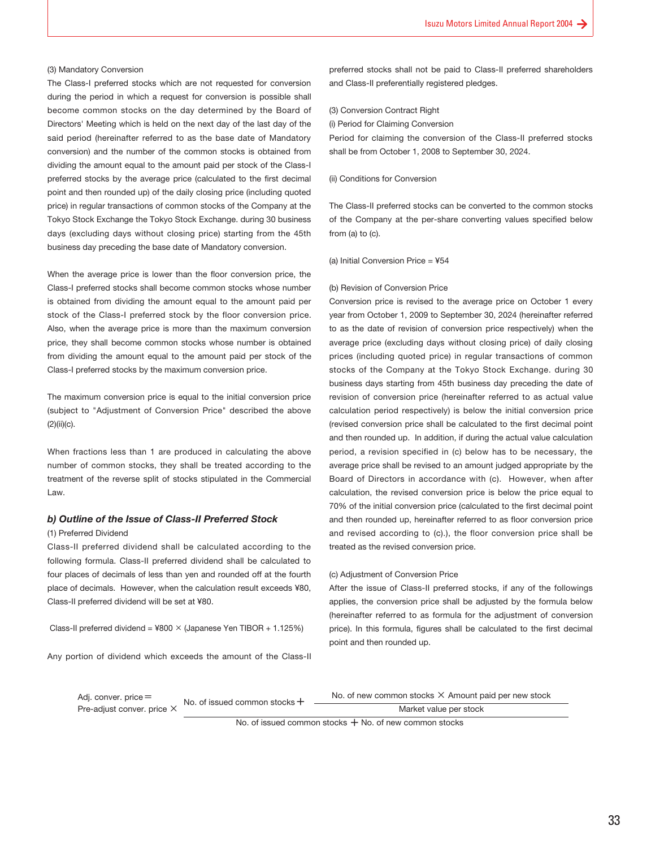#### (3) Mandatory Conversion

The Class-I preferred stocks which are not requested for conversion during the period in which a request for conversion is possible shall become common stocks on the day determined by the Board of Directors' Meeting which is held on the next day of the last day of the said period (hereinafter referred to as the base date of Mandatory conversion) and the number of the common stocks is obtained from dividing the amount equal to the amount paid per stock of the Class-I preferred stocks by the average price (calculated to the first decimal point and then rounded up) of the daily closing price (including quoted price) in regular transactions of common stocks of the Company at the Tokyo Stock Exchange the Tokyo Stock Exchange. during 30 business days (excluding days without closing price) starting from the 45th business day preceding the base date of Mandatory conversion.

When the average price is lower than the floor conversion price, the Class-I preferred stocks shall become common stocks whose number is obtained from dividing the amount equal to the amount paid per stock of the Class-I preferred stock by the floor conversion price. Also, when the average price is more than the maximum conversion price, they shall become common stocks whose number is obtained from dividing the amount equal to the amount paid per stock of the Class-I preferred stocks by the maximum conversion price.

The maximum conversion price is equal to the initial conversion price (subject to "Adjustment of Conversion Price" described the above (2)(ii)(c).

When fractions less than 1 are produced in calculating the above number of common stocks, they shall be treated according to the treatment of the reverse split of stocks stipulated in the Commercial Law.

#### *b) Outline of the Issue of Class-II Preferred Stock*

#### (1) Preferred Dividend

Class-II preferred dividend shall be calculated according to the following formula. Class-II preferred dividend shall be calculated to four places of decimals of less than yen and rounded off at the fourth place of decimals. However, when the calculation result exceeds ¥80, Class-II preferred dividend will be set at ¥80.

Class-II preferred dividend =  $4800 \times$  (Japanese Yen TIBOR + 1.125%)

Any portion of dividend which exceeds the amount of the Class-II

preferred stocks shall not be paid to Class-II preferred shareholders and Class-II preferentially registered pledges.

#### (3) Conversion Contract Right

(i) Period for Claiming Conversion

Period for claiming the conversion of the Class-II preferred stocks shall be from October 1, 2008 to September 30, 2024.

#### (ii) Conditions for Conversion

The Class-II preferred stocks can be converted to the common stocks of the Company at the per-share converting values specified below from (a) to (c).

(a) Initial Conversion Price = ¥54

#### (b) Revision of Conversion Price

Conversion price is revised to the average price on October 1 every year from October 1, 2009 to September 30, 2024 (hereinafter referred to as the date of revision of conversion price respectively) when the average price (excluding days without closing price) of daily closing prices (including quoted price) in regular transactions of common stocks of the Company at the Tokyo Stock Exchange. during 30 business days starting from 45th business day preceding the date of revision of conversion price (hereinafter referred to as actual value calculation period respectively) is below the initial conversion price (revised conversion price shall be calculated to the first decimal point and then rounded up. In addition, if during the actual value calculation period, a revision specified in (c) below has to be necessary, the average price shall be revised to an amount judged appropriate by the Board of Directors in accordance with (c). However, when after calculation, the revised conversion price is below the price equal to 70% of the initial conversion price (calculated to the first decimal point and then rounded up, hereinafter referred to as floor conversion price and revised according to (c).), the floor conversion price shall be treated as the revised conversion price.

#### (c) Adjustment of Conversion Price

After the issue of Class-II preferred stocks, if any of the followings applies, the conversion price shall be adjusted by the formula below (hereinafter referred to as formula for the adjustment of conversion price). In this formula, figures shall be calculated to the first decimal point and then rounded up.

Adj. conver. price=

Adj. conver. price  $=$  No. of issued common stocks  $+$  No. of new common stocks  $\times$  Amount paid per new stock

Pre-adjust conver. price X and the sease common stock of the Market value per stock

No. of issued common stocks  $+$  No. of new common stocks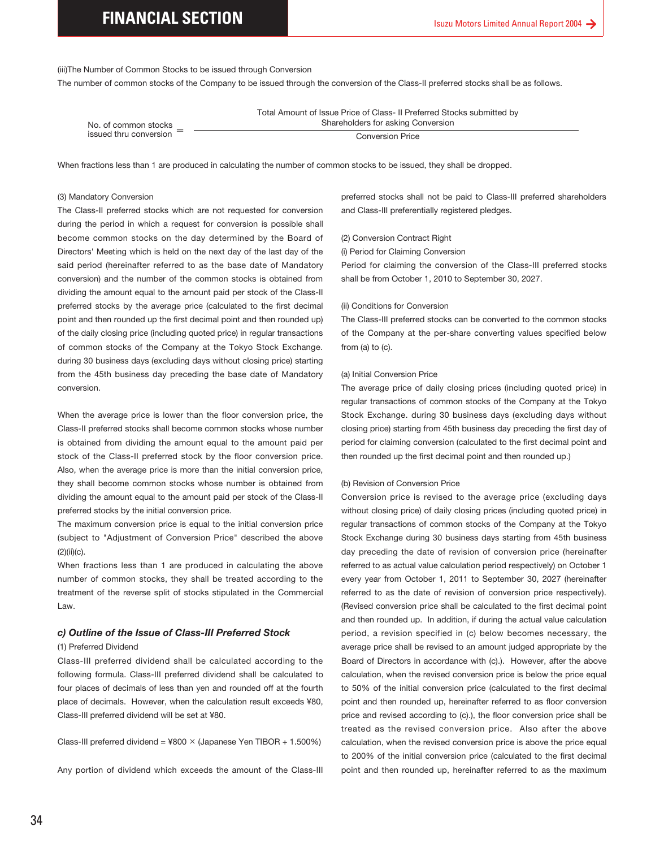(iii)The Number of Common Stocks to be issued through Conversion

The number of common stocks of the Company to be issued through the conversion of the Class-II preferred stocks shall be as follows.

|                        | Total Amount of Issue Price of Class- II Preferred Stocks submitted by |
|------------------------|------------------------------------------------------------------------|
| No. of common stocks   | Shareholders for asking Conversion                                     |
| issued thru conversion | <b>Conversion Price</b>                                                |

When fractions less than 1 are produced in calculating the number of common stocks to be issued, they shall be dropped.

#### (3) Mandatory Conversion

(3) Mandatory Conversion<br>The Class-II preferred stduring the period in which<br>become common stock<br>bic prectors' Meeting which<br>Directors' Meeting which<br>said period (hereinafter<br>conversion) and the num<br>dividing the amount eq The Class-II preferred stocks which are not requested for conversion during the period in which a request for conversion is possible shall become common stocks on the day determined by the Board of Directors' Meeting which is held on the next day of the last day of the said period (hereinafter referred to as the base date of Mandatory conversion) and the number of the common stocks is obtained from dividing the amount equal to the amount paid per stock of the Class-II preferred stocks by the average price (calculated to the first decimal point and then rounded up the first decimal point and then rounded up) of the daily closing price (including quoted price) in regular transactions of common stocks of the Company at the Tokyo Stock Exchange. during 30 business days (excluding days without closing price) starting from the 45th business day preceding the base date of Mandatory conversion.

When the average price is lower than the floor conversion price, the Class-II preferred stocks shall become common stocks whose number is obtained from dividing the amount equal to the amount paid per stock of the Class-II preferred stock by the floor conversion price. Also, when the average price is more than the initial conversion price, they shall become common stocks whose number is obtained from dividing the amount equal to the amount paid per stock of the Class-II preferred stocks by the initial conversion price.

The maximum conversion price is equal to the initial conversion price (subject to "Adjustment of Conversion Price" described the above (2)(ii)(c).

When fractions less than 1 are produced in calculating the above number of common stocks, they shall be treated according to the treatment of the reverse split of stocks stipulated in the Commercial Law.

#### *c) Outline of the Issue of Class-III Preferred Stock*

#### (1) Preferred Dividend

Class-III preferred dividend shall be calculated according to the following formula. Class-III preferred dividend shall be calculated to four places of decimals of less than yen and rounded off at the fourth place of decimals. However, when the calculation result exceeds ¥80, Class-III preferred dividend will be set at ¥80.

Class-III preferred dividend =  $4800 \times$  (Japanese Yen TIBOR + 1.500%)

Any portion of dividend which exceeds the amount of the Class-III

preferred stocks shall not be paid to Class-III preferred shareholders and Class-III preferentially registered pledges.

#### (2) Conversion Contract Right

(i) Period for Claiming Conversion

Period for claiming the conversion of the Class-III preferred stocks shall be from October 1, 2010 to September 30, 2027.

#### (ii) Conditions for Conversion

The Class-III preferred stocks can be converted to the common stocks of the Company at the per-share converting values specified below from (a) to (c).

#### (a) Initial Conversion Price

The average price of daily closing prices (including quoted price) in regular transactions of common stocks of the Company at the Tokyo Stock Exchange. during 30 business days (excluding days without closing price) starting from 45th business day preceding the first day of period for claiming conversion (calculated to the first decimal point and then rounded up the first decimal point and then rounded up.)

#### (b) Revision of Conversion Price

Conversion price is revised to the average price (excluding days without closing price) of daily closing prices (including quoted price) in regular transactions of common stocks of the Company at the Tokyo Stock Exchange during 30 business days starting from 45th business day preceding the date of revision of conversion price (hereinafter referred to as actual value calculation period respectively) on October 1 every year from October 1, 2011 to September 30, 2027 (hereinafter referred to as the date of revision of conversion price respectively). (Revised conversion price shall be calculated to the first decimal point and then rounded up. In addition, if during the actual value calculation period, a revision specified in (c) below becomes necessary, the average price shall be revised to an amount judged appropriate by the Board of Directors in accordance with (c).). However, after the above calculation, when the revised conversion price is below the price equal to 50% of the initial conversion price (calculated to the first decimal point and then rounded up, hereinafter referred to as floor conversion price and revised according to (c).), the floor conversion price shall be treated as the revised conversion price. Also after the above calculation, when the revised conversion price is above the price equal to 200% of the initial conversion price (calculated to the first decimal point and then rounded up, hereinafter referred to as the maximum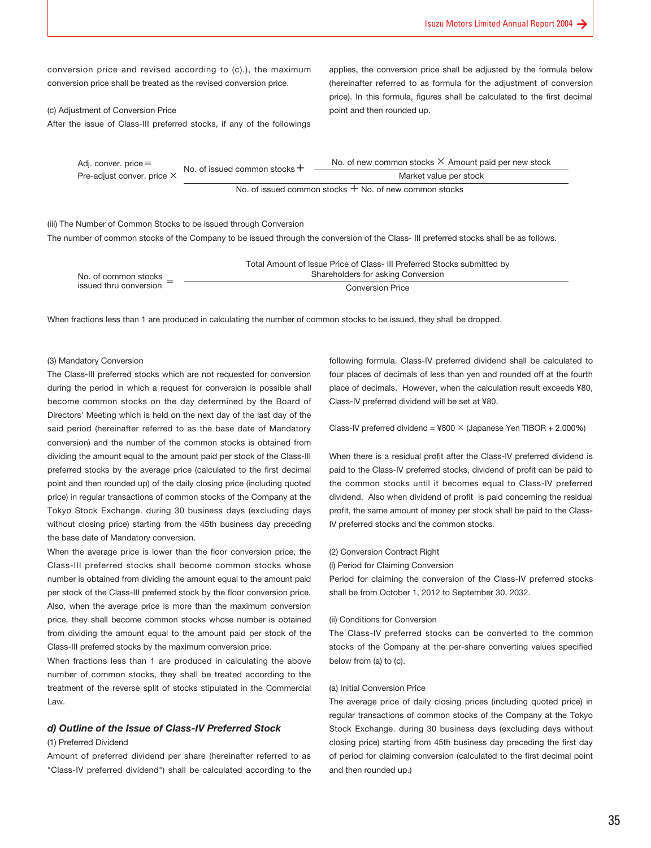conversion price and revised according to (c).), the maximum conversion price shall be treated as the revised conversion price.

(c) Adjustment of Conversion Price After the issue of Class-III preferred stocks, if any of the followings

applies, the conversion price shall be adjusted by the formula below (hereinafter referred to as formula for the adjustment of conversion price). In this formula, figures shall be calculated to the first decimal point and then rounded up.

| Adj. conver. price $=$     | No. of issued common stocks $+$ | No. of new common stocks $\times$ Amount paid per new stock |
|----------------------------|---------------------------------|-------------------------------------------------------------|
| Pre-adjust conver. price X |                                 | Market value per stock                                      |
|                            |                                 | No. of issued common stocks $+$ No. of new common stocks    |

#### (iii) The Number of Common Stocks to be issued through Conversion

The number of common stocks of the Company to be issued through the conversion of the Class- III preferred stocks shall be as follows.

|                        | Total Amount of Issue Price of Class- III Preferred Stocks submitted by |
|------------------------|-------------------------------------------------------------------------|
| No. of common stocks   | Shareholders for asking Conversion                                      |
| issued thru conversion | <b>Conversion Price</b>                                                 |

When fractions less than 1 are produced in calculating the number of common stocks to be issued, they shall be dropped.

#### (3) Mandatory Conversion

The Class-III preferred stocks which are not requested for conversion during the period in which a request for conversion is possible shall become common stocks on the day determined by the Board of Directors' Meeting which is held on the next day of the last day of the said period (hereinafter referred to as the base date of Mandatory conversion) and the number of the common stocks is obtained from dividing the amount equal to the amount paid per stock of the Class-III preferred stocks by the average price (calculated to the first decimal point and then rounded up) of the daily closing price (including quoted price) in regular transactions of common stocks of the Company at the Tokyo Stock Exchange. during 30 business days (excluding days without closing price) starting from the 45th business day preceding the base date of Mandatory conversion.

When the average price is lower than the floor conversion price, the Class-III preferred stocks shall become common stocks whose number is obtained from dividing the amount equal to the amount paid per stock of the Class-III preferred stock by the floor conversion price. Also, when the average price is more than the maximum conversion price, they shall become common stocks whose number is obtained from dividing the amount equal to the amount paid per stock of the Class-III preferred stocks by the maximum conversion price.

When fractions less than 1 are produced in calculating the above number of common stocks, they shall be treated according to the treatment of the reverse split of stocks stipulated in the Commercial Law.

#### *d) Outline of the Issue of Class-IV Preferred Stock*

#### (1) Preferred Dividend

Amount of preferred dividend per share (hereinafter referred to as "Class-IV preferred dividend") shall be calculated according to the following formula. Class-IV preferred dividend shall be calculated to four places of decimals of less than yen and rounded off at the fourth place of decimals. However, when the calculation result exceeds ¥80, Class-IV preferred dividend will be set at ¥80.

Class-IV preferred dividend =  $4800 \times$  (Japanese Yen TIBOR + 2.000%)

When there is a residual profit after the Class-IV preferred dividend is paid to the Class-IV preferred stocks, dividend of profit can be paid to the common stocks until it becomes equal to Class-IV preferred dividend. Also when dividend of profit is paid concerning the residual profit, the same amount of money per stock shall be paid to the Class-IV preferred stocks and the common stocks.

#### (2) Conversion Contract Right

(i) Period for Claiming Conversion

Period for claiming the conversion of the Class-IV preferred stocks shall be from October 1, 2012 to September 30, 2032.

#### (ii) Conditions for Conversion

The Class-IV preferred stocks can be converted to the common stocks of the Company at the per-share converting values specified below from (a) to (c).

#### (a) Initial Conversion Price

The average price of daily closing prices (including quoted price) in regular transactions of common stocks of the Company at the Tokyo Stock Exchange. during 30 business days (excluding days without closing price) starting from 45th business day preceding the first day of period for claiming conversion (calculated to the first decimal point and then rounded up.)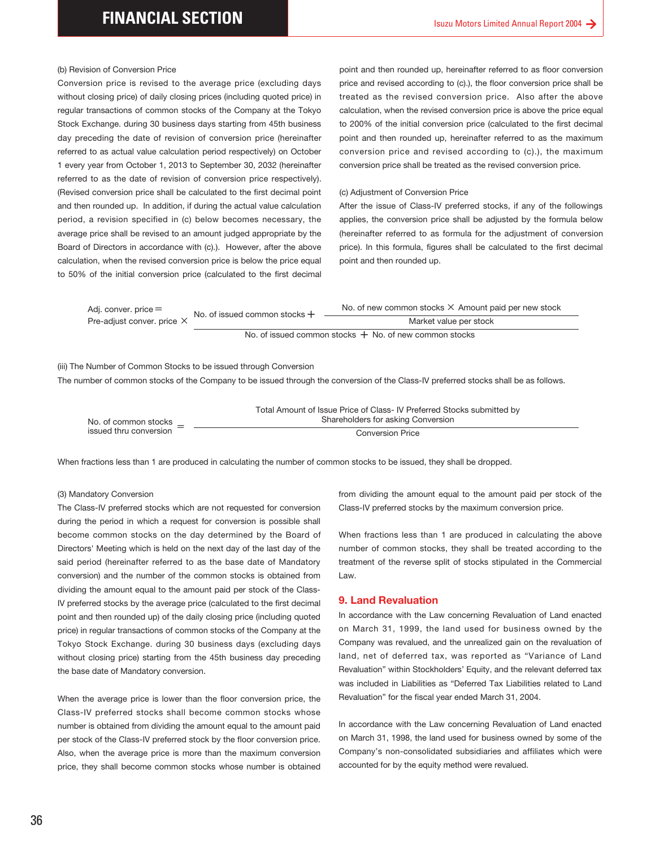#### (b) Revision of Conversion Price

Conversion price is revised to the average price (excluding days without closing price) of daily closing prices (including quoted price) in regular transactions of common stocks of the Company at the Tokyo Stock Exchange. during 30 business days starting from 45th business day preceding the date of revision of conversion price (hereinafter referred to as actual value calculation period respectively) on October 1 every year from October 1, 2013 to September 30, 2032 (hereinafter referred to as the date of revision of conversion price respectively). (Revised conversion price shall be calculated to the first decimal point and then rounded up. In addition, if during the actual value calculation period, a revision specified in (c) below becomes necessary, the average price shall be revised to an amount judged appropriate by the Board of Directors in accordance with (c).). However, after the above calculation, when the revised conversion price is below the price equal to 50% of the initial conversion price (calculated to the first decimal

point and then rounded up, hereinafter referred to as floor conversion price and revised according to (c).), the floor conversion price shall be treated as the revised conversion price. Also after the above calculation, when the revised conversion price is above the price equal to 200% of the initial conversion price (calculated to the first decimal point and then rounded up, hereinafter referred to as the maximum conversion price and revised according to (c).), the maximum conversion price shall be treated as the revised conversion price.

#### (c) Adjustment of Conversion Price

After the issue of Class-IV preferred stocks, if any of the followings applies, the conversion price shall be adjusted by the formula below (hereinafter referred to as formula for the adjustment of conversion price). In this formula, figures shall be calculated to the first decimal point and then rounded up.

| Adj. conver. price $=$     | No. of issued common stocks $+$ | No. of new common stocks $\times$ Amount paid per new stock |
|----------------------------|---------------------------------|-------------------------------------------------------------|
| Pre-adjust conver. price X |                                 | Market value per stock                                      |
|                            |                                 |                                                             |

No. of issued common stocks  $+$  No. of new common stocks

(iii) The Number of Common Stocks to be issued through Conversion

The number of common stocks of the Company to be issued through the conversion of the Class-IV preferred stocks shall be as follows.

|                        | Total Amount of Issue Price of Class- IV Preferred Stocks submitted by |
|------------------------|------------------------------------------------------------------------|
| No. of common stocks   | Shareholders for asking Conversion                                     |
| issued thru conversion | <b>Conversion Price</b>                                                |

When fractions less than 1 are produced in calculating the number of common stocks to be issued, they shall be dropped.

#### (3) Mandatory Conversion

The Class-IV preferred stocks which are not requested for conversion during the period in which a request for conversion is possible shall become common stocks on the day determined by the Board of Directors' Meeting which is held on the next day of the last day of the said period (hereinafter referred to as the base date of Mandatory conversion) and the number of the common stocks is obtained from dividing the amount equal to the amount paid per stock of the Class-IV preferred stocks by the average price (calculated to the first decimal point and then rounded up) of the daily closing price (including quoted price) in regular transactions of common stocks of the Company at the Tokyo Stock Exchange. during 30 business days (excluding days without closing price) starting from the 45th business day preceding the base date of Mandatory conversion.

When the average price is lower than the floor conversion price, the Class-IV preferred stocks shall become common stocks whose number is obtained from dividing the amount equal to the amount paid per stock of the Class-IV preferred stock by the floor conversion price. Also, when the average price is more than the maximum conversion price, they shall become common stocks whose number is obtained from dividing the amount equal to the amount paid per stock of the Class-IV preferred stocks by the maximum conversion price.

When fractions less than 1 are produced in calculating the above number of common stocks, they shall be treated according to the treatment of the reverse split of stocks stipulated in the Commercial Law.

#### **9. Land Revaluation**

In accordance with the Law concerning Revaluation of Land enacted on March 31, 1999, the land used for business owned by the Company was revalued, and the unrealized gain on the revaluation of land, net of deferred tax, was reported as "Variance of Land Revaluation" within Stockholders' Equity, and the relevant deferred tax was included in Liabilities as "Deferred Tax Liabilities related to Land Revaluation" for the fiscal year ended March 31, 2004.

In accordance with the Law concerning Revaluation of Land enacted on March 31, 1998, the land used for business owned by some of the Company's non-consolidated subsidiaries and affiliates which were accounted for by the equity method were revalued.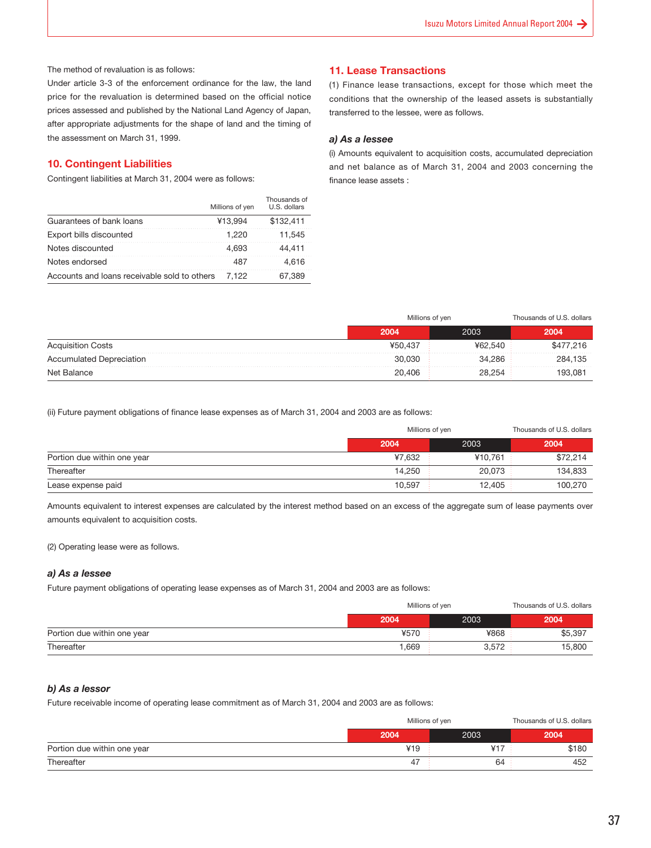The method of revaluation is as follows:

Under article 3-3 of the enforcement ordinance for the law, the land price for the revaluation is determined based on the official notice prices assessed and published by the National Land Agency of Japan, after appropriate adjustments for the shape of land and the timing of the assessment on March 31, 1999.

#### **10. Contingent Liabilities**

Contingent liabilities at March 31, 2004 were as follows:

|                                              | Millions of yen | Thousands of<br>U.S. dollars |
|----------------------------------------------|-----------------|------------------------------|
| Guarantees of bank loans                     | ¥13,994         | \$132.411                    |
| Export bills discounted                      | 1.220           | 11.545                       |
| Notes discounted                             | 4.693           | 44.411                       |
| Notes endorsed                               | 487             | 4.616                        |
| Accounts and loans receivable sold to others | 7.122           | 67.389                       |

#### **11. Lease Transactions**

(1) Finance lease transactions, except for those which meet the conditions that the ownership of the leased assets is substantially transferred to the lessee, were as follows.

#### *a) As a lessee*

(i) Amounts equivalent to acquisition costs, accumulated depreciation and net balance as of March 31, 2004 and 2003 concerning the finance lease assets :

|                                 |         | Millions of yen |           |  |
|---------------------------------|---------|-----------------|-----------|--|
|                                 | 2004    | 2003            | 2004      |  |
| <b>Acquisition Costs</b>        | ¥50.437 | ¥62.540         | \$477,216 |  |
| <b>Accumulated Depreciation</b> | 30,030  | 34.286          | 284.135   |  |
| Net Balance                     | 20,406  | 28.254          | 193.081   |  |

(ii) Future payment obligations of finance lease expenses as of March 31, 2004 and 2003 are as follows:

|                             | Millions of yen |               | Thousands of U.S. dollars |  |
|-----------------------------|-----------------|---------------|---------------------------|--|
|                             | 2004            | 2003          | 2004                      |  |
| Portion due within one year | ¥7.632          | ¥10.761 $\pm$ | \$72,214                  |  |
| Thereafter                  | 14,250          | 20,073        | 134,833                   |  |
| Lease expense paid          | 10,597          | 12,405        | 100,270                   |  |

Amounts equivalent to interest expenses are calculated by the interest method based on an excess of the aggregate sum of lease payments over amounts equivalent to acquisition costs.

(2) Operating lease were as follows.

#### *a) As a lessee*

Future payment obligations of operating lease expenses as of March 31, 2004 and 2003 are as follows:

|                             | Millions of yen | Thousands of U.S. dollars |         |
|-----------------------------|-----------------|---------------------------|---------|
|                             | 2004            | 2003                      | 2004    |
| Portion due within one year | ¥570            | ¥868                      | \$5,397 |
| Thereafter                  | ,669            | 3,572                     | 15,800  |

#### *b) As a lessor*

Future receivable income of operating lease commitment as of March 31, 2004 and 2003 are as follows:

|                             | Millions of yen | Thousands of U.S. dollars |       |
|-----------------------------|-----------------|---------------------------|-------|
|                             | 2004            | 2003                      | 2004  |
| Portion due within one year | 419             | V <sub>17</sub>           | \$180 |
| Thereafter                  | 4               | 64                        | 452   |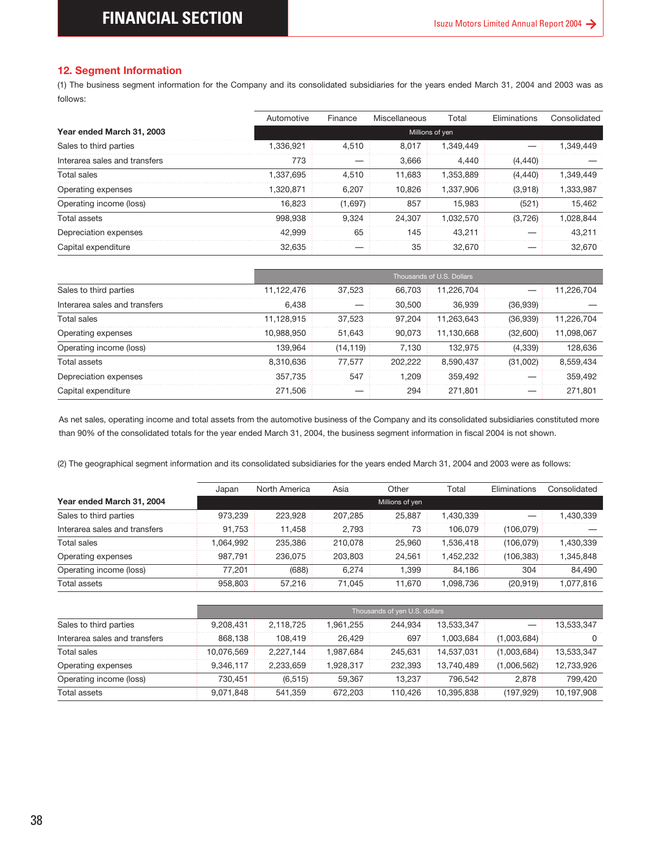#### **12. Segment Information**

(1) The business segment information for the Company and its consolidated subsidiaries for the years ended March 31, 2004 and 2003 was as follows:

| Year ended March 31, 2003                                                                                                                                                                                                                                                                                                              |                   | Automotive         | Finance          | Miscellaneous                            | Total                     | Eliminations | Consolidated                                                        |
|----------------------------------------------------------------------------------------------------------------------------------------------------------------------------------------------------------------------------------------------------------------------------------------------------------------------------------------|-------------------|--------------------|------------------|------------------------------------------|---------------------------|--------------|---------------------------------------------------------------------|
|                                                                                                                                                                                                                                                                                                                                        |                   |                    |                  |                                          | Millions of yen           |              |                                                                     |
| Sales to third parties                                                                                                                                                                                                                                                                                                                 |                   | 1,336,921          | 4,510            | 8,017                                    | 1,349,449                 |              | 1,349,449                                                           |
| Interarea sales and transfers                                                                                                                                                                                                                                                                                                          |                   | 773                |                  | 3,666                                    | 4,440                     | (4, 440)     |                                                                     |
| <b>Total sales</b>                                                                                                                                                                                                                                                                                                                     |                   | 1,337,695          | 4,510            | 11,683                                   | 1,353,889                 | (4, 440)     | 1,349,449                                                           |
| Operating expenses                                                                                                                                                                                                                                                                                                                     |                   | 1,320,871          | 6,207            | 10,826                                   | 1,337,906                 | (3,918)      | 1,333,987                                                           |
| Operating income (loss)                                                                                                                                                                                                                                                                                                                |                   | 16,823             | (1,697)          | 857                                      | 15,983                    | (521)        | 15,462                                                              |
| <b>Total assets</b>                                                                                                                                                                                                                                                                                                                    |                   | 998,938            | 9,324            | 24,307                                   | 1,032,570                 | (3,726)      | 1,028,844                                                           |
| Depreciation expenses                                                                                                                                                                                                                                                                                                                  |                   | 42,999             | 65               | 145                                      | 43,211                    |              | 43,211                                                              |
| Capital expenditure                                                                                                                                                                                                                                                                                                                    |                   | 32,635             |                  | 35                                       | 32,670                    |              | 32,670                                                              |
|                                                                                                                                                                                                                                                                                                                                        |                   |                    |                  |                                          | Thousands of U.S. Dollars |              |                                                                     |
| Sales to third parties                                                                                                                                                                                                                                                                                                                 |                   | 11,122,476         | 37,523           | 66,703                                   | 11,226,704                |              | 11,226,704                                                          |
| Interarea sales and transfers                                                                                                                                                                                                                                                                                                          |                   | 6,438              |                  | 30,500                                   | 36,939                    | (36,939)     |                                                                     |
| <b>Total sales</b>                                                                                                                                                                                                                                                                                                                     |                   | 11,128,915         | 37,523           | 97,204                                   | 11,263,643                | (36,939)     | 11,226,704                                                          |
| Operating expenses                                                                                                                                                                                                                                                                                                                     |                   | 10,988,950         | 51,643           | 90,073                                   | 11,130,668                | (32,600)     | 11,098,067                                                          |
| Operating income (loss)                                                                                                                                                                                                                                                                                                                |                   | 139,964            | (14, 119)        | 7,130                                    | 132,975                   | (4, 339)     | 128,636                                                             |
|                                                                                                                                                                                                                                                                                                                                        |                   | 8,310,636          | 77,577           | 202,222                                  | 8,590,437                 | (31,002)     | 8,559,434                                                           |
|                                                                                                                                                                                                                                                                                                                                        |                   |                    |                  |                                          |                           |              | 359,492                                                             |
| <b>Total assets</b>                                                                                                                                                                                                                                                                                                                    |                   |                    |                  |                                          |                           |              |                                                                     |
| Depreciation expenses<br>Capital expenditure<br>As net sales, operating income and total assets from the automotive business of the Company and its consolidated subsidiaries constituted more<br>than 90% of the consolidated totals for the year ended March 31, 2004, the business segment information in fiscal 2004 is not shown. |                   | 357,735<br>271,506 | 547              | 1,209<br>294                             | 359,492<br>271,801        |              |                                                                     |
| (2) The geographical segment information and its consolidated subsidiaries for the years ended March 31, 2004 and 2003 were as follows:                                                                                                                                                                                                |                   |                    |                  |                                          |                           |              |                                                                     |
|                                                                                                                                                                                                                                                                                                                                        | Japan             | North America      | Asia             | Other                                    | Total                     | Eliminations |                                                                     |
| Year ended March 31, 2004                                                                                                                                                                                                                                                                                                              |                   |                    |                  | Millions of yen                          |                           |              | 271,801<br>Consolidated                                             |
| Sales to third parties<br>Interarea sales and transfers                                                                                                                                                                                                                                                                                | 973,239<br>91,753 | 223,928<br>11,458  | 207,285<br>2,793 | 25,887<br>73                             | 1,430,339<br>106,079      | (106, 079)   |                                                                     |
| <b>Total sales</b>                                                                                                                                                                                                                                                                                                                     | 1,064,992         | 235,386            | 210,078          | 25,960                                   | 1,536,418                 | (106, 079)   |                                                                     |
| Operating expenses                                                                                                                                                                                                                                                                                                                     | 987,791           | 236,075            | 203,803          | 24,561                                   | 1,452,232                 | (106, 383)   |                                                                     |
| Operating income (loss)                                                                                                                                                                                                                                                                                                                | 77,201            | (688)              | 6,274            | 1,399                                    | 84,186                    | 304          | 1,430,339<br>1,430,339<br>1,345,848<br>84,490                       |
| <b>Total assets</b>                                                                                                                                                                                                                                                                                                                    | 958,803           | 57,216             | 71,045           | 11,670                                   | 1,098,736                 | (20, 919)    |                                                                     |
|                                                                                                                                                                                                                                                                                                                                        |                   |                    |                  |                                          |                           |              |                                                                     |
| Sales to third parties                                                                                                                                                                                                                                                                                                                 | 9,208,431         | 2,118,725          | 1,961,255        | Thousands of yen U.S. dollars<br>244,934 | 13,533,347                |              |                                                                     |
| Interarea sales and transfers                                                                                                                                                                                                                                                                                                          | 868,138           | 108,419            | 26,429           | 697                                      | 1,003,684                 | (1,003,684)  |                                                                     |
| <b>Total sales</b>                                                                                                                                                                                                                                                                                                                     | 10,076,569        | 2,227,144          | 1,987,684        | 245,631                                  | 14,537,031                | (1,003,684)  |                                                                     |
| Operating expenses                                                                                                                                                                                                                                                                                                                     | 9,346,117         | 2,233,659          | 1,928,317        | 232,393                                  | 13,740,489                | (1,006,562)  |                                                                     |
| Operating income (loss)                                                                                                                                                                                                                                                                                                                | 730,451           | (6, 515)           | 59,367           | 13,237                                   | 796,542                   | 2,878        | 1,077,816<br>13,533,347<br>0<br>13,533,347<br>12,733,926<br>799,420 |

|                               |            |           |         | Thousands of U.S. Dollars |          |            |
|-------------------------------|------------|-----------|---------|---------------------------|----------|------------|
| Sales to third parties        | 11.122.476 | 37.523    | 66.703  | 11.226.704                |          | 11.226.704 |
| Interarea sales and transfers | 6.438      |           | 30,500  | 36.939                    | (36.939) |            |
| Total sales                   | 11.128.915 | 37.523    | 97.204  | 11.263.643                | (36,939) | 11.226.704 |
| Operating expenses            | 10,988,950 | 51,643    | 90.073  | 11.130.668                | (32,600) | 11,098,067 |
| Operating income (loss)       | 139.964    | (14, 119) | 7.130   | 132.975                   | (4,339)  | 128,636    |
| Total assets                  | 8.310.636  | 77.577    | 202.222 | 8.590.437                 | (31,002) | 8.559.434  |
| Depreciation expenses         | 357.735    | 547       | 1.209   | 359.492                   |          | 359,492    |
| Capital expenditure           | 271.506    |           | 294     | 271,801                   |          | 271.801    |

|                               | Japan    | North America | Asia    | Other           | Total     | Eliminations | Consolidated |
|-------------------------------|----------|---------------|---------|-----------------|-----------|--------------|--------------|
| Year ended March 31, 2004     |          |               |         | Millions of yen |           |              |              |
| Sales to third parties        | 973.239  | 223.928       | 207.285 | 25.887          | 1.430.339 |              | 1,430,339    |
| Interarea sales and transfers | 91.753   | 11.458        | 2.793   | 73              | 106.079   | (106, 079)   |              |
| Total sales                   | .064.992 | 235.386       | 210.078 | 25.960          | 1.536.418 | (106, 079)   | 1,430,339    |
| Operating expenses            | 987.791  | 236.075       | 203.803 | 24.561          | .452.232  | (106, 383)   | 1,345,848    |
| Operating income (loss)       | 77.201   | (688)         | 6.274   | 1.399           | 84.186    | 304          | 84.490       |
| Total assets                  | 958,803  | 57.216        | 71.045  | 11,670          | 1.098.736 | (20,919)     | 1.077.816    |

|                               |            | Thousands of yen U.S. dollars |           |         |            |             |            |
|-------------------------------|------------|-------------------------------|-----------|---------|------------|-------------|------------|
| Sales to third parties        | 9.208.431  | 2,118,725                     | .961,255  | 244.934 | 13,533,347 |             | 13,533,347 |
| Interarea sales and transfers | 868.138    | 108.419                       | 26,429    | 697     | 1.003.684  | (1,003,684) |            |
| Total sales                   | 10.076.569 | 2.227.144                     | 1.987.684 | 245.631 | 14.537.031 | (1,003,684) | 13,533,347 |
| Operating expenses            | 9.346.117  | 2.233.659                     | .928.317  | 232.393 | 13.740.489 | (1,006,562) | 12,733,926 |
| Operating income (loss)       | 730.451    | (6,515)                       | 59.367    | 13.237  | 796.542    | 2,878       | 799.420    |
| <b>Total assets</b>           | 9.071.848  | 541.359                       | 672.203   | 110.426 | 10.395.838 | (197, 929)  | 10.197.908 |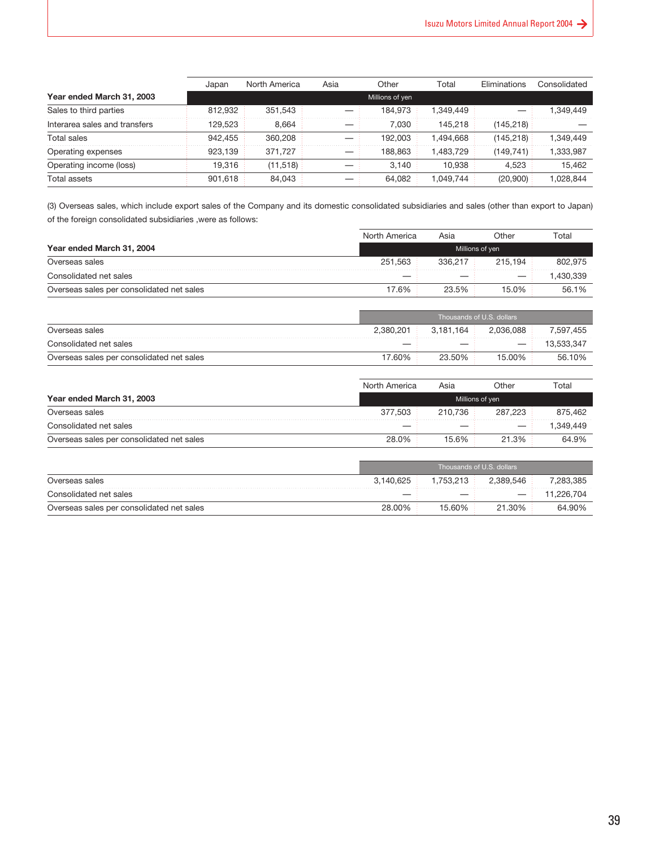|                               | Japan   | North America | Asia | Other           | Total     | Eliminations | Consolidated |
|-------------------------------|---------|---------------|------|-----------------|-----------|--------------|--------------|
| Year ended March 31, 2003     |         |               |      | Millions of yen |           |              |              |
| Sales to third parties        | 812.932 | 351.543       |      | 184.973         | 1.349.449 |              | 1.349.449    |
| Interarea sales and transfers | 129.523 | 8.664         |      | 7.030           | 145.218   | (145, 218)   |              |
| Total sales                   | 942.455 | 360,208       |      | 192.003         | 1.494.668 | (145.218)    | 1,349,449    |
| Operating expenses            | 923.139 | 371.727       |      | 188.863         | 1.483.729 | (149, 741)   | 1,333,987    |
| Operating income (loss)       | 19.316  | (11,518)      |      | 3.140           | 10.938    | 4,523        | 15.462       |
| Total assets                  | 901.618 | 84.043        |      | 64.082          | 1.049.744 | (20,900)     | 1.028.844    |

(3) Overseas sales, which include export sales of the Company and its domestic consolidated subsidiaries and sales (other than export to Japan) of the foreign consolidated subsidiaries ,were as follows:

|                                           | North America | Asia     | Other           | Total    |
|-------------------------------------------|---------------|----------|-----------------|----------|
| Year ended March 31, 2004                 |               |          | Millions of yen |          |
| Overseas sales                            | 251.563       | 336.217  | 215.194         | 802.975  |
| Consolidated net sales                    |               |          |                 | .430.339 |
| Overseas sales per consolidated net sales | 17.6%         | $23.5\%$ | $15.0\%$        | 56.1%    |

|                                           |           | Thousands of U.S. dollars |                       |            |  |
|-------------------------------------------|-----------|---------------------------|-----------------------|------------|--|
| Overseas sales                            | 2.380.201 |                           | $3.181.164$ 2.036.088 | 7.597.455  |  |
| Consolidated net sales                    |           | $-$ :                     | $-1$                  | 13.533.347 |  |
| Overseas sales per consolidated net sales | 17.60%    | 23.50%                    | $15.00\%$             | 56.10%     |  |

|                                           | North America   | Asia     | Other    | Total     |
|-------------------------------------------|-----------------|----------|----------|-----------|
| Year ended March 31, 2003                 | Millions of yen |          |          |           |
| Overseas sales                            | 377.503         | 210.736  | 287.223  | 875.462   |
| Consolidated net sales                    |                 |          |          | 1.349.449 |
| Overseas sales per consolidated net sales | 28.0%           | $15.6\%$ | $21.3\%$ | 64.9%     |

|                                           | Thousands of U.S. dollars |        |                     |            |
|-------------------------------------------|---------------------------|--------|---------------------|------------|
| Overseas sales                            | 3.140.625                 |        | 1.753.213 2.389.546 | 7.283.385  |
| Consolidated net sales                    |                           |        |                     | 11.226.704 |
| Overseas sales per consolidated net sales | 28.00%                    | 15.60% | $21.30\%$           | 64.90%     |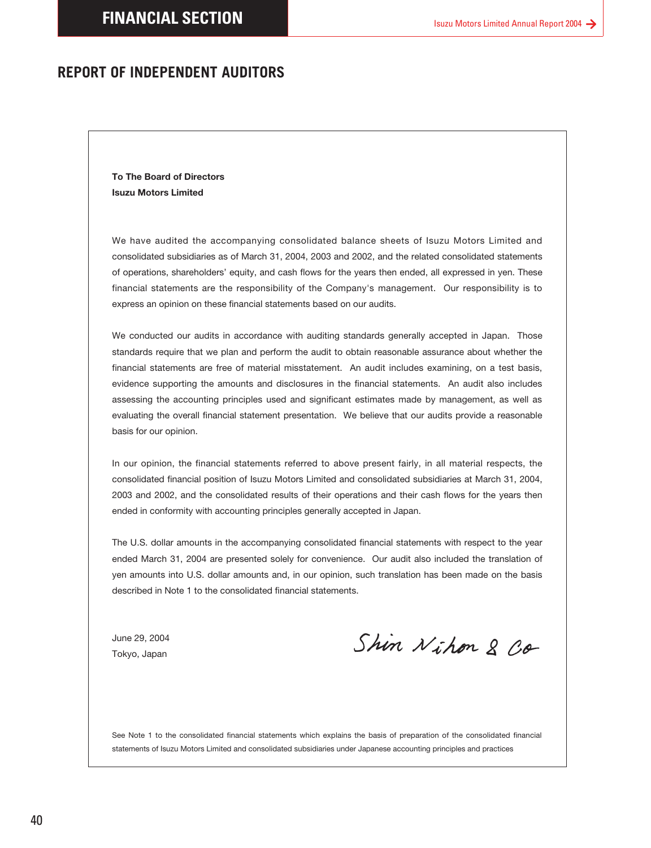### <span id="page-39-0"></span>**REPORT OF INDEPENDENT AUDITORS**

**To The Board of Directors Isuzu Motors Limited**

We have audited the accompanying consolidated balance sheets of Isuzu Motors Limited and consolidated subsidiaries as of March 31, 2004, 2003 and 2002, and the related consolidated statements of operations, shareholders' equity, and cash flows for the years then ended, all expressed in yen. These financial statements are the responsibility of the Company's management. Our responsibility is to express an opinion on these financial statements based on our audits.

We conducted our audits in accordance with auditing standards generally accepted in Japan. Those standards require that we plan and perform the audit to obtain reasonable assurance about whether the financial statements are free of material misstatement. An audit includes examining, on a test basis, evidence supporting the amounts and disclosures in the financial statements. An audit also includes assessing the accounting principles used and significant estimates made by management, as well as evaluating the overall financial statement presentation. We believe that our audits provide a reasonable basis for our opinion.

In our opinion, the financial statements referred to above present fairly, in all material respects, the consolidated financial position of Isuzu Motors Limited and consolidated subsidiaries at March 31, 2004, 2003 and 2002, and the consolidated results of their operations and their cash flows for the years then ended in conformity with accounting principles generally accepted in Japan.

The U.S. dollar amounts in the accompanying consolidated financial statements with respect to the year ended March 31, 2004 are presented solely for convenience. Our audit also included the translation of yen amounts into U.S. dollar amounts and, in our opinion, such translation has been made on the basis described in Note 1 to the consolidated financial statements.

June 29, 2004 Tokyo, Japan

Shin Nihon 2 Co

See Note 1 to the consolidated financial statements which explains the basis of preparation of the consolidated financial statements of Isuzu Motors Limited and consolidated subsidiaries under Japanese accounting principles and practices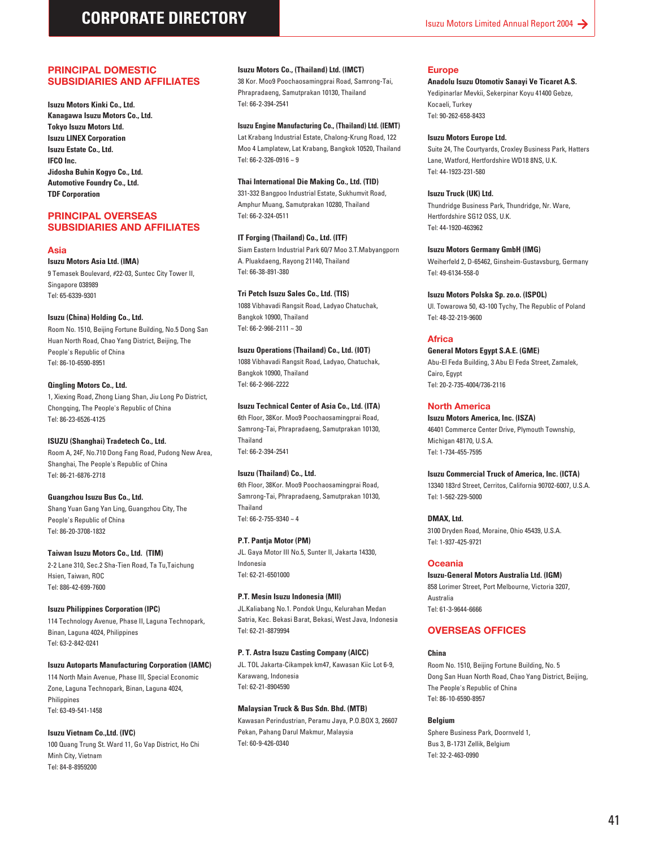#### **PRINCIPAL DOMESTIC SUBSIDIARIES AND AFFILIATES**

**Isuzu Motors Kinki Co., Ltd. Kanagawa Isuzu Motors Co., Ltd. Tokyo Isuzu Motors Ltd. Isuzu LINEX Corporation Isuzu Estate Co., Ltd. IFCO Inc. Jidosha Buhin Kogyo Co., Ltd. Automotive Foundry Co., Ltd. TDF Corporation**

#### **PRINCIPAL OVERSEAS SUBSIDIARIES AND AFFILIATES**

#### **Asia**

**Isuzu Motors Asia Ltd. (IMA)** 9 Temasek Boulevard, #22-03, Suntec City Tower II, Singapore 038989 Tel: 65-6339-9301

#### **Isuzu (China) Holding Co., Ltd.**

Room No. 1510, Beijing Fortune Building, No.5 Dong San Huan North Road, Chao Yang District, Beijing, The People's Republic of China Tel: 86-10-6590-8951

#### **Qingling Motors Co., Ltd.**

1, Xiexing Road, Zhong Liang Shan, Jiu Long Po District, Chongqing, The People's Republic of China Tel: 86-23-6526-4125

#### **ISUZU (Shanghai) Tradetech Co., Ltd.**

Room A, 24F, No.710 Dong Fang Road, Pudong New Area, Shanghai, The People's Republic of China Tel: 86-21-6876-2718

#### **Guangzhou Isuzu Bus Co., Ltd.**

Shang Yuan Gang Yan Ling, Guangzhou City, The People's Republic of China Tel: 86-20-3708-1832

#### **Taiwan Isuzu Motors Co., Ltd. (TIM)**

2-2 Lane 310, Sec.2 Sha-Tien Road, Ta Tu,Taichung Hsien, Taiwan, ROC Tel: 886-42-699-7600

#### **Isuzu Philippines Corporation (IPC)**

114 Technology Avenue, Phase II, Laguna Technopark, Binan, Laguna 4024, Philippines Tel: 63-2-842-0241

#### **Isuzu Autoparts Manufacturing Corporation (IAMC)**

114 North Main Avenue, Phase III, Special Economic Zone, Laguna Technopark, Binan, Laguna 4024, **Philippines** Tel: 63-49-541-1458

#### **Isuzu Vietnam Co.,Ltd. (IVC)**

100 Quang Trung St. Ward 11, Go Vap District, Ho Chi Minh City, Vietnam Tel: 84-8-8959200

#### **Isuzu Motors Co., (Thailand) Ltd. (IMCT)**

38 Kor. Moo9 Poochaosamingprai Road, Samrong-Tai, Phrapradaeng, Samutprakan 10130, Thailand Tel: 66-2-394-2541

#### **Isuzu Engine Manufacturing Co., (Thailand) Ltd. (IEMT)**

Lat Krabang Industrial Estate, Chalong-Krung Road, 122 Moo 4 Lamplatew, Lat Krabang, Bangkok 10520, Thailand Tel: 66-2-326-0916 ~ 9

#### **Thai International Die Making Co., Ltd. (TID)**

331-332 Bangpoo Industrial Estate, Sukhumvit Road, Amphur Muang, Samutprakan 10280, Thailand Tel: 66-2-324-0511

#### **IT Forging (Thailand) Co., Ltd. (ITF)**

Siam Eastern Industrial Park 60/7 Moo 3.T.Mabyangporn A. Pluakdaeng, Rayong 21140, Thailand Tel: 66-38-891-380

#### **Tri Petch Isuzu Sales Co., Ltd. (TIS)**

1088 Vibhavadi Rangsit Road, Ladyao Chatuchak, Bangkok 10900, Thailand Tel: 66-2-966-2111 ~ 30

#### **Isuzu Operations (Thailand) Co., Ltd. (IOT)**

1088 Vibhavadi Rangsit Road, Ladyao, Chatuchak, Bangkok 10900, Thailand Tel: 66-2-966-2222

#### **Isuzu Technical Center of Asia Co., Ltd. (ITA)**

6th Floor, 38Kor. Moo9 Poochaosamingprai Road, Samrong-Tai, Phrapradaeng, Samutprakan 10130, Thailand Tel: 66-2-394-2541

#### **Isuzu (Thailand) Co., Ltd.**

6th Floor, 38Kor. Moo9 Poochaosamingprai Road, Samrong-Tai, Phrapradaeng, Samutprakan 10130, Thailand Tel: 66-2-755-9340 ~ 4

#### **P.T. Pantja Motor (PM)**

JL. Gaya Motor III No.5, Sunter II, Jakarta 14330, Indonesia Tel: 62-21-6501000

#### **P.T. Mesin Isuzu Indonesia (MII)**

JL.Kaliabang No.1. Pondok Ungu, Kelurahan Medan Satria, Kec. Bekasi Barat, Bekasi, West Java, Indonesia Tel: 62-21-8879994

#### **P. T. Astra Isuzu Casting Company (AICC)**

JL. TOL Jakarta-Cikampek km47, Kawasan Kiic Lot 6-9, Karawang, Indonesia Tel: 62-21-8904590

#### **Malaysian Truck & Bus Sdn. Bhd. (MTB)**

Kawasan Perindustrian, Peramu Jaya, P.O.BOX 3, 26607 Pekan, Pahang Darul Makmur, Malaysia Tel: 60-9-426-0340

#### **Europe**

**Anadolu Isuzu Otomotiv Sanayi Ve Ticaret A.S.** Yedipinarlar Mevkii, Sekerpinar Koyu 41400 Gebze, Kocaeli, Turkey Tel: 90-262-658-8433

#### **Isuzu Motors Europe Ltd.**

Suite 24, The Courtyards, Croxley Business Park, Hatters Lane, Watford, Hertfordshire WD18 8NS, U.K. Tel: 44-1923-231-580

#### **Isuzu Truck (UK) Ltd.**

Thundridge Business Park, Thundridge, Nr. Ware, Hertfordshire SG12 OSS, U.K. Tel: 44-1920-463962

#### **Isuzu Motors Germany GmbH (IMG)**

Weiherfeld 2, D-65462, Ginsheim-Gustavsburg, Germany Tel: 49-6134-558-0

#### **Isuzu Motors Polska Sp. zo.o. (ISPOL)**

Ul. Towarowa 50, 43-100 Tychy, The Republic of Poland Tel: 48-32-219-9600

#### **Africa**

**General Motors Egypt S.A.E. (GME)** Abu-El Feda Building, 3 Abu El Feda Street, Zamalek, Cairo, Egypt Tel: 20-2-735-4004/736-2116

#### **North America**

**Isuzu Motors America, Inc. (ISZA)** 46401 Commerce Center Drive, Plymouth Township, Michigan 48170, U.S.A. Tel: 1-734-455-7595

#### **Isuzu Commercial Truck of America, Inc. (ICTA)**

13340 183rd Street, Cerritos, California 90702-6007, U.S.A. Tel: 1-562-229-5000

#### **DMAX, Ltd.** 3100 Dryden Road, Moraine, Ohio 45439, U.S.A. Tel: 1-937-425-9721

#### **Oceania**

**Isuzu-General Motors Australia Ltd. (IGM)** 858 Lorimer Street, Port Melbourne, Victoria 3207, Australia Tel: 61-3-9644-6666

#### **OVERSEAS OFFICES**

#### **China**

Room No. 1510, Beijing Fortune Building, No. 5 Dong San Huan North Road, Chao Yang District, Beijing, The People's Republic of China Tel: 86-10-6590-8957

#### **Belgium**

Sphere Business Park, Doornveld 1, Bus 3, B-1731 Zellik, Belgium Tel: 32-2-463-0990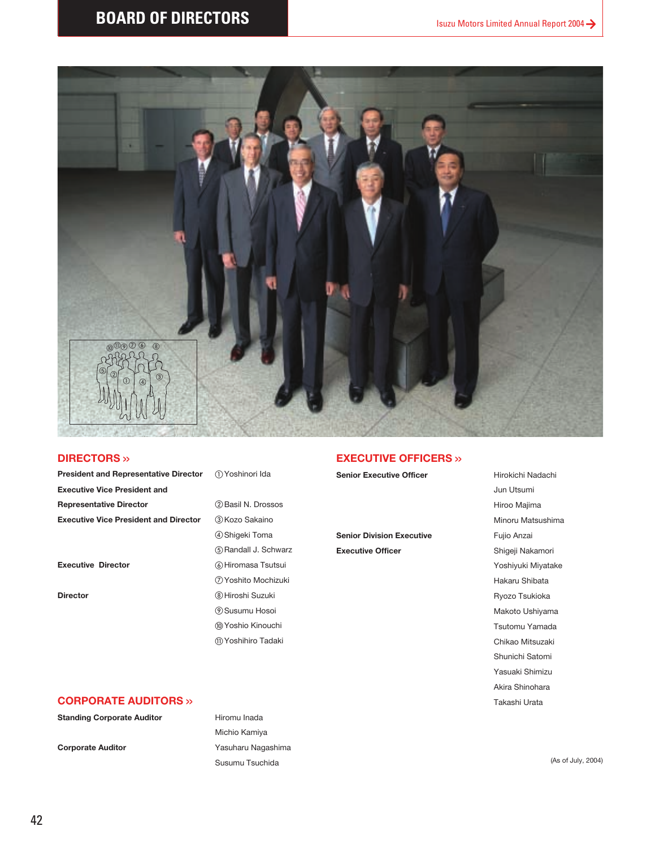

#### **DIRECTORS >>**

| <b>President and Representative Director</b> | $\bigcap$ |
|----------------------------------------------|-----------|
| <b>Executive Vice President and</b>          |           |
| <b>Representative Director</b>               | (2)       |
| <b>Executive Vice President and Director</b> | (3)       |

### Yoshinori Ida **Representative Director** Basil N. Drossos  $@K$ ozo Sakaino Shigeki Toma 5 Randall J. Schwarz **Executive Director G**Hiromasa Tsutsui Yoshito Mochizuki **Director Exercise Exercise Suzuki Biroshi Suzuki**

 Susumu Hosoi Yoshio Kinouchi Yoshihiro Tadaki

#### **EXECUTIVE OFFICERS >>**

**Senior Executive Officer** Hirokichi Nadachi

**Senior Division Executive** Fujio Anzai **Executive Officer Shigeji Nakamori** 

Jun Utsumi Hiroo Majima Minoru Matsushima Yoshiyuki Miyatake Hakaru Shibata Ryozo Tsukioka Makoto Ushiyama Tsutomu Yamada Chikao Mitsuzaki Shunichi Satomi Yasuaki Shimizu Akira Shinohara Takashi Urata

#### **CORPORATE AUDITORS >>**

**Standing Corporate Auditor Hiromu Inada** 

Michio Kamiya **Corporate Auditor Corporate Auditor Vasuharu Nagashima** Susumu Tsuchida (As of July, 2004)